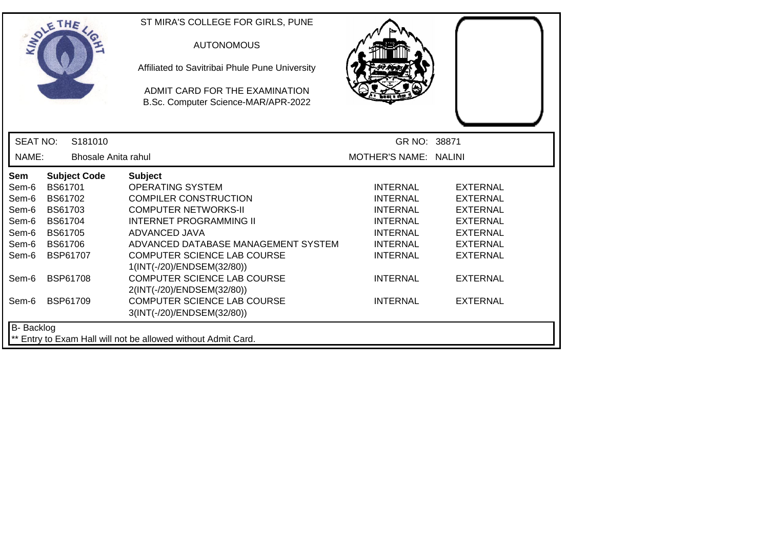| SOLETHE .         |                 |                     | ST MIRA'S COLLEGE FOR GIRLS, PUNE<br><b>AUTONOMOUS</b><br>Affiliated to Savitribai Phule Pune University<br>ADMIT CARD FOR THE EXAMINATION<br>B.Sc. Computer Science-MAR/APR-2022 |                       |                 |
|-------------------|-----------------|---------------------|-----------------------------------------------------------------------------------------------------------------------------------------------------------------------------------|-----------------------|-----------------|
| <b>SEAT NO:</b>   |                 | S181010             |                                                                                                                                                                                   | GR NO: 38871          |                 |
| NAME:             |                 | Bhosale Anita rahul |                                                                                                                                                                                   | MOTHER'S NAME: NALINI |                 |
| Sem               |                 | <b>Subject Code</b> | <b>Subject</b>                                                                                                                                                                    |                       |                 |
| Sem-6             | BS61701         |                     | <b>OPERATING SYSTEM</b>                                                                                                                                                           | <b>INTERNAL</b>       | <b>EXTERNAL</b> |
| Sem-6             | BS61702         |                     | <b>COMPILER CONSTRUCTION</b>                                                                                                                                                      | <b>INTERNAL</b>       | <b>EXTERNAL</b> |
| Sem-6             | <b>BS61703</b>  |                     | <b>COMPUTER NETWORKS-II</b>                                                                                                                                                       | <b>INTERNAL</b>       | <b>EXTERNAL</b> |
| Sem-6             | <b>BS61704</b>  |                     | <b>INTERNET PROGRAMMING II</b>                                                                                                                                                    | <b>INTERNAL</b>       | <b>EXTERNAL</b> |
| Sem-6             | <b>BS61705</b>  |                     | ADVANCED JAVA                                                                                                                                                                     | <b>INTERNAL</b>       | <b>EXTERNAL</b> |
| Sem-6             | <b>BS61706</b>  |                     | ADVANCED DATABASE MANAGEMENT SYSTEM                                                                                                                                               | <b>INTERNAL</b>       | <b>EXTERNAL</b> |
| Sem-6             |                 | <b>BSP61707</b>     | COMPUTER SCIENCE LAB COURSE<br>1(INT(-/20)/ENDSEM(32/80))                                                                                                                         | <b>INTERNAL</b>       | <b>EXTERNAL</b> |
| Sem-6             | <b>BSP61708</b> |                     | <b>COMPUTER SCIENCE LAB COURSE</b><br>2(INT(-/20)/ENDSEM(32/80))                                                                                                                  | <b>INTERNAL</b>       | <b>EXTERNAL</b> |
| Sem-6             | <b>BSP61709</b> |                     | <b>COMPUTER SCIENCE LAB COURSE</b><br>3(INT(-/20)/ENDSEM(32/80))                                                                                                                  | <b>INTERNAL</b>       | <b>EXTERNAL</b> |
| <b>B-</b> Backlog |                 |                     | ** Entry to Exam Hall will not be allowed without Admit Card.                                                                                                                     |                       |                 |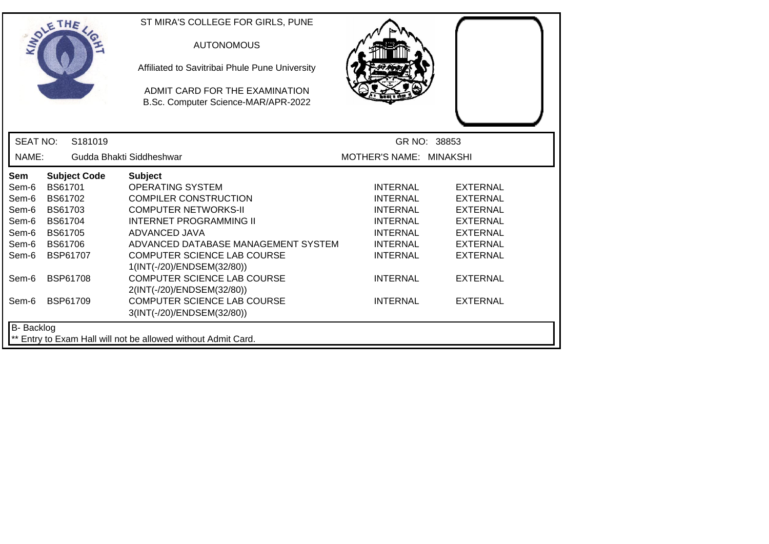| SOLETHE .         |                                    |                     | ST MIRA'S COLLEGE FOR GIRLS, PUNE<br><b>AUTONOMOUS</b><br>Affiliated to Savitribai Phule Pune University<br>ADMIT CARD FOR THE EXAMINATION<br>B.Sc. Computer Science-MAR/APR-2022 |                                    |                                    |
|-------------------|------------------------------------|---------------------|-----------------------------------------------------------------------------------------------------------------------------------------------------------------------------------|------------------------------------|------------------------------------|
| <b>SEAT NO:</b>   |                                    | S181019             |                                                                                                                                                                                   |                                    | GR NO: 38853                       |
| NAME:             |                                    |                     | Gudda Bhakti Siddheshwar                                                                                                                                                          | MOTHER'S NAME: MINAKSHI            |                                    |
| <b>Sem</b>        |                                    | <b>Subject Code</b> | <b>Subject</b>                                                                                                                                                                    |                                    |                                    |
| Sem-6             | BS61701                            |                     | <b>OPERATING SYSTEM</b>                                                                                                                                                           | <b>INTERNAL</b>                    | <b>EXTERNAL</b>                    |
| Sem-6             | BS61702                            |                     | <b>COMPILER CONSTRUCTION</b>                                                                                                                                                      | <b>INTERNAL</b>                    | <b>EXTERNAL</b>                    |
| Sem-6             | BS61703                            |                     | <b>COMPUTER NETWORKS-II</b>                                                                                                                                                       | <b>INTERNAL</b>                    | <b>EXTERNAL</b>                    |
| Sem-6             | <b>BS61704</b>                     |                     | <b>INTERNET PROGRAMMING II</b>                                                                                                                                                    | <b>INTERNAL</b>                    | <b>EXTERNAL</b>                    |
| Sem-6             | <b>BS61705</b>                     |                     | ADVANCED JAVA                                                                                                                                                                     | <b>INTERNAL</b>                    | <b>EXTERNAL</b>                    |
| Sem-6             | <b>BS61706</b>                     |                     | ADVANCED DATABASE MANAGEMENT SYSTEM                                                                                                                                               | <b>INTERNAL</b>                    | <b>EXTERNAL</b>                    |
| Sem-6             | <b>BSP61707</b>                    |                     | <b>COMPUTER SCIENCE LAB COURSE</b>                                                                                                                                                | <b>INTERNAL</b>                    | <b>EXTERNAL</b>                    |
|                   |                                    |                     |                                                                                                                                                                                   |                                    |                                    |
|                   |                                    |                     |                                                                                                                                                                                   |                                    |                                    |
|                   |                                    |                     | <b>COMPUTER SCIENCE LAB COURSE</b>                                                                                                                                                |                                    |                                    |
|                   |                                    |                     | 3(INT(-/20)/ENDSEM(32/80))                                                                                                                                                        |                                    |                                    |
| <b>B-</b> Backlog |                                    |                     |                                                                                                                                                                                   |                                    |                                    |
| Sem-6<br>Sem-6    | <b>BSP61708</b><br><b>BSP61709</b> |                     | 1(INT(-/20)/ENDSEM(32/80))<br><b>COMPUTER SCIENCE LAB COURSE</b><br>2(INT(-/20)/ENDSEM(32/80))<br>** Entry to Exam Hall will not be allowed without Admit Card.                   | <b>INTERNAL</b><br><b>INTERNAL</b> | <b>EXTERNAL</b><br><b>EXTERNAL</b> |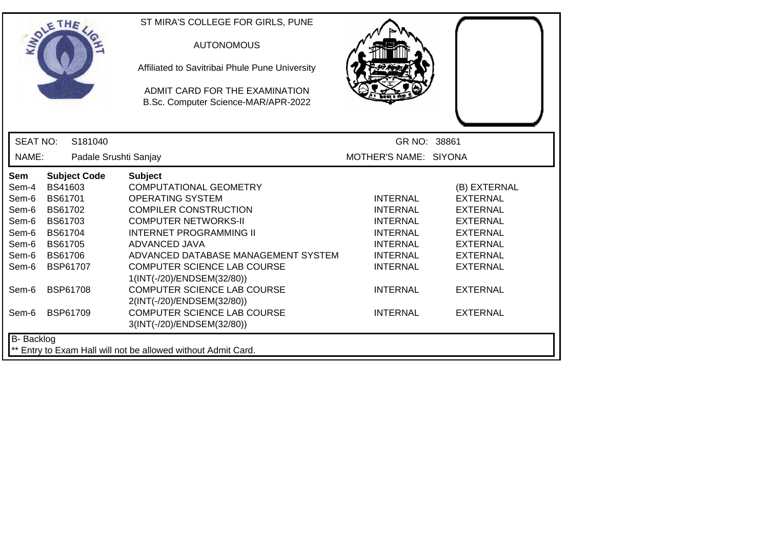|                   | THE                   | ST MIRA'S COLLEGE FOR GIRLS, PUNE                                     |                       |                 |
|-------------------|-----------------------|-----------------------------------------------------------------------|-----------------------|-----------------|
|                   |                       | <b>AUTONOMOUS</b>                                                     |                       |                 |
|                   |                       | Affiliated to Savitribai Phule Pune University                        |                       |                 |
|                   |                       | ADMIT CARD FOR THE EXAMINATION<br>B.Sc. Computer Science-MAR/APR-2022 |                       |                 |
|                   |                       |                                                                       |                       |                 |
| <b>SEAT NO:</b>   | S181040               |                                                                       | GR NO: 38861          |                 |
| NAME:             | Padale Srushti Sanjay |                                                                       | MOTHER'S NAME: SIYONA |                 |
| Sem               | <b>Subject Code</b>   | <b>Subject</b>                                                        |                       |                 |
| Sem-4             | BS41603               | <b>COMPUTATIONAL GEOMETRY</b>                                         |                       | (B) EXTERNAL    |
| Sem-6             | BS61701               | <b>OPERATING SYSTEM</b>                                               | <b>INTERNAL</b>       | <b>EXTERNAL</b> |
| Sem-6             | BS61702               | <b>COMPILER CONSTRUCTION</b>                                          | <b>INTERNAL</b>       | <b>EXTERNAL</b> |
| Sem-6             | BS61703               | <b>COMPUTER NETWORKS-II</b>                                           | <b>INTERNAL</b>       | <b>EXTERNAL</b> |
| Sem-6             | BS61704               | <b>INTERNET PROGRAMMING II</b>                                        | <b>INTERNAL</b>       | <b>EXTERNAL</b> |
| Sem-6             | <b>BS61705</b>        | ADVANCED JAVA                                                         | <b>INTERNAL</b>       | <b>EXTERNAL</b> |
| Sem-6             | <b>BS61706</b>        | ADVANCED DATABASE MANAGEMENT SYSTEM                                   | <b>INTERNAL</b>       | <b>EXTERNAL</b> |
| Sem-6             | <b>BSP61707</b>       | COMPUTER SCIENCE LAB COURSE                                           | <b>INTERNAL</b>       | <b>EXTERNAL</b> |
|                   |                       | 1(INT(-/20)/ENDSEM(32/80))                                            |                       |                 |
| Sem-6             | <b>BSP61708</b>       | <b>COMPUTER SCIENCE LAB COURSE</b>                                    | <b>INTERNAL</b>       | <b>EXTERNAL</b> |
|                   |                       | 2(INT(-/20)/ENDSEM(32/80))                                            |                       |                 |
| Sem-6             | <b>BSP61709</b>       | COMPUTER SCIENCE LAB COURSE                                           | <b>INTERNAL</b>       | <b>EXTERNAL</b> |
|                   |                       | 3(INT(-/20)/ENDSEM(32/80))                                            |                       |                 |
| <b>B-</b> Backlog |                       |                                                                       |                       |                 |
|                   |                       | ** Entry to Exam Hall will not be allowed without Admit Card.         |                       |                 |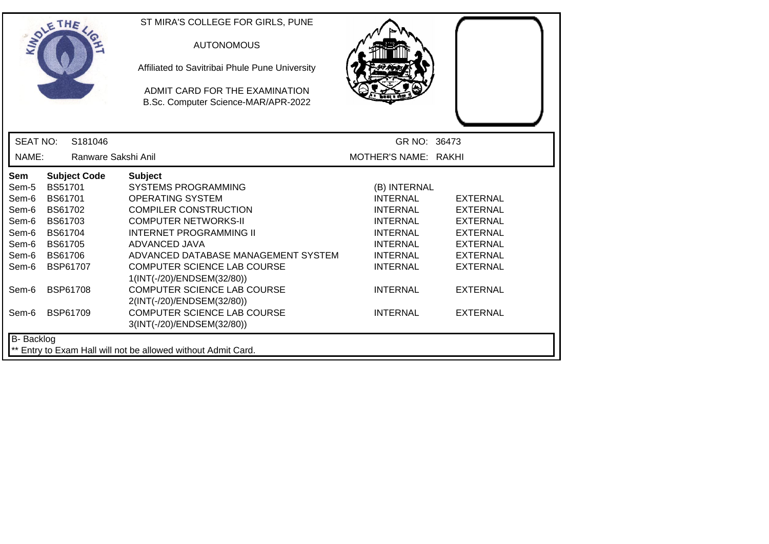|                   | THE                 | ST MIRA'S COLLEGE FOR GIRLS, PUNE                                     |                      |                 |
|-------------------|---------------------|-----------------------------------------------------------------------|----------------------|-----------------|
|                   |                     | <b>AUTONOMOUS</b>                                                     |                      |                 |
|                   |                     | Affiliated to Savitribai Phule Pune University                        |                      |                 |
|                   |                     | ADMIT CARD FOR THE EXAMINATION<br>B.Sc. Computer Science-MAR/APR-2022 |                      |                 |
|                   |                     |                                                                       |                      |                 |
| <b>SEAT NO:</b>   | S181046             |                                                                       | GR NO: 36473         |                 |
| NAME:             | Ranware Sakshi Anil |                                                                       | MOTHER'S NAME: RAKHI |                 |
| Sem               | <b>Subject Code</b> | <b>Subject</b>                                                        |                      |                 |
| Sem-5             | <b>BS51701</b>      | <b>SYSTEMS PROGRAMMING</b>                                            | (B) INTERNAL         |                 |
| Sem-6             | BS61701             | <b>OPERATING SYSTEM</b>                                               | <b>INTERNAL</b>      | <b>EXTERNAL</b> |
| Sem-6             | BS61702             | <b>COMPILER CONSTRUCTION</b>                                          | <b>INTERNAL</b>      | <b>EXTERNAL</b> |
| Sem-6             | BS61703             | <b>COMPUTER NETWORKS-II</b>                                           | <b>INTERNAL</b>      | <b>EXTERNAL</b> |
| Sem-6             | <b>BS61704</b>      | <b>INTERNET PROGRAMMING II</b>                                        | <b>INTERNAL</b>      | <b>EXTERNAL</b> |
| Sem-6             | <b>BS61705</b>      | ADVANCED JAVA                                                         | <b>INTERNAL</b>      | <b>EXTERNAL</b> |
| Sem-6             | <b>BS61706</b>      | ADVANCED DATABASE MANAGEMENT SYSTEM                                   | <b>INTERNAL</b>      | <b>EXTERNAL</b> |
| Sem-6             | BSP61707            | <b>COMPUTER SCIENCE LAB COURSE</b>                                    | <b>INTERNAL</b>      | <b>EXTERNAL</b> |
|                   |                     | 1(INT(-/20)/ENDSEM(32/80))                                            |                      |                 |
| Sem-6             | <b>BSP61708</b>     | <b>COMPUTER SCIENCE LAB COURSE</b>                                    | <b>INTERNAL</b>      | <b>EXTERNAL</b> |
|                   |                     | 2(INT(-/20)/ENDSEM(32/80))                                            |                      |                 |
| Sem-6             | <b>BSP61709</b>     | COMPUTER SCIENCE LAB COURSE                                           | <b>INTERNAL</b>      | <b>EXTERNAL</b> |
|                   |                     | 3(INT(-/20)/ENDSEM(32/80))                                            |                      |                 |
| <b>B-</b> Backlog |                     |                                                                       |                      |                 |
|                   |                     | Entry to Exam Hall will not be allowed without Admit Card.            |                      |                 |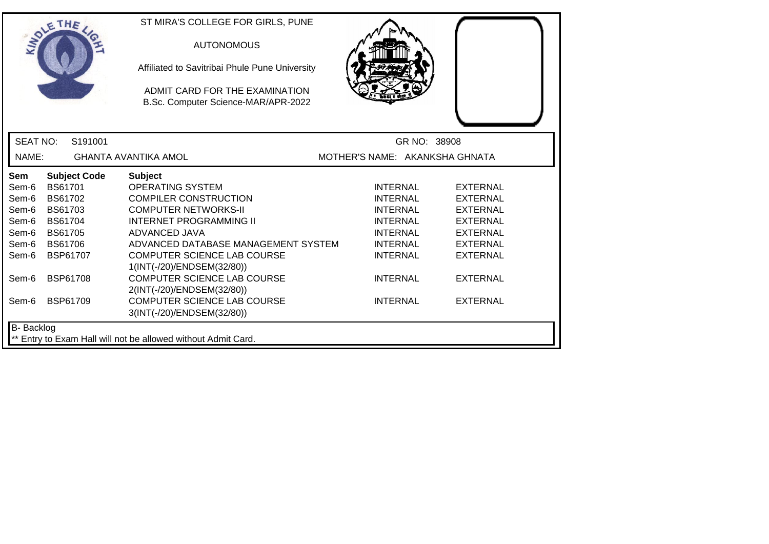|                                                               | SOLETHE .           | ST MIRA'S COLLEGE FOR GIRLS, PUNE<br><b>AUTONOMOUS</b><br>Affiliated to Savitribai Phule Pune University<br>ADMIT CARD FOR THE EXAMINATION<br>B.Sc. Computer Science-MAR/APR-2022 |                                |                 |  |
|---------------------------------------------------------------|---------------------|-----------------------------------------------------------------------------------------------------------------------------------------------------------------------------------|--------------------------------|-----------------|--|
| <b>SEAT NO:</b>                                               | S191001             |                                                                                                                                                                                   | GR NO: 38908                   |                 |  |
| NAME:                                                         |                     | <b>GHANTA AVANTIKA AMOL</b>                                                                                                                                                       | MOTHER'S NAME: AKANKSHA GHNATA |                 |  |
| Sem                                                           | <b>Subject Code</b> | <b>Subject</b>                                                                                                                                                                    |                                |                 |  |
| Sem-6                                                         | <b>BS61701</b>      | <b>OPERATING SYSTEM</b>                                                                                                                                                           | <b>INTERNAL</b>                | <b>EXTERNAL</b> |  |
| Sem-6                                                         | <b>BS61702</b>      | <b>COMPILER CONSTRUCTION</b>                                                                                                                                                      | <b>INTERNAL</b>                | <b>EXTERNAL</b> |  |
| Sem-6                                                         | <b>BS61703</b>      | <b>COMPUTER NETWORKS-II</b>                                                                                                                                                       | <b>INTERNAL</b>                | <b>EXTERNAL</b> |  |
| Sem-6                                                         | <b>BS61704</b>      | <b>INTERNET PROGRAMMING II</b>                                                                                                                                                    | <b>INTERNAL</b>                | <b>EXTERNAL</b> |  |
| Sem-6                                                         | <b>BS61705</b>      | ADVANCED JAVA                                                                                                                                                                     | <b>INTERNAL</b>                | <b>EXTERNAL</b> |  |
| Sem-6                                                         | <b>BS61706</b>      | ADVANCED DATABASE MANAGEMENT SYSTEM                                                                                                                                               | <b>INTERNAL</b>                | <b>EXTERNAL</b> |  |
| Sem-6                                                         | BSP61707            | <b>COMPUTER SCIENCE LAB COURSE</b>                                                                                                                                                | <b>INTERNAL</b>                | <b>EXTERNAL</b> |  |
|                                                               |                     | 1(INT(-/20)/ENDSEM(32/80))                                                                                                                                                        |                                |                 |  |
| Sem-6                                                         | <b>BSP61708</b>     | <b>COMPUTER SCIENCE LAB COURSE</b>                                                                                                                                                | <b>INTERNAL</b>                | <b>EXTERNAL</b> |  |
|                                                               |                     | 2(INT(-/20)/ENDSEM(32/80))                                                                                                                                                        |                                |                 |  |
| Sem-6                                                         | <b>BSP61709</b>     | <b>COMPUTER SCIENCE LAB COURSE</b>                                                                                                                                                | <b>INTERNAL</b>                | <b>EXTERNAL</b> |  |
|                                                               |                     | 3(INT(-/20)/ENDSEM(32/80))                                                                                                                                                        |                                |                 |  |
| <b>B-</b> Backlog                                             |                     |                                                                                                                                                                                   |                                |                 |  |
| ** Entry to Exam Hall will not be allowed without Admit Card. |                     |                                                                                                                                                                                   |                                |                 |  |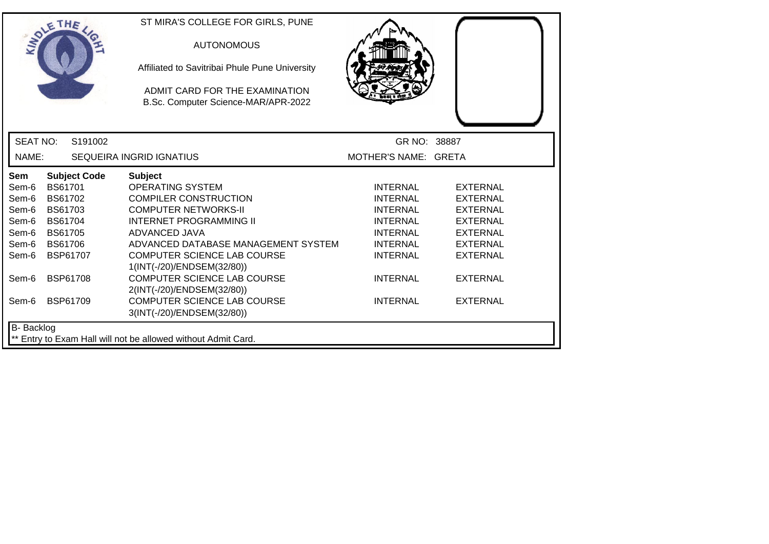|                   | SOLETHE .      |                     | ST MIRA'S COLLEGE FOR GIRLS, PUNE                                     |                      |                 |
|-------------------|----------------|---------------------|-----------------------------------------------------------------------|----------------------|-----------------|
|                   |                |                     | <b>AUTONOMOUS</b>                                                     |                      |                 |
|                   |                |                     | Affiliated to Savitribai Phule Pune University                        |                      |                 |
|                   |                |                     | ADMIT CARD FOR THE EXAMINATION<br>B.Sc. Computer Science-MAR/APR-2022 |                      |                 |
| <b>SEAT NO:</b>   |                | S191002             |                                                                       | GR NO: 38887         |                 |
| NAME:             |                |                     | <b>SEQUEIRA INGRID IGNATIUS</b>                                       | MOTHER'S NAME: GRETA |                 |
| <b>Sem</b>        |                | <b>Subject Code</b> | <b>Subject</b>                                                        |                      |                 |
| Sem-6             | <b>BS61701</b> |                     | <b>OPERATING SYSTEM</b>                                               | <b>INTERNAL</b>      | EXTERNAL        |
| Sem-6             | <b>BS61702</b> |                     | <b>COMPILER CONSTRUCTION</b>                                          | <b>INTERNAL</b>      | <b>EXTERNAL</b> |
| Sem-6             | BS61703        |                     | <b>COMPUTER NETWORKS-II</b>                                           | <b>INTERNAL</b>      | <b>EXTERNAL</b> |
| Sem-6             | <b>BS61704</b> |                     | <b>INTERNET PROGRAMMING II</b>                                        | <b>INTERNAL</b>      | <b>EXTERNAL</b> |
| Sem-6             | <b>BS61705</b> |                     | ADVANCED JAVA                                                         | <b>INTERNAL</b>      | <b>EXTERNAL</b> |
| Sem-6             | <b>BS61706</b> |                     | ADVANCED DATABASE MANAGEMENT SYSTEM                                   | <b>INTERNAL</b>      | <b>EXTERNAL</b> |
| Sem-6             |                | <b>BSP61707</b>     | <b>COMPUTER SCIENCE LAB COURSE</b><br>1(INT(-/20)/ENDSEM(32/80))      | <b>INTERNAL</b>      | <b>EXTERNAL</b> |
| Sem-6             |                | <b>BSP61708</b>     | <b>COMPUTER SCIENCE LAB COURSE</b><br>2(INT(-/20)/ENDSEM(32/80))      | <b>INTERNAL</b>      | <b>EXTERNAL</b> |
| Sem-6             |                | <b>BSP61709</b>     | COMPUTER SCIENCE LAB COURSE<br>3(INT(-/20)/ENDSEM(32/80))             | <b>INTERNAL</b>      | <b>EXTERNAL</b> |
| <b>B-</b> Backlog |                |                     |                                                                       |                      |                 |
|                   |                |                     | ** Entry to Exam Hall will not be allowed without Admit Card.         |                      |                 |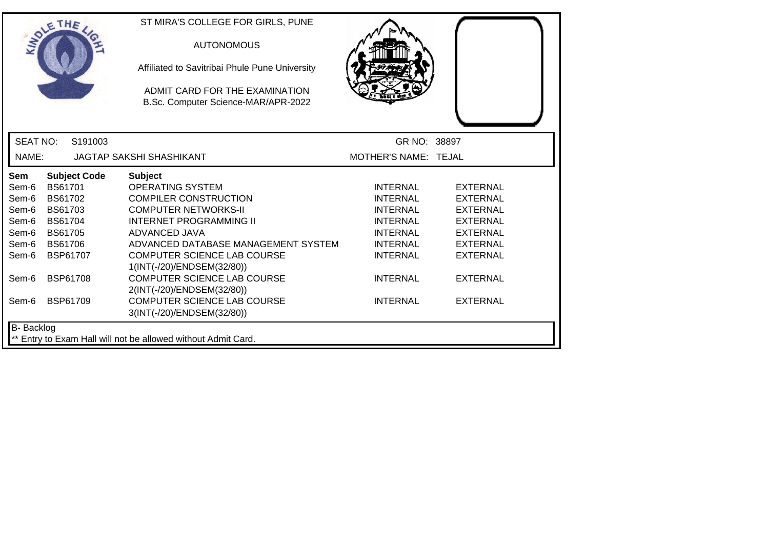|                   | <b>OLETHE</b>       | ST MIRA'S COLLEGE FOR GIRLS, PUNE                                     |                      |                 |
|-------------------|---------------------|-----------------------------------------------------------------------|----------------------|-----------------|
|                   |                     | <b>AUTONOMOUS</b>                                                     |                      |                 |
|                   |                     | Affiliated to Savitribai Phule Pune University                        |                      |                 |
|                   |                     | ADMIT CARD FOR THE EXAMINATION<br>B.Sc. Computer Science-MAR/APR-2022 |                      |                 |
| <b>SEAT NO:</b>   | S191003             |                                                                       | GR NO: 38897         |                 |
| NAME:             |                     | <b>JAGTAP SAKSHI SHASHIKANT</b>                                       | MOTHER'S NAME: TEJAL |                 |
| <b>Sem</b>        | <b>Subject Code</b> | <b>Subject</b>                                                        |                      |                 |
| Sem-6             | <b>BS61701</b>      | <b>OPERATING SYSTEM</b>                                               | <b>INTERNAL</b>      | <b>EXTERNAL</b> |
| Sem-6             | <b>BS61702</b>      | <b>COMPILER CONSTRUCTION</b>                                          | <b>INTERNAL</b>      | <b>EXTERNAL</b> |
| Sem-6             | BS61703             | <b>COMPUTER NETWORKS-II</b>                                           | <b>INTERNAL</b>      | <b>EXTERNAL</b> |
| Sem-6             | <b>BS61704</b>      | <b>INTERNET PROGRAMMING II</b>                                        | <b>INTERNAL</b>      | <b>EXTERNAL</b> |
| Sem-6             | <b>BS61705</b>      | ADVANCED JAVA                                                         | <b>INTERNAL</b>      | <b>EXTERNAL</b> |
| Sem-6             | <b>BS61706</b>      | ADVANCED DATABASE MANAGEMENT SYSTEM                                   | <b>INTERNAL</b>      | <b>EXTERNAL</b> |
| Sem-6             | <b>BSP61707</b>     | <b>COMPUTER SCIENCE LAB COURSE</b><br>1(INT(-/20)/ENDSEM(32/80))      | <b>INTERNAL</b>      | <b>EXTERNAL</b> |
| Sem-6             | <b>BSP61708</b>     | <b>COMPUTER SCIENCE LAB COURSE</b><br>2(INT(-/20)/ENDSEM(32/80))      | <b>INTERNAL</b>      | <b>EXTERNAL</b> |
| Sem-6             | <b>BSP61709</b>     | COMPUTER SCIENCE LAB COURSE<br>3(INT(-/20)/ENDSEM(32/80))             | <b>INTERNAL</b>      | <b>EXTERNAL</b> |
| <b>B-</b> Backlog |                     |                                                                       |                      |                 |
|                   |                     | ** Entry to Exam Hall will not be allowed without Admit Card.         |                      |                 |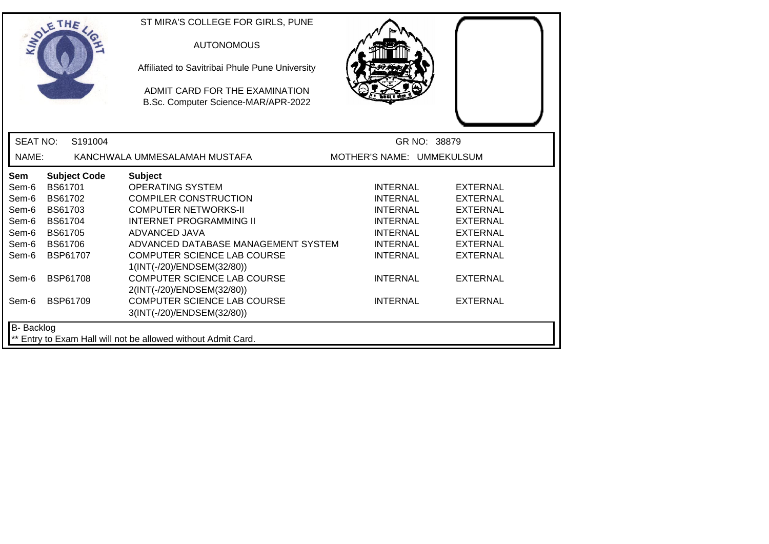|                                                               | SOLE THE            | ST MIRA'S COLLEGE FOR GIRLS, PUNE<br><b>AUTONOMOUS</b><br>Affiliated to Savitribai Phule Pune University<br>ADMIT CARD FOR THE EXAMINATION<br>B.Sc. Computer Science-MAR/APR-2022 |                           |                 |  |  |
|---------------------------------------------------------------|---------------------|-----------------------------------------------------------------------------------------------------------------------------------------------------------------------------------|---------------------------|-----------------|--|--|
| <b>SEAT NO:</b>                                               | S191004             |                                                                                                                                                                                   | GR NO: 38879              |                 |  |  |
| NAME:                                                         |                     | KANCHWALA UMMESALAMAH MUSTAFA                                                                                                                                                     | MOTHER'S NAME: UMMEKULSUM |                 |  |  |
| Sem                                                           | <b>Subject Code</b> | <b>Subject</b>                                                                                                                                                                    |                           |                 |  |  |
| Sem-6                                                         | <b>BS61701</b>      | <b>OPERATING SYSTEM</b>                                                                                                                                                           | <b>INTERNAL</b>           | <b>EXTERNAL</b> |  |  |
| Sem-6                                                         | <b>BS61702</b>      | <b>COMPILER CONSTRUCTION</b>                                                                                                                                                      | <b>INTERNAL</b>           | <b>EXTERNAL</b> |  |  |
| Sem-6                                                         | BS61703             | <b>COMPUTER NETWORKS-II</b>                                                                                                                                                       | <b>INTERNAL</b>           | <b>EXTERNAL</b> |  |  |
| Sem-6                                                         | <b>BS61704</b>      | <b>INTERNET PROGRAMMING II</b>                                                                                                                                                    | <b>INTERNAL</b>           | <b>EXTERNAL</b> |  |  |
| Sem-6                                                         | <b>BS61705</b>      | ADVANCED JAVA                                                                                                                                                                     | <b>INTERNAL</b>           | <b>EXTERNAL</b> |  |  |
| Sem-6                                                         | <b>BS61706</b>      | ADVANCED DATABASE MANAGEMENT SYSTEM                                                                                                                                               | <b>INTERNAL</b>           | <b>EXTERNAL</b> |  |  |
| Sem-6                                                         | <b>BSP61707</b>     | <b>COMPUTER SCIENCE LAB COURSE</b>                                                                                                                                                | <b>INTERNAL</b>           | <b>EXTERNAL</b> |  |  |
|                                                               |                     | 1(INT(-/20)/ENDSEM(32/80))                                                                                                                                                        |                           |                 |  |  |
| Sem-6                                                         | <b>BSP61708</b>     | <b>COMPUTER SCIENCE LAB COURSE</b>                                                                                                                                                | <b>INTERNAL</b>           | <b>EXTERNAL</b> |  |  |
|                                                               |                     | 2(INT(-/20)/ENDSEM(32/80))                                                                                                                                                        |                           |                 |  |  |
| Sem-6                                                         | <b>BSP61709</b>     | <b>COMPUTER SCIENCE LAB COURSE</b>                                                                                                                                                | <b>INTERNAL</b>           | <b>EXTERNAL</b> |  |  |
|                                                               |                     | 3(INT(-/20)/ENDSEM(32/80))                                                                                                                                                        |                           |                 |  |  |
| <b>B-</b> Backlog                                             |                     |                                                                                                                                                                                   |                           |                 |  |  |
| ** Entry to Exam Hall will not be allowed without Admit Card. |                     |                                                                                                                                                                                   |                           |                 |  |  |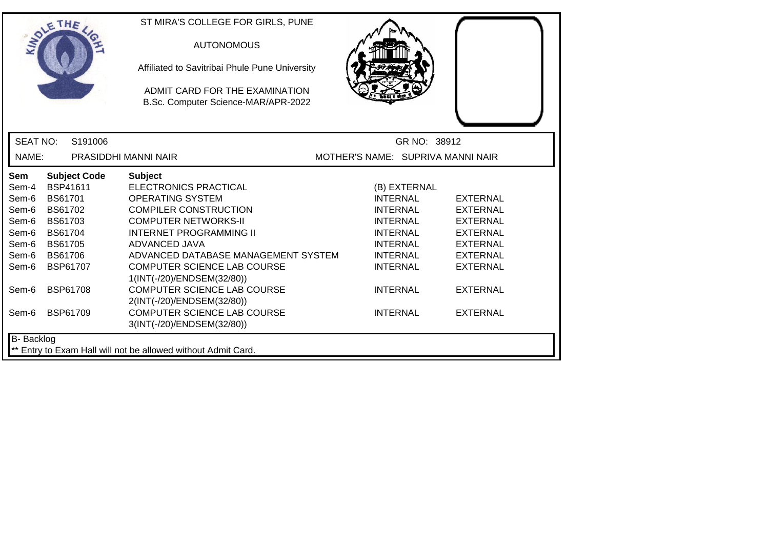|                 | THE                 | ST MIRA'S COLLEGE FOR GIRLS, PUNE                                     |                                   |                 |
|-----------------|---------------------|-----------------------------------------------------------------------|-----------------------------------|-----------------|
|                 |                     | <b>AUTONOMOUS</b>                                                     |                                   |                 |
|                 |                     | Affiliated to Savitribai Phule Pune University                        |                                   |                 |
|                 |                     | ADMIT CARD FOR THE EXAMINATION<br>B.Sc. Computer Science-MAR/APR-2022 |                                   |                 |
|                 |                     |                                                                       |                                   |                 |
| <b>SEAT NO:</b> | S191006             |                                                                       | GR NO: 38912                      |                 |
| NAME:           |                     | PRASIDDHI MANNI NAIR                                                  | MOTHER'S NAME: SUPRIVA MANNI NAIR |                 |
| Sem             | <b>Subject Code</b> | <b>Subject</b>                                                        |                                   |                 |
| Sem-4           | BSP41611            | <b>ELECTRONICS PRACTICAL</b>                                          | (B) EXTERNAL                      |                 |
| Sem-6           | BS61701             | <b>OPERATING SYSTEM</b>                                               | <b>INTERNAL</b>                   | <b>EXTERNAL</b> |
| Sem-6           | <b>BS61702</b>      | <b>COMPILER CONSTRUCTION</b>                                          | <b>INTERNAL</b>                   | <b>EXTERNAL</b> |
| Sem-6           | BS61703             | <b>COMPUTER NETWORKS-II</b>                                           | <b>INTERNAL</b>                   | <b>EXTERNAL</b> |
| Sem-6           | <b>BS61704</b>      | <b>INTERNET PROGRAMMING II</b>                                        | <b>INTERNAL</b>                   | <b>EXTERNAL</b> |
| Sem-6           | <b>BS61705</b>      | ADVANCED JAVA                                                         | <b>INTERNAL</b>                   | <b>EXTERNAL</b> |
| Sem-6           | <b>BS61706</b>      | ADVANCED DATABASE MANAGEMENT SYSTEM                                   | <b>INTERNAL</b>                   | <b>EXTERNAL</b> |
| Sem-6           | BSP61707            | COMPUTER SCIENCE LAB COURSE<br>1(INT(-/20)/ENDSEM(32/80))             | <b>INTERNAL</b>                   | <b>EXTERNAL</b> |
| Sem-6           | <b>BSP61708</b>     | <b>COMPUTER SCIENCE LAB COURSE</b><br>2(INT(-/20)/ENDSEM(32/80))      | <b>INTERNAL</b>                   | <b>EXTERNAL</b> |
| Sem-6           | <b>BSP61709</b>     | COMPUTER SCIENCE LAB COURSE<br>3(INT(-/20)/ENDSEM(32/80))             | <b>INTERNAL</b>                   | <b>EXTERNAL</b> |
| B- Backlog      |                     |                                                                       |                                   |                 |
|                 |                     | ** Entry to Exam Hall will not be allowed without Admit Card.         |                                   |                 |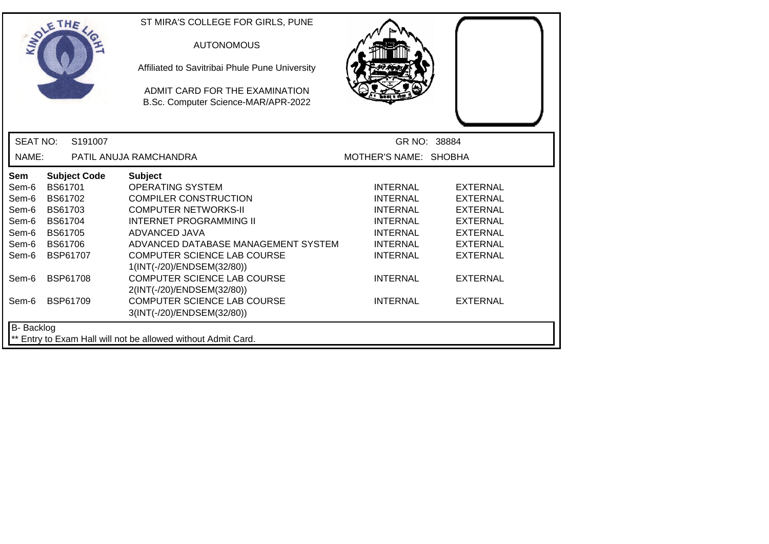| SOLE THE          |                                                               |                     | ST MIRA'S COLLEGE FOR GIRLS, PUNE<br><b>AUTONOMOUS</b><br>Affiliated to Savitribai Phule Pune University<br>ADMIT CARD FOR THE EXAMINATION<br>B.Sc. Computer Science-MAR/APR-2022 |                       |                 |  |
|-------------------|---------------------------------------------------------------|---------------------|-----------------------------------------------------------------------------------------------------------------------------------------------------------------------------------|-----------------------|-----------------|--|
| <b>SEAT NO:</b>   |                                                               | S191007             |                                                                                                                                                                                   |                       | GR NO: 38884    |  |
| NAME:             |                                                               |                     | PATIL ANUJA RAMCHANDRA                                                                                                                                                            | MOTHER'S NAME: SHOBHA |                 |  |
| <b>Sem</b>        |                                                               | <b>Subject Code</b> | <b>Subject</b>                                                                                                                                                                    |                       |                 |  |
| Sem-6             | <b>BS61701</b>                                                |                     | <b>OPERATING SYSTEM</b>                                                                                                                                                           | <b>INTERNAL</b>       | <b>EXTERNAL</b> |  |
| Sem-6             | BS61702                                                       |                     | <b>COMPILER CONSTRUCTION</b>                                                                                                                                                      | <b>INTERNAL</b>       | <b>EXTERNAL</b> |  |
| Sem-6             | BS61703                                                       |                     | <b>COMPUTER NETWORKS-II</b>                                                                                                                                                       | <b>INTERNAL</b>       | <b>EXTERNAL</b> |  |
| Sem-6             | <b>BS61704</b>                                                |                     | <b>INTERNET PROGRAMMING II</b>                                                                                                                                                    | <b>INTERNAL</b>       | <b>EXTERNAL</b> |  |
| Sem-6             | <b>BS61705</b>                                                |                     | ADVANCED JAVA                                                                                                                                                                     | <b>INTERNAL</b>       | <b>EXTERNAL</b> |  |
| Sem-6             | <b>BS61706</b>                                                |                     | ADVANCED DATABASE MANAGEMENT SYSTEM                                                                                                                                               | <b>INTERNAL</b>       | <b>EXTERNAL</b> |  |
| Sem-6             | BSP61707                                                      |                     | <b>COMPUTER SCIENCE LAB COURSE</b>                                                                                                                                                | <b>INTERNAL</b>       | <b>EXTERNAL</b> |  |
|                   |                                                               |                     | 1(INT(-/20)/ENDSEM(32/80))                                                                                                                                                        |                       |                 |  |
| Sem-6             | <b>BSP61708</b>                                               |                     | <b>COMPUTER SCIENCE LAB COURSE</b>                                                                                                                                                | <b>INTERNAL</b>       | <b>EXTERNAL</b> |  |
|                   |                                                               |                     | 2(INT(-/20)/ENDSEM(32/80))                                                                                                                                                        |                       |                 |  |
| Sem-6             | <b>BSP61709</b>                                               |                     | <b>COMPUTER SCIENCE LAB COURSE</b>                                                                                                                                                | <b>INTERNAL</b>       | <b>EXTERNAL</b> |  |
|                   |                                                               |                     | 3(INT(-/20)/ENDSEM(32/80))                                                                                                                                                        |                       |                 |  |
| <b>B-</b> Backlog |                                                               |                     |                                                                                                                                                                                   |                       |                 |  |
|                   | ** Entry to Exam Hall will not be allowed without Admit Card. |                     |                                                                                                                                                                                   |                       |                 |  |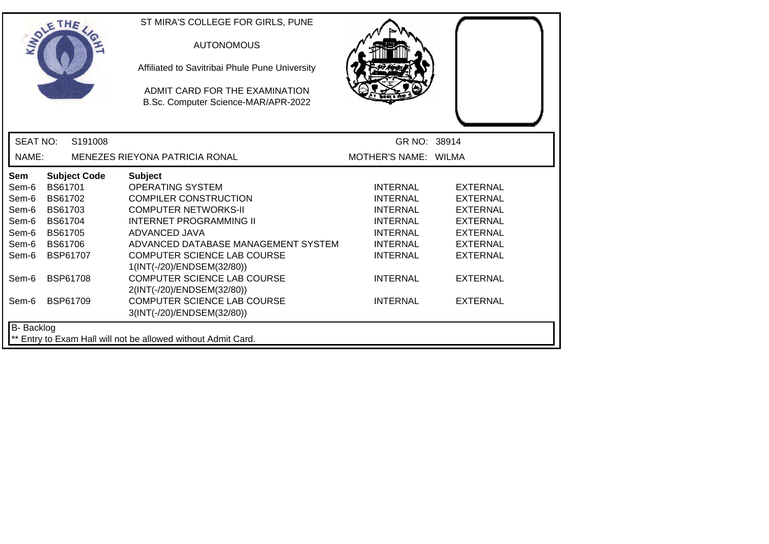|                                                                                             | <b>SOLETHE</b>                                                                                                                                             |                     | ST MIRA'S COLLEGE FOR GIRLS, PUNE<br><b>AUTONOMOUS</b><br>Affiliated to Savitribai Phule Pune University<br>ADMIT CARD FOR THE EXAMINATION                                                                                                                                                                                                                                                              |                                                                                                                                                                  |                                                                                                                                                                         |
|---------------------------------------------------------------------------------------------|------------------------------------------------------------------------------------------------------------------------------------------------------------|---------------------|---------------------------------------------------------------------------------------------------------------------------------------------------------------------------------------------------------------------------------------------------------------------------------------------------------------------------------------------------------------------------------------------------------|------------------------------------------------------------------------------------------------------------------------------------------------------------------|-------------------------------------------------------------------------------------------------------------------------------------------------------------------------|
| <b>SEAT NO:</b>                                                                             |                                                                                                                                                            | S191008             | B.Sc. Computer Science-MAR/APR-2022                                                                                                                                                                                                                                                                                                                                                                     | GR NO: 38914                                                                                                                                                     |                                                                                                                                                                         |
| NAME:                                                                                       |                                                                                                                                                            |                     | <b>MENEZES RIEYONA PATRICIA RONAL</b>                                                                                                                                                                                                                                                                                                                                                                   | MOTHER'S NAME: WILMA                                                                                                                                             |                                                                                                                                                                         |
| <b>Sem</b><br>Sem-6<br>Sem-6<br>Sem-6<br>Sem-6<br>Sem-6<br>Sem-6<br>Sem-6<br>Sem-6<br>Sem-6 | <b>BS61701</b><br><b>BS61702</b><br>BS61703<br><b>BS61704</b><br><b>BS61705</b><br><b>BS61706</b><br><b>BSP61707</b><br><b>BSP61708</b><br><b>BSP61709</b> | <b>Subject Code</b> | <b>Subject</b><br><b>OPERATING SYSTEM</b><br><b>COMPILER CONSTRUCTION</b><br><b>COMPUTER NETWORKS-II</b><br><b>INTERNET PROGRAMMING II</b><br>ADVANCED JAVA<br>ADVANCED DATABASE MANAGEMENT SYSTEM<br><b>COMPUTER SCIENCE LAB COURSE</b><br>1(INT(-/20)/ENDSEM(32/80))<br><b>COMPUTER SCIENCE LAB COURSE</b><br>2(INT(-/20)/ENDSEM(32/80))<br>COMPUTER SCIENCE LAB COURSE<br>3(INT(-/20)/ENDSEM(32/80)) | <b>INTERNAL</b><br>INTERNAL<br><b>INTERNAL</b><br><b>INTERNAL</b><br><b>INTERNAL</b><br><b>INTERNAL</b><br><b>INTERNAL</b><br><b>INTERNAL</b><br><b>INTERNAL</b> | <b>EXTERNAL</b><br><b>EXTERNAL</b><br><b>EXTERNAL</b><br><b>EXTERNAL</b><br><b>EXTERNAL</b><br><b>EXTERNAL</b><br><b>EXTERNAL</b><br><b>EXTERNAL</b><br><b>EXTERNAL</b> |
| <b>B-</b> Backlog                                                                           |                                                                                                                                                            |                     | ** Entry to Exam Hall will not be allowed without Admit Card.                                                                                                                                                                                                                                                                                                                                           |                                                                                                                                                                  |                                                                                                                                                                         |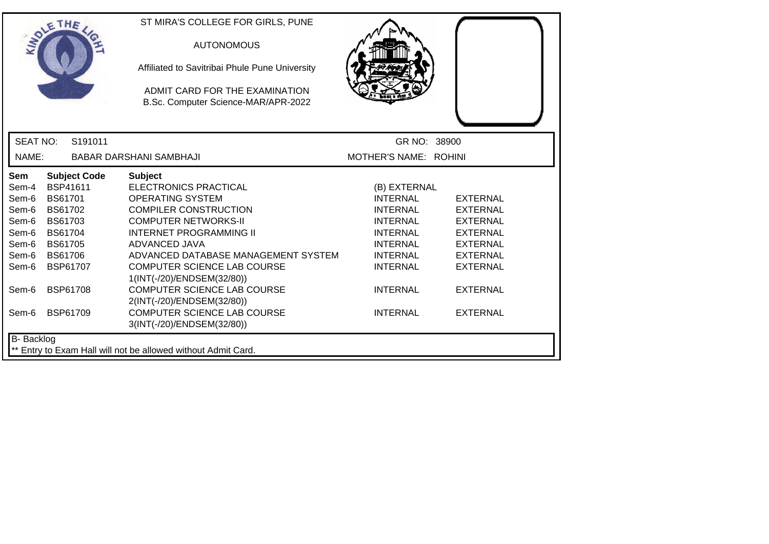|                 | THE                 | ST MIRA'S COLLEGE FOR GIRLS, PUNE<br><b>AUTONOMOUS</b><br>Affiliated to Savitribai Phule Pune University<br>ADMIT CARD FOR THE EXAMINATION |                       |                 |
|-----------------|---------------------|--------------------------------------------------------------------------------------------------------------------------------------------|-----------------------|-----------------|
|                 |                     | B.Sc. Computer Science-MAR/APR-2022                                                                                                        |                       |                 |
| <b>SEAT NO:</b> | S191011             |                                                                                                                                            | GR NO: 38900          |                 |
| NAME:           |                     | BABAR DARSHANI SAMBHAJI                                                                                                                    | MOTHER'S NAME: ROHINI |                 |
| Sem             | <b>Subject Code</b> | <b>Subject</b>                                                                                                                             |                       |                 |
| Sem-4           | BSP41611            | <b>ELECTRONICS PRACTICAL</b>                                                                                                               | (B) EXTERNAL          |                 |
| Sem-6           | BS61701             | <b>OPERATING SYSTEM</b>                                                                                                                    | <b>INTERNAL</b>       | <b>EXTERNAL</b> |
| Sem-6           | BS61702             | <b>COMPILER CONSTRUCTION</b>                                                                                                               | <b>INTERNAL</b>       | <b>EXTERNAL</b> |
| Sem-6           | BS61703             | <b>COMPUTER NETWORKS-II</b>                                                                                                                | <b>INTERNAL</b>       | <b>EXTERNAL</b> |
| Sem-6           | <b>BS61704</b>      | <b>INTERNET PROGRAMMING II</b>                                                                                                             | <b>INTERNAL</b>       | <b>EXTERNAL</b> |
| Sem-6           | <b>BS61705</b>      | ADVANCED JAVA                                                                                                                              | <b>INTERNAL</b>       | <b>EXTERNAL</b> |
| Sem-6           | <b>BS61706</b>      | ADVANCED DATABASE MANAGEMENT SYSTEM                                                                                                        | <b>INTERNAL</b>       | <b>EXTERNAL</b> |
| Sem-6           | BSP61707            | COMPUTER SCIENCE LAB COURSE                                                                                                                | <b>INTERNAL</b>       | <b>EXTERNAL</b> |
|                 |                     | 1(INT(-/20)/ENDSEM(32/80))                                                                                                                 |                       |                 |
| Sem-6           | <b>BSP61708</b>     | <b>COMPUTER SCIENCE LAB COURSE</b>                                                                                                         | <b>INTERNAL</b>       | <b>EXTERNAL</b> |
|                 |                     | 2(INT(-/20)/ENDSEM(32/80))                                                                                                                 |                       |                 |
| Sem-6           | BSP61709            | COMPUTER SCIENCE LAB COURSE                                                                                                                | <b>INTERNAL</b>       | <b>EXTERNAL</b> |
|                 |                     | 3(INT(-/20)/ENDSEM(32/80))                                                                                                                 |                       |                 |
| B- Backlog      |                     |                                                                                                                                            |                       |                 |
|                 |                     | ** Entry to Exam Hall will not be allowed without Admit Card.                                                                              |                       |                 |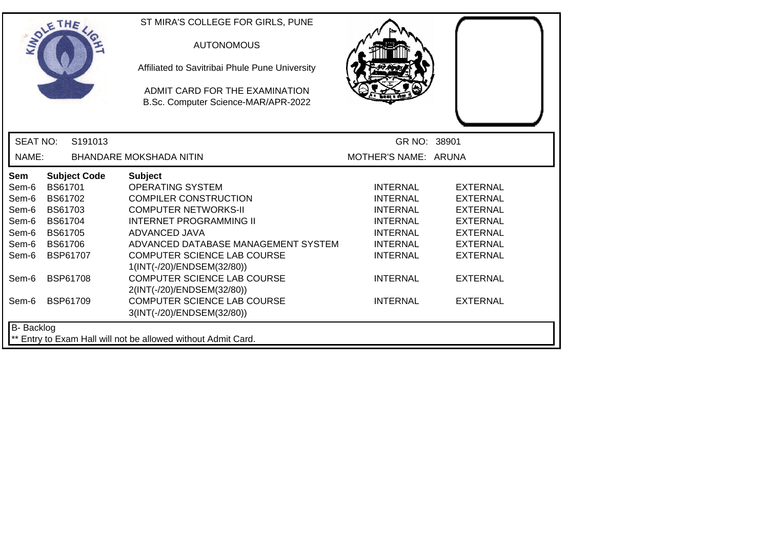| SOLETHE           |                |                     | ST MIRA'S COLLEGE FOR GIRLS, PUNE<br><b>AUTONOMOUS</b><br>Affiliated to Savitribai Phule Pune University |                      |                 |
|-------------------|----------------|---------------------|----------------------------------------------------------------------------------------------------------|----------------------|-----------------|
|                   |                |                     | ADMIT CARD FOR THE EXAMINATION<br>B.Sc. Computer Science-MAR/APR-2022                                    |                      |                 |
| <b>SEAT NO:</b>   |                | S <sub>191013</sub> |                                                                                                          | GR NO: 38901         |                 |
| NAME:             |                |                     | <b>BHANDARE MOKSHADA NITIN</b>                                                                           | MOTHER'S NAME: ARUNA |                 |
| <b>Sem</b>        |                | <b>Subject Code</b> | <b>Subject</b>                                                                                           |                      |                 |
| Sem-6             | BS61701        |                     | <b>OPERATING SYSTEM</b>                                                                                  | <b>INTERNAL</b>      | <b>EXTERNAL</b> |
| Sem-6             | BS61702        |                     | <b>COMPILER CONSTRUCTION</b>                                                                             | <b>INTERNAL</b>      | <b>EXTERNAL</b> |
| Sem-6             | BS61703        |                     | <b>COMPUTER NETWORKS-II</b>                                                                              | <b>INTERNAL</b>      | <b>EXTERNAL</b> |
| Sem-6             | <b>BS61704</b> |                     | <b>INTERNET PROGRAMMING II</b>                                                                           | <b>INTERNAL</b>      | <b>EXTERNAL</b> |
| Sem-6             | <b>BS61705</b> |                     | ADVANCED JAVA                                                                                            | <b>INTERNAL</b>      | <b>EXTERNAL</b> |
| Sem-6             | BS61706        |                     | ADVANCED DATABASE MANAGEMENT SYSTEM                                                                      | <b>INTERNAL</b>      | <b>EXTERNAL</b> |
| Sem-6             |                | BSP61707            | <b>COMPUTER SCIENCE LAB COURSE</b><br>1(INT(-/20)/ENDSEM(32/80))                                         | <b>INTERNAL</b>      | <b>EXTERNAL</b> |
| Sem-6             |                | <b>BSP61708</b>     | <b>COMPUTER SCIENCE LAB COURSE</b><br>2(INT(-/20)/ENDSEM(32/80))                                         | <b>INTERNAL</b>      | <b>EXTERNAL</b> |
| Sem-6             |                | <b>BSP61709</b>     | <b>COMPUTER SCIENCE LAB COURSE</b><br>3(INT(-/20)/ENDSEM(32/80))                                         | <b>INTERNAL</b>      | <b>EXTERNAL</b> |
| <b>B-</b> Backlog |                |                     |                                                                                                          |                      |                 |
|                   |                |                     | ** Entry to Exam Hall will not be allowed without Admit Card.                                            |                      |                 |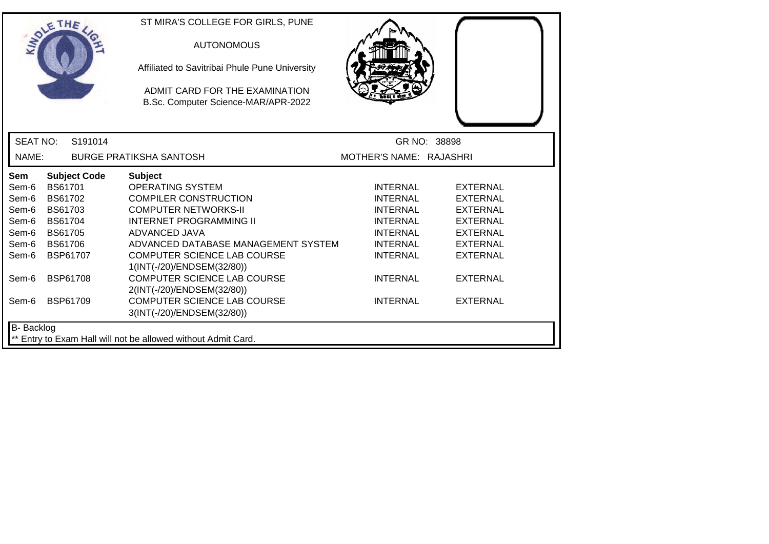| SOLE THE          |                 |                     | ST MIRA'S COLLEGE FOR GIRLS, PUNE<br><b>AUTONOMOUS</b><br>Affiliated to Savitribai Phule Pune University<br>ADMIT CARD FOR THE EXAMINATION<br>B.Sc. Computer Science-MAR/APR-2022 |                         |                 |
|-------------------|-----------------|---------------------|-----------------------------------------------------------------------------------------------------------------------------------------------------------------------------------|-------------------------|-----------------|
| <b>SEAT NO:</b>   |                 | S191014             |                                                                                                                                                                                   |                         | GR NO: 38898    |
| NAME:             |                 |                     | <b>BURGE PRATIKSHA SANTOSH</b>                                                                                                                                                    | MOTHER'S NAME: RAJASHRI |                 |
| <b>Sem</b>        |                 | <b>Subject Code</b> | <b>Subject</b>                                                                                                                                                                    |                         |                 |
| Sem-6             | BS61701         |                     | <b>OPERATING SYSTEM</b>                                                                                                                                                           | <b>INTERNAL</b>         | <b>EXTERNAL</b> |
| Sem-6             | <b>BS61702</b>  |                     | <b>COMPILER CONSTRUCTION</b>                                                                                                                                                      | <b>INTERNAL</b>         | <b>EXTERNAL</b> |
| Sem-6             | <b>BS61703</b>  |                     | <b>COMPUTER NETWORKS-II</b>                                                                                                                                                       | <b>INTERNAL</b>         | <b>EXTERNAL</b> |
| Sem-6             | <b>BS61704</b>  |                     | <b>INTERNET PROGRAMMING II</b>                                                                                                                                                    | <b>INTERNAL</b>         | <b>EXTERNAL</b> |
| Sem-6             | BS61705         |                     | ADVANCED JAVA                                                                                                                                                                     | <b>INTERNAL</b>         | <b>EXTERNAL</b> |
| Sem-6             | <b>BS61706</b>  |                     | ADVANCED DATABASE MANAGEMENT SYSTEM                                                                                                                                               | <b>INTERNAL</b>         | <b>EXTERNAL</b> |
| Sem-6             |                 | <b>BSP61707</b>     | COMPUTER SCIENCE LAB COURSE                                                                                                                                                       | <b>INTERNAL</b>         | <b>EXTERNAL</b> |
|                   |                 |                     | 1(INT(-/20)/ENDSEM(32/80))                                                                                                                                                        |                         |                 |
| Sem-6             | <b>BSP61708</b> |                     | <b>COMPUTER SCIENCE LAB COURSE</b>                                                                                                                                                | <b>INTERNAL</b>         | <b>EXTERNAL</b> |
|                   |                 |                     | 2(INT(-/20)/ENDSEM(32/80))                                                                                                                                                        |                         |                 |
| Sem-6             | BSP61709        |                     | <b>COMPUTER SCIENCE LAB COURSE</b>                                                                                                                                                | <b>INTERNAL</b>         | <b>EXTERNAL</b> |
|                   |                 |                     | 3(INT(-/20)/ENDSEM(32/80))                                                                                                                                                        |                         |                 |
| <b>B-</b> Backlog |                 |                     |                                                                                                                                                                                   |                         |                 |
|                   |                 |                     | ** Entry to Exam Hall will not be allowed without Admit Card.                                                                                                                     |                         |                 |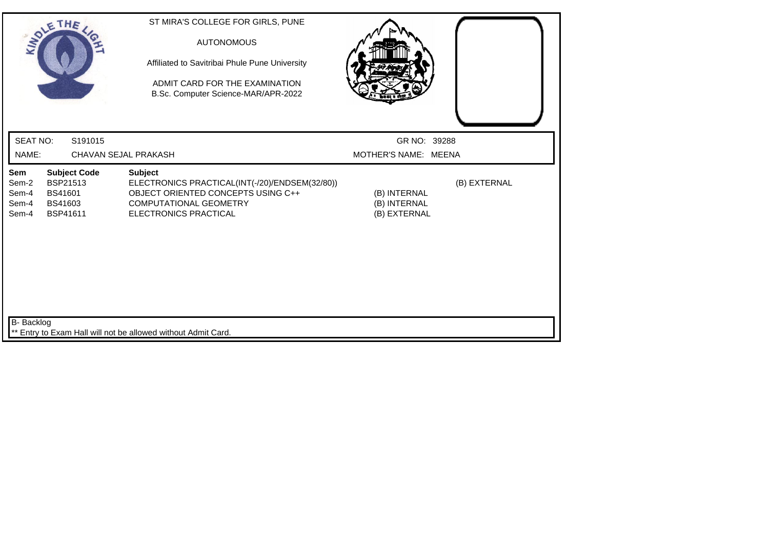| SOLETHE ,                                                                                                                         | ST MIRA'S COLLEGE FOR GIRLS, PUNE<br><b>AUTONOMOUS</b><br>Affiliated to Savitribai Phule Pune University<br>ADMIT CARD FOR THE EXAMINATION<br>B.Sc. Computer Science-MAR/APR-2022 |                                              |              |
|-----------------------------------------------------------------------------------------------------------------------------------|-----------------------------------------------------------------------------------------------------------------------------------------------------------------------------------|----------------------------------------------|--------------|
| <b>SEAT NO:</b><br>S191015                                                                                                        |                                                                                                                                                                                   | GR NO: 39288                                 |              |
| NAME:                                                                                                                             | CHAVAN SEJAL PRAKASH                                                                                                                                                              | MOTHER'S NAME: MEENA                         |              |
| <b>Subject Code</b><br>Sem<br><b>BSP21513</b><br>Sem-2<br><b>BS41601</b><br>Sem-4<br>Sem-4<br>BS41603<br><b>BSP41611</b><br>Sem-4 | <b>Subject</b><br>ELECTRONICS PRACTICAL(INT(-/20)/ENDSEM(32/80))<br>OBJECT ORIENTED CONCEPTS USING C++<br><b>COMPUTATIONAL GEOMETRY</b><br>ELECTRONICS PRACTICAL                  | (B) INTERNAL<br>(B) INTERNAL<br>(B) EXTERNAL | (B) EXTERNAL |
| <b>B-</b> Backlog                                                                                                                 | ** Entry to Exam Hall will not be allowed without Admit Card.                                                                                                                     |                                              |              |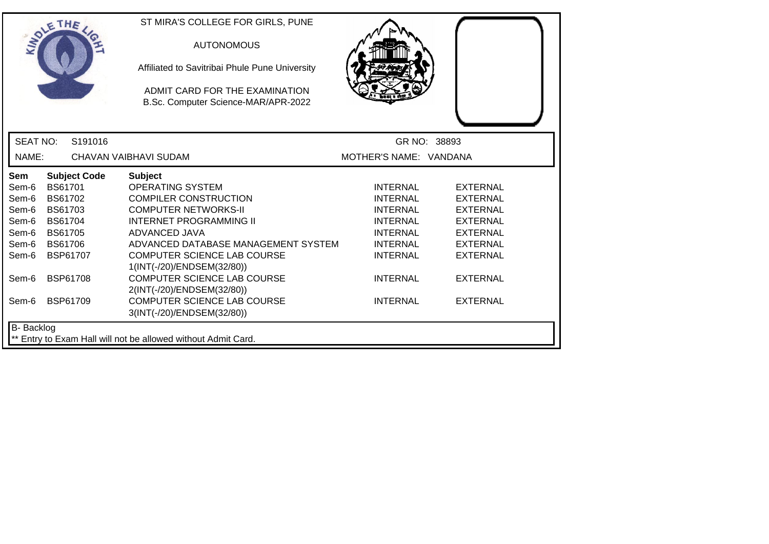| SOLE THE          |                                                               |                     | ST MIRA'S COLLEGE FOR GIRLS, PUNE<br><b>AUTONOMOUS</b><br>Affiliated to Savitribai Phule Pune University<br>ADMIT CARD FOR THE EXAMINATION<br>B.Sc. Computer Science-MAR/APR-2022 |                        |                 |  |
|-------------------|---------------------------------------------------------------|---------------------|-----------------------------------------------------------------------------------------------------------------------------------------------------------------------------------|------------------------|-----------------|--|
| <b>SEAT NO:</b>   |                                                               | S191016             |                                                                                                                                                                                   |                        | GR NO: 38893    |  |
| NAME:             |                                                               |                     | CHAVAN VAIBHAVI SUDAM                                                                                                                                                             | MOTHER'S NAME: VANDANA |                 |  |
| Sem               |                                                               | <b>Subject Code</b> | <b>Subject</b>                                                                                                                                                                    |                        |                 |  |
| Sem-6             | <b>BS61701</b>                                                |                     | <b>OPERATING SYSTEM</b>                                                                                                                                                           | <b>INTERNAL</b>        | <b>EXTERNAL</b> |  |
| Sem-6             | BS61702                                                       |                     | <b>COMPILER CONSTRUCTION</b>                                                                                                                                                      | <b>INTERNAL</b>        | <b>EXTERNAL</b> |  |
| Sem-6             | <b>BS61703</b>                                                |                     | <b>COMPUTER NETWORKS-II</b>                                                                                                                                                       | <b>INTERNAL</b>        | <b>EXTERNAL</b> |  |
| Sem-6             | <b>BS61704</b>                                                |                     | <b>INTERNET PROGRAMMING II</b>                                                                                                                                                    | <b>INTERNAL</b>        | <b>EXTERNAL</b> |  |
| Sem-6             | <b>BS61705</b>                                                |                     | ADVANCED JAVA                                                                                                                                                                     | <b>INTERNAL</b>        | <b>EXTERNAL</b> |  |
| Sem-6             | <b>BS61706</b>                                                |                     | ADVANCED DATABASE MANAGEMENT SYSTEM                                                                                                                                               | <b>INTERNAL</b>        | <b>EXTERNAL</b> |  |
| Sem-6             |                                                               | BSP61707            | COMPUTER SCIENCE LAB COURSE                                                                                                                                                       | <b>INTERNAL</b>        | <b>EXTERNAL</b> |  |
|                   |                                                               |                     | 1(INT(-/20)/ENDSEM(32/80))                                                                                                                                                        |                        |                 |  |
| Sem-6             |                                                               | <b>BSP61708</b>     | <b>COMPUTER SCIENCE LAB COURSE</b>                                                                                                                                                | <b>INTERNAL</b>        | <b>EXTERNAL</b> |  |
|                   |                                                               |                     | 2(INT(-/20)/ENDSEM(32/80))                                                                                                                                                        |                        |                 |  |
| Sem-6             |                                                               | <b>BSP61709</b>     | <b>COMPUTER SCIENCE LAB COURSE</b>                                                                                                                                                | <b>INTERNAL</b>        | <b>EXTERNAL</b> |  |
|                   |                                                               |                     | 3(INT(-/20)/ENDSEM(32/80))                                                                                                                                                        |                        |                 |  |
| <b>B-</b> Backlog |                                                               |                     |                                                                                                                                                                                   |                        |                 |  |
|                   | ** Entry to Exam Hall will not be allowed without Admit Card. |                     |                                                                                                                                                                                   |                        |                 |  |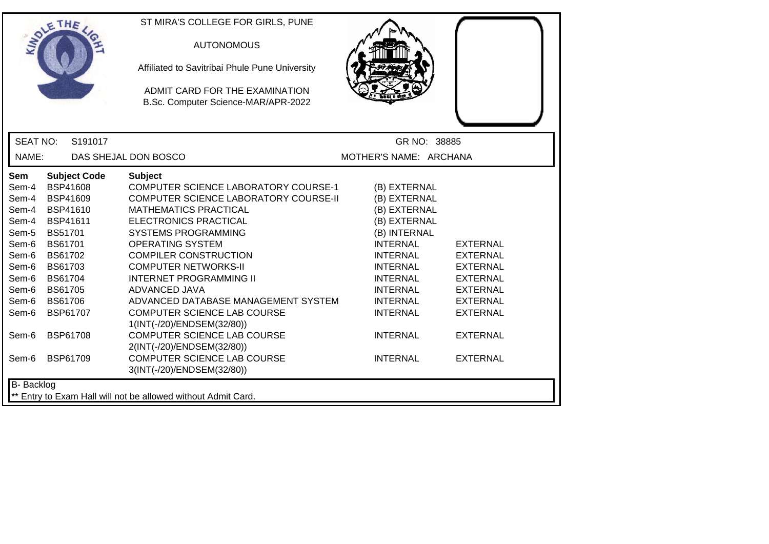|                                                                                                                          | ETHE                                                                                                                                                                                                               | ST MIRA'S COLLEGE FOR GIRLS, PUNE<br><b>AUTONOMOUS</b><br>Affiliated to Savitribai Phule Pune University<br>ADMIT CARD FOR THE EXAMINATION<br>B.Sc. Computer Science-MAR/APR-2022                                                                                                                                                                                                                                                                                             |                                                                                                                                                                                                                                      |                                                                                                                                                      |
|--------------------------------------------------------------------------------------------------------------------------|--------------------------------------------------------------------------------------------------------------------------------------------------------------------------------------------------------------------|-------------------------------------------------------------------------------------------------------------------------------------------------------------------------------------------------------------------------------------------------------------------------------------------------------------------------------------------------------------------------------------------------------------------------------------------------------------------------------|--------------------------------------------------------------------------------------------------------------------------------------------------------------------------------------------------------------------------------------|------------------------------------------------------------------------------------------------------------------------------------------------------|
| <b>SEAT NO:</b>                                                                                                          | S191017                                                                                                                                                                                                            |                                                                                                                                                                                                                                                                                                                                                                                                                                                                               | GR NO: 38885                                                                                                                                                                                                                         |                                                                                                                                                      |
| NAME:                                                                                                                    |                                                                                                                                                                                                                    | DAS SHEJAL DON BOSCO                                                                                                                                                                                                                                                                                                                                                                                                                                                          | MOTHER'S NAME: ARCHANA                                                                                                                                                                                                               |                                                                                                                                                      |
| Sem<br>Sem-4<br>Sem-4<br>Sem-4<br>Sem-4<br>Sem-5<br>Sem-6<br>Sem-6<br>Sem-6<br>Sem-6<br>Sem-6<br>Sem-6<br>Sem-6<br>Sem-6 | <b>Subject Code</b><br>BSP41608<br><b>BSP41609</b><br>BSP41610<br>BSP41611<br><b>BS51701</b><br>BS61701<br>BS61702<br>BS61703<br><b>BS61704</b><br><b>BS61705</b><br><b>BS61706</b><br>BSP61707<br><b>BSP61708</b> | <b>Subject</b><br>COMPUTER SCIENCE LABORATORY COURSE-1<br>COMPUTER SCIENCE LABORATORY COURSE-II<br><b>MATHEMATICS PRACTICAL</b><br>ELECTRONICS PRACTICAL<br><b>SYSTEMS PROGRAMMING</b><br><b>OPERATING SYSTEM</b><br><b>COMPILER CONSTRUCTION</b><br><b>COMPUTER NETWORKS-II</b><br><b>INTERNET PROGRAMMING II</b><br>ADVANCED JAVA<br>ADVANCED DATABASE MANAGEMENT SYSTEM<br>COMPUTER SCIENCE LAB COURSE<br>1(INT(-/20)/ENDSEM(32/80))<br><b>COMPUTER SCIENCE LAB COURSE</b> | (B) EXTERNAL<br>(B) EXTERNAL<br>(B) EXTERNAL<br>(B) EXTERNAL<br>(B) INTERNAL<br><b>INTERNAL</b><br><b>INTERNAL</b><br><b>INTERNAL</b><br><b>INTERNAL</b><br><b>INTERNAL</b><br><b>INTERNAL</b><br><b>INTERNAL</b><br><b>INTERNAL</b> | <b>EXTERNAL</b><br><b>EXTERNAL</b><br><b>EXTERNAL</b><br><b>EXTERNAL</b><br><b>EXTERNAL</b><br><b>EXTERNAL</b><br><b>EXTERNAL</b><br><b>EXTERNAL</b> |
| Sem-6                                                                                                                    | <b>BSP61709</b>                                                                                                                                                                                                    | 2(INT(-/20)/ENDSEM(32/80))<br><b>COMPUTER SCIENCE LAB COURSE</b><br>3(INT(-/20)/ENDSEM(32/80))                                                                                                                                                                                                                                                                                                                                                                                | <b>INTERNAL</b>                                                                                                                                                                                                                      | <b>EXTERNAL</b>                                                                                                                                      |
| <b>B-</b> Backlog                                                                                                        |                                                                                                                                                                                                                    | ** Entry to Exam Hall will not be allowed without Admit Card.                                                                                                                                                                                                                                                                                                                                                                                                                 |                                                                                                                                                                                                                                      |                                                                                                                                                      |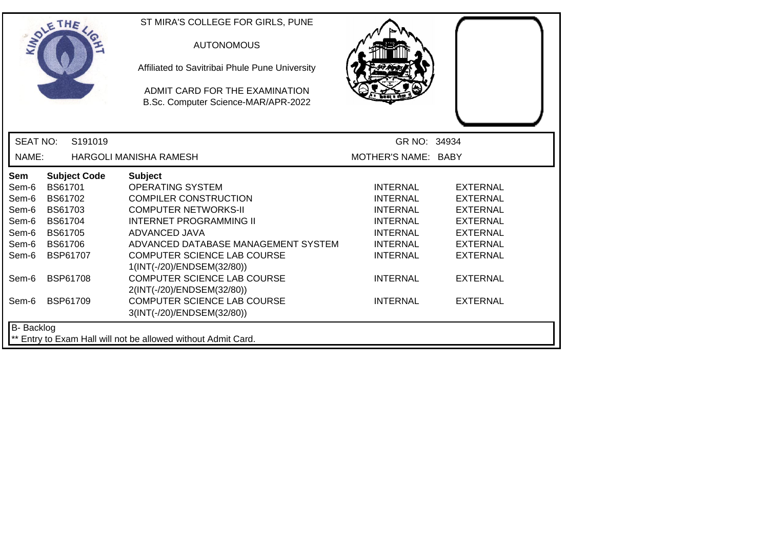|                 | SOLE THE        |                     | ST MIRA'S COLLEGE FOR GIRLS, PUNE<br><b>AUTONOMOUS</b><br>Affiliated to Savitribai Phule Pune University<br>ADMIT CARD FOR THE EXAMINATION<br>B.Sc. Computer Science-MAR/APR-2022 |                     |                 |
|-----------------|-----------------|---------------------|-----------------------------------------------------------------------------------------------------------------------------------------------------------------------------------|---------------------|-----------------|
| <b>SEAT NO:</b> |                 | S191019             |                                                                                                                                                                                   | GR NO: 34934        |                 |
| NAME:           |                 |                     | HARGOLI MANISHA RAMESH                                                                                                                                                            | MOTHER'S NAME: BABY |                 |
| <b>Sem</b>      |                 | <b>Subject Code</b> | <b>Subject</b>                                                                                                                                                                    |                     |                 |
| Sem-6           | <b>BS61701</b>  |                     | <b>OPERATING SYSTEM</b>                                                                                                                                                           | <b>INTERNAL</b>     | <b>EXTERNAL</b> |
| Sem-6           | BS61702         |                     | <b>COMPILER CONSTRUCTION</b>                                                                                                                                                      | <b>INTERNAL</b>     | <b>EXTERNAL</b> |
| Sem-6           | <b>BS61703</b>  |                     | <b>COMPUTER NETWORKS-II</b>                                                                                                                                                       | <b>INTERNAL</b>     | <b>EXTERNAL</b> |
| Sem-6           | <b>BS61704</b>  |                     | <b>INTERNET PROGRAMMING II</b>                                                                                                                                                    | <b>INTERNAL</b>     | <b>EXTERNAL</b> |
| Sem-6           | <b>BS61705</b>  |                     | <b>ADVANCED JAVA</b>                                                                                                                                                              | <b>INTERNAL</b>     | <b>EXTERNAL</b> |
| Sem-6           | <b>BS61706</b>  |                     | ADVANCED DATABASE MANAGEMENT SYSTEM                                                                                                                                               | <b>INTERNAL</b>     | <b>EXTERNAL</b> |
| Sem-6           | BSP61707        |                     | COMPUTER SCIENCE LAB COURSE                                                                                                                                                       | <b>INTERNAL</b>     | <b>EXTERNAL</b> |
|                 |                 |                     | 1(INT(-/20)/ENDSEM(32/80))                                                                                                                                                        |                     |                 |
| Sem-6           | <b>BSP61708</b> |                     | <b>COMPUTER SCIENCE LAB COURSE</b>                                                                                                                                                | <b>INTERNAL</b>     | <b>EXTERNAL</b> |
|                 |                 |                     | 2(INT(-/20)/ENDSEM(32/80))                                                                                                                                                        |                     |                 |
| Sem-6           | <b>BSP61709</b> |                     | <b>COMPUTER SCIENCE LAB COURSE</b>                                                                                                                                                | <b>INTERNAL</b>     | <b>EXTERNAL</b> |
|                 |                 |                     | 3(INT(-/20)/ENDSEM(32/80))                                                                                                                                                        |                     |                 |
| B- Backlog      |                 |                     |                                                                                                                                                                                   |                     |                 |
|                 |                 |                     | ** Entry to Exam Hall will not be allowed without Admit Card.                                                                                                                     |                     |                 |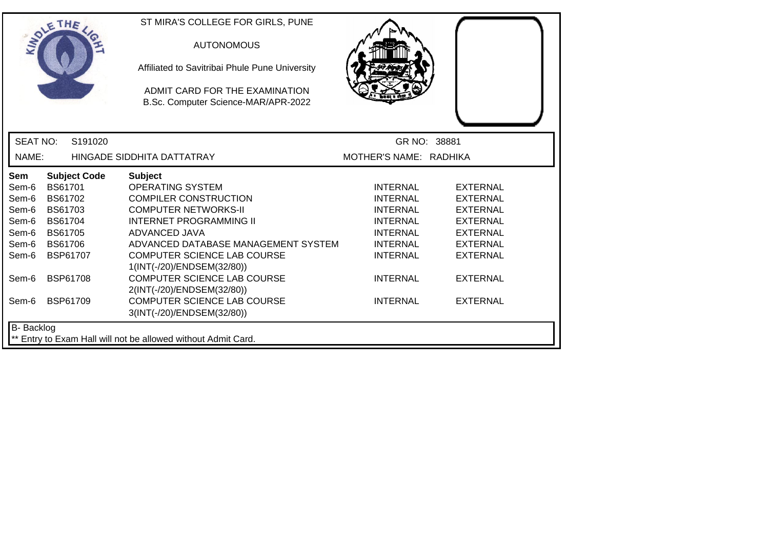|                   | <b>OLETHE</b>  |                     | ST MIRA'S COLLEGE FOR GIRLS, PUNE                                     |                        |                 |
|-------------------|----------------|---------------------|-----------------------------------------------------------------------|------------------------|-----------------|
|                   |                |                     | <b>AUTONOMOUS</b>                                                     |                        |                 |
|                   |                |                     | Affiliated to Savitribai Phule Pune University                        |                        |                 |
|                   |                |                     | ADMIT CARD FOR THE EXAMINATION<br>B.Sc. Computer Science-MAR/APR-2022 |                        |                 |
| <b>SEAT NO:</b>   |                | S191020             |                                                                       | GR NO: 38881           |                 |
| NAME:             |                |                     | HINGADE SIDDHITA DATTATRAY                                            | MOTHER'S NAME: RADHIKA |                 |
| <b>Sem</b>        |                | <b>Subject Code</b> | <b>Subject</b>                                                        |                        |                 |
| Sem-6             | <b>BS61701</b> |                     | <b>OPERATING SYSTEM</b>                                               | <b>INTERNAL</b>        | <b>EXTERNAL</b> |
| Sem-6             | <b>BS61702</b> |                     | <b>COMPILER CONSTRUCTION</b>                                          | <b>INTERNAL</b>        | <b>EXTERNAL</b> |
| Sem-6             | BS61703        |                     | <b>COMPUTER NETWORKS-II</b>                                           | <b>INTERNAL</b>        | <b>EXTERNAL</b> |
| Sem-6             | <b>BS61704</b> |                     | <b>INTERNET PROGRAMMING II</b>                                        | <b>INTERNAL</b>        | <b>EXTERNAL</b> |
| Sem-6             | <b>BS61705</b> |                     | ADVANCED JAVA                                                         | <b>INTERNAL</b>        | <b>EXTERNAL</b> |
| Sem-6             | <b>BS61706</b> |                     | ADVANCED DATABASE MANAGEMENT SYSTEM                                   | <b>INTERNAL</b>        | <b>EXTERNAL</b> |
| Sem-6             |                | <b>BSP61707</b>     | <b>COMPUTER SCIENCE LAB COURSE</b><br>1(INT(-/20)/ENDSEM(32/80))      | <b>INTERNAL</b>        | <b>EXTERNAL</b> |
| Sem-6             |                | <b>BSP61708</b>     | <b>COMPUTER SCIENCE LAB COURSE</b><br>2(INT(-/20)/ENDSEM(32/80))      | <b>INTERNAL</b>        | <b>EXTERNAL</b> |
| Sem-6             |                | <b>BSP61709</b>     | COMPUTER SCIENCE LAB COURSE<br>3(INT(-/20)/ENDSEM(32/80))             | <b>INTERNAL</b>        | <b>EXTERNAL</b> |
| <b>B-</b> Backlog |                |                     |                                                                       |                        |                 |
|                   |                |                     | ** Entry to Exam Hall will not be allowed without Admit Card.         |                        |                 |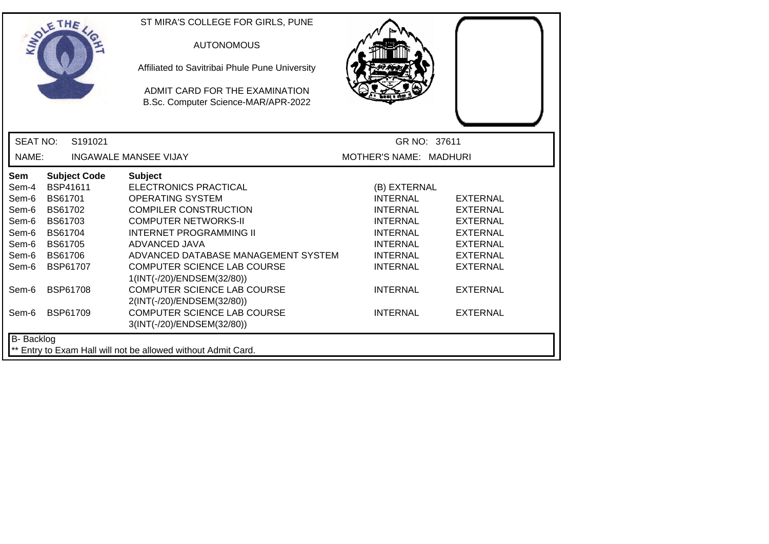| ST MIRA'S COLLEGE FOR GIRLS, PUNE<br>THE<br><b>AUTONOMOUS</b><br>Affiliated to Savitribai Phule Pune University<br>ADMIT CARD FOR THE EXAMINATION<br>B.Sc. Computer Science-MAR/APR-2022 |  |
|------------------------------------------------------------------------------------------------------------------------------------------------------------------------------------------|--|
| <b>SEAT NO:</b><br>S191021<br>GR NO: 37611                                                                                                                                               |  |
| NAME:<br>MOTHER'S NAME: MADHURI<br><b>INGAWALE MANSEE VIJAY</b>                                                                                                                          |  |
| <b>Subject Code</b><br>Sem<br><b>Subject</b>                                                                                                                                             |  |
| BSP41611<br><b>ELECTRONICS PRACTICAL</b><br>Sem-4<br>(B) EXTERNAL                                                                                                                        |  |
| Sem-6<br>BS61701<br><b>OPERATING SYSTEM</b><br><b>INTERNAL</b><br><b>EXTERNAL</b>                                                                                                        |  |
| <b>COMPILER CONSTRUCTION</b><br><b>INTERNAL</b><br><b>EXTERNAL</b><br>Sem-6<br>BS61702                                                                                                   |  |
| <b>COMPUTER NETWORKS-II</b><br><b>INTERNAL</b><br><b>EXTERNAL</b><br>Sem-6<br>BS61703                                                                                                    |  |
| <b>BS61704</b><br><b>INTERNET PROGRAMMING II</b><br><b>INTERNAL</b><br><b>EXTERNAL</b><br>Sem-6                                                                                          |  |
| Sem-6<br>ADVANCED JAVA<br><b>INTERNAL</b><br><b>BS61705</b><br><b>EXTERNAL</b>                                                                                                           |  |
| ADVANCED DATABASE MANAGEMENT SYSTEM<br>Sem-6<br><b>BS61706</b><br><b>INTERNAL</b><br><b>EXTERNAL</b>                                                                                     |  |
| COMPUTER SCIENCE LAB COURSE<br>BSP61707<br><b>INTERNAL</b><br><b>EXTERNAL</b><br>Sem-6                                                                                                   |  |
| 1(INT(-/20)/ENDSEM(32/80))                                                                                                                                                               |  |
| <b>COMPUTER SCIENCE LAB COURSE</b><br><b>BSP61708</b><br><b>INTERNAL</b><br><b>EXTERNAL</b><br>Sem-6                                                                                     |  |
| 2(INT(-/20)/ENDSEM(32/80))                                                                                                                                                               |  |
| COMPUTER SCIENCE LAB COURSE<br>BSP61709<br><b>INTERNAL</b><br><b>EXTERNAL</b><br>Sem-6                                                                                                   |  |
| 3(INT(-/20)/ENDSEM(32/80))                                                                                                                                                               |  |
| B- Backlog                                                                                                                                                                               |  |
| ** Entry to Exam Hall will not be allowed without Admit Card.                                                                                                                            |  |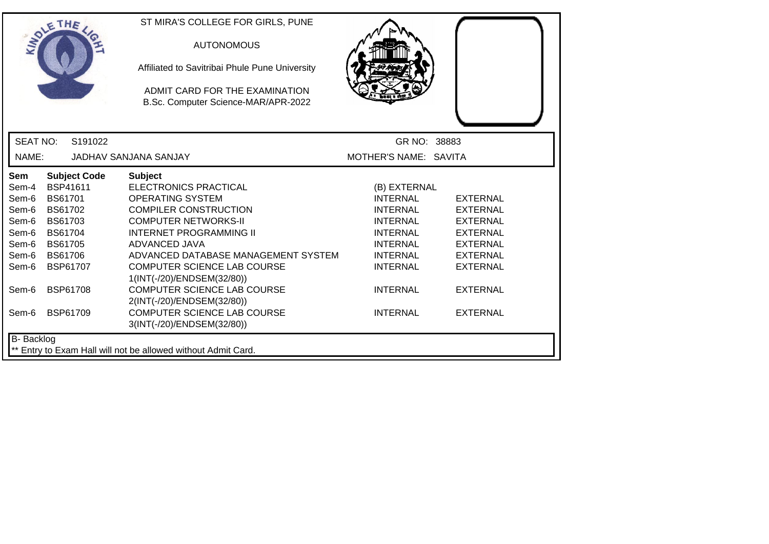|                          | THE                 | ST MIRA'S COLLEGE FOR GIRLS, PUNE                                     |                       |                 |
|--------------------------|---------------------|-----------------------------------------------------------------------|-----------------------|-----------------|
|                          |                     | <b>AUTONOMOUS</b>                                                     |                       |                 |
|                          |                     | Affiliated to Savitribai Phule Pune University                        |                       |                 |
|                          |                     | ADMIT CARD FOR THE EXAMINATION<br>B.Sc. Computer Science-MAR/APR-2022 |                       |                 |
|                          |                     |                                                                       |                       |                 |
| <b>SEAT NO:</b>          | S191022             |                                                                       | GR NO: 38883          |                 |
| NAME:                    |                     | <b>JADHAV SANJANA SANJAY</b>                                          | MOTHER'S NAME: SAVITA |                 |
| <b>Sem</b>               | <b>Subject Code</b> | <b>Subject</b>                                                        |                       |                 |
| Sem-4                    | BSP41611            | <b>ELECTRONICS PRACTICAL</b>                                          | (B) EXTERNAL          |                 |
| Sem-6                    | <b>BS61701</b>      | <b>OPERATING SYSTEM</b>                                               | <b>INTERNAL</b>       | <b>EXTERNAL</b> |
| Sem-6                    | <b>BS61702</b>      | <b>COMPILER CONSTRUCTION</b>                                          | <b>INTERNAL</b>       | <b>EXTERNAL</b> |
| Sem-6                    | BS61703             | <b>COMPUTER NETWORKS-II</b>                                           | <b>INTERNAL</b>       | <b>EXTERNAL</b> |
| Sem-6                    | <b>BS61704</b>      | <b>INTERNET PROGRAMMING II</b>                                        | <b>INTERNAL</b>       | <b>EXTERNAL</b> |
| Sem-6                    | <b>BS61705</b>      | ADVANCED JAVA                                                         | <b>INTERNAL</b>       | <b>EXTERNAL</b> |
| Sem-6                    | <b>BS61706</b>      | ADVANCED DATABASE MANAGEMENT SYSTEM                                   | <b>INTERNAL</b>       | <b>EXTERNAL</b> |
| Sem-6                    | BSP61707            | COMPUTER SCIENCE LAB COURSE                                           | <b>INTERNAL</b>       | <b>EXTERNAL</b> |
|                          |                     | 1(INT(-/20)/ENDSEM(32/80))                                            |                       |                 |
| Sem-6                    | <b>BSP61708</b>     | <b>COMPUTER SCIENCE LAB COURSE</b>                                    | <b>INTERNAL</b>       | <b>EXTERNAL</b> |
|                          |                     | 2(INT(-/20)/ENDSEM(32/80))                                            |                       |                 |
| <b>BSP61709</b><br>Sem-6 |                     | COMPUTER SCIENCE LAB COURSE                                           | <b>INTERNAL</b>       | <b>EXTERNAL</b> |
|                          |                     | 3(INT(-/20)/ENDSEM(32/80))                                            |                       |                 |
| <b>B-</b> Backlog        |                     |                                                                       |                       |                 |
|                          |                     | ** Entry to Exam Hall will not be allowed without Admit Card.         |                       |                 |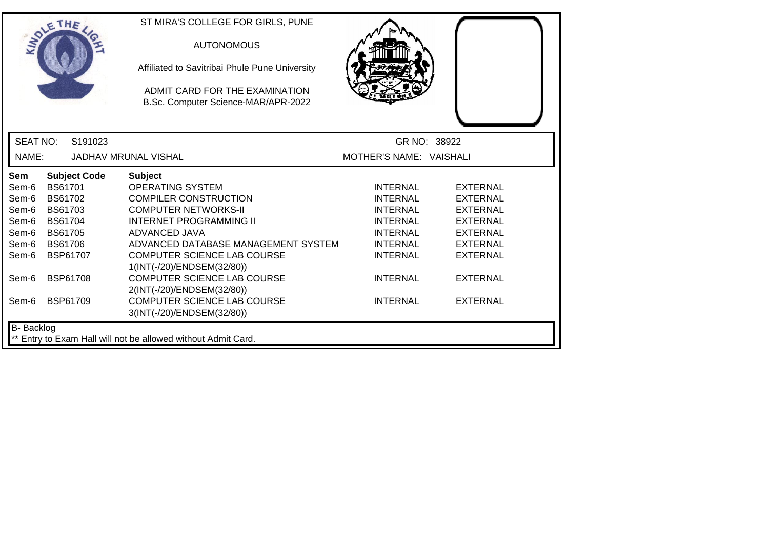|                   | SOLE THE            | ST MIRA'S COLLEGE FOR GIRLS, PUNE<br><b>AUTONOMOUS</b><br>Affiliated to Savitribai Phule Pune University<br>ADMIT CARD FOR THE EXAMINATION<br>B.Sc. Computer Science-MAR/APR-2022 |                         |                 |
|-------------------|---------------------|-----------------------------------------------------------------------------------------------------------------------------------------------------------------------------------|-------------------------|-----------------|
| <b>SEAT NO:</b>   | S191023             |                                                                                                                                                                                   | GR NO: 38922            |                 |
| NAME:             |                     | <b>JADHAV MRUNAL VISHAL</b>                                                                                                                                                       | MOTHER'S NAME: VAISHALI |                 |
| Sem               | <b>Subject Code</b> | <b>Subject</b>                                                                                                                                                                    |                         |                 |
| Sem-6             | <b>BS61701</b>      | <b>OPERATING SYSTEM</b>                                                                                                                                                           | <b>INTERNAL</b>         | <b>EXTERNAL</b> |
| Sem-6             | BS61702             | <b>COMPILER CONSTRUCTION</b>                                                                                                                                                      | <b>INTERNAL</b>         | <b>EXTERNAL</b> |
| Sem-6             | BS61703             | <b>COMPUTER NETWORKS-II</b>                                                                                                                                                       | <b>INTERNAL</b>         | <b>EXTERNAL</b> |
| Sem-6             | <b>BS61704</b>      | <b>INTERNET PROGRAMMING II</b>                                                                                                                                                    | <b>INTERNAL</b>         | <b>EXTERNAL</b> |
| Sem-6             | BS61705             | ADVANCED JAVA                                                                                                                                                                     | <b>INTERNAL</b>         | <b>EXTERNAL</b> |
| Sem-6             | <b>BS61706</b>      | ADVANCED DATABASE MANAGEMENT SYSTEM                                                                                                                                               | <b>INTERNAL</b>         | <b>EXTERNAL</b> |
| Sem-6             | <b>BSP61707</b>     | <b>COMPUTER SCIENCE LAB COURSE</b>                                                                                                                                                | <b>INTERNAL</b>         | <b>EXTERNAL</b> |
|                   |                     | 1(INT(-/20)/ENDSEM(32/80))                                                                                                                                                        |                         |                 |
| Sem-6             | <b>BSP61708</b>     | <b>COMPUTER SCIENCE LAB COURSE</b>                                                                                                                                                | <b>INTERNAL</b>         | <b>EXTERNAL</b> |
|                   |                     | 2(INT(-/20)/ENDSEM(32/80))                                                                                                                                                        |                         |                 |
| Sem-6             | <b>BSP61709</b>     | <b>COMPUTER SCIENCE LAB COURSE</b>                                                                                                                                                | <b>INTERNAL</b>         | <b>EXTERNAL</b> |
|                   |                     | 3(INT(-/20)/ENDSEM(32/80))                                                                                                                                                        |                         |                 |
| <b>B-</b> Backlog |                     |                                                                                                                                                                                   |                         |                 |
|                   |                     | ** Entry to Exam Hall will not be allowed without Admit Card.                                                                                                                     |                         |                 |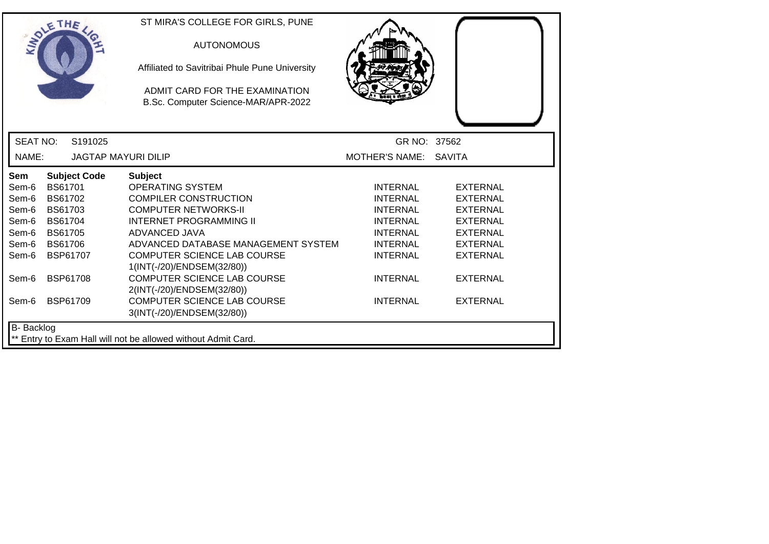|                 | OLETHE              |         | ST MIRA'S COLLEGE FOR GIRLS, PUNE                                     |                       |                 |
|-----------------|---------------------|---------|-----------------------------------------------------------------------|-----------------------|-----------------|
|                 |                     |         | <b>AUTONOMOUS</b>                                                     |                       |                 |
|                 |                     |         | Affiliated to Savitribai Phule Pune University                        |                       |                 |
|                 |                     |         | ADMIT CARD FOR THE EXAMINATION<br>B.Sc. Computer Science-MAR/APR-2022 |                       |                 |
|                 |                     |         |                                                                       |                       |                 |
| <b>SEAT NO:</b> |                     | S191025 |                                                                       | GR NO: 37562          |                 |
| NAME:           |                     |         | <b>JAGTAP MAYURI DILIP</b>                                            | MOTHER'S NAME: SAVITA |                 |
| <b>Sem</b>      | <b>Subject Code</b> |         | <b>Subject</b>                                                        |                       |                 |
| Sem-6           | <b>BS61701</b>      |         | <b>OPERATING SYSTEM</b>                                               | <b>INTERNAL</b>       | <b>EXTERNAL</b> |
| Sem-6           | <b>BS61702</b>      |         | <b>COMPILER CONSTRUCTION</b>                                          | <b>INTERNAL</b>       | <b>EXTERNAL</b> |
| Sem-6           | <b>BS61703</b>      |         | <b>COMPUTER NETWORKS-II</b>                                           | <b>INTERNAL</b>       | <b>EXTERNAL</b> |
| Sem-6           | <b>BS61704</b>      |         | <b>INTERNET PROGRAMMING II</b>                                        | <b>INTERNAL</b>       | <b>EXTERNAL</b> |
| Sem-6           | <b>BS61705</b>      |         | ADVANCED JAVA                                                         | <b>INTERNAL</b>       | <b>EXTERNAL</b> |
| Sem-6           | BS61706             |         | ADVANCED DATABASE MANAGEMENT SYSTEM                                   | <b>INTERNAL</b>       | <b>EXTERNAL</b> |
| Sem-6           | <b>BSP61707</b>     |         | <b>COMPUTER SCIENCE LAB COURSE</b><br>1(INT(-/20)/ENDSEM(32/80))      | <b>INTERNAL</b>       | <b>EXTERNAL</b> |
| Sem-6           | <b>BSP61708</b>     |         | <b>COMPUTER SCIENCE LAB COURSE</b><br>2(INT(-/20)/ENDSEM(32/80))      | <b>INTERNAL</b>       | <b>EXTERNAL</b> |
| Sem-6           | <b>BSP61709</b>     |         | COMPUTER SCIENCE LAB COURSE<br>3(INT(-/20)/ENDSEM(32/80))             | <b>INTERNAL</b>       | <b>EXTERNAL</b> |
| B- Backlog      |                     |         |                                                                       |                       |                 |
|                 |                     |         | ** Entry to Exam Hall will not be allowed without Admit Card.         |                       |                 |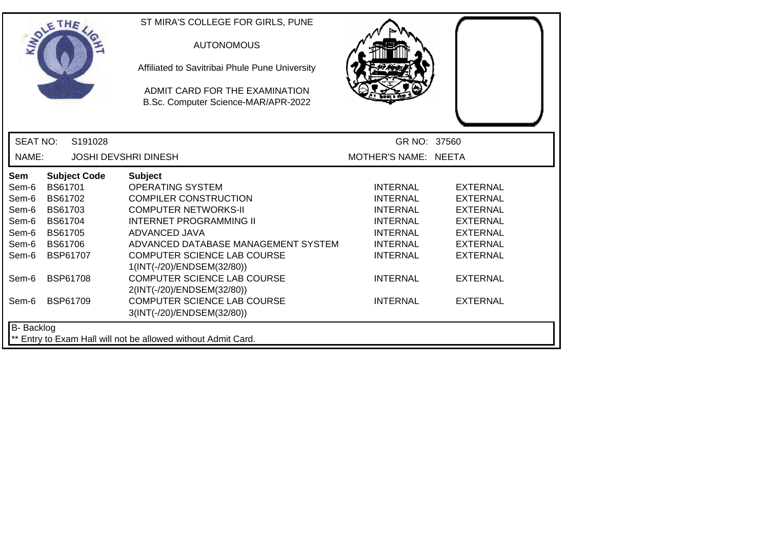|                   | OLETHE          |                     | ST MIRA'S COLLEGE FOR GIRLS, PUNE                                     |                      |                 |
|-------------------|-----------------|---------------------|-----------------------------------------------------------------------|----------------------|-----------------|
|                   |                 |                     | <b>AUTONOMOUS</b>                                                     |                      |                 |
|                   |                 |                     | Affiliated to Savitribai Phule Pune University                        |                      |                 |
|                   |                 |                     | ADMIT CARD FOR THE EXAMINATION<br>B.Sc. Computer Science-MAR/APR-2022 |                      |                 |
| <b>SEAT NO:</b>   |                 | S191028             |                                                                       | GR NO: 37560         |                 |
| NAME:             |                 |                     | <b>JOSHI DEVSHRI DINESH</b>                                           | MOTHER'S NAME: NEETA |                 |
| <b>Sem</b>        |                 | <b>Subject Code</b> | <b>Subject</b>                                                        |                      |                 |
| Sem-6             | <b>BS61701</b>  |                     | <b>OPERATING SYSTEM</b>                                               | <b>INTERNAL</b>      | <b>EXTERNAL</b> |
| Sem-6             | <b>BS61702</b>  |                     | <b>COMPILER CONSTRUCTION</b>                                          | <b>INTERNAL</b>      | <b>EXTERNAL</b> |
| Sem-6             | BS61703         |                     | <b>COMPUTER NETWORKS-II</b>                                           | <b>INTERNAL</b>      | <b>EXTERNAL</b> |
| Sem-6             | <b>BS61704</b>  |                     | <b>INTERNET PROGRAMMING II</b>                                        | <b>INTERNAL</b>      | <b>EXTERNAL</b> |
| Sem-6             | <b>BS61705</b>  |                     | ADVANCED JAVA                                                         | <b>INTERNAL</b>      | <b>EXTERNAL</b> |
| Sem-6             | <b>BS61706</b>  |                     | ADVANCED DATABASE MANAGEMENT SYSTEM                                   | <b>INTERNAL</b>      | <b>EXTERNAL</b> |
| Sem-6             | <b>BSP61707</b> |                     | <b>COMPUTER SCIENCE LAB COURSE</b><br>1(INT(-/20)/ENDSEM(32/80))      | <b>INTERNAL</b>      | <b>EXTERNAL</b> |
| Sem-6             | <b>BSP61708</b> |                     | <b>COMPUTER SCIENCE LAB COURSE</b><br>2(INT(-/20)/ENDSEM(32/80))      | <b>INTERNAL</b>      | <b>EXTERNAL</b> |
| Sem-6             | <b>BSP61709</b> |                     | <b>COMPUTER SCIENCE LAB COURSE</b><br>3(INT(-/20)/ENDSEM(32/80))      | <b>INTERNAL</b>      | <b>EXTERNAL</b> |
| <b>B-</b> Backlog |                 |                     |                                                                       |                      |                 |
|                   |                 |                     | ** Entry to Exam Hall will not be allowed without Admit Card.         |                      |                 |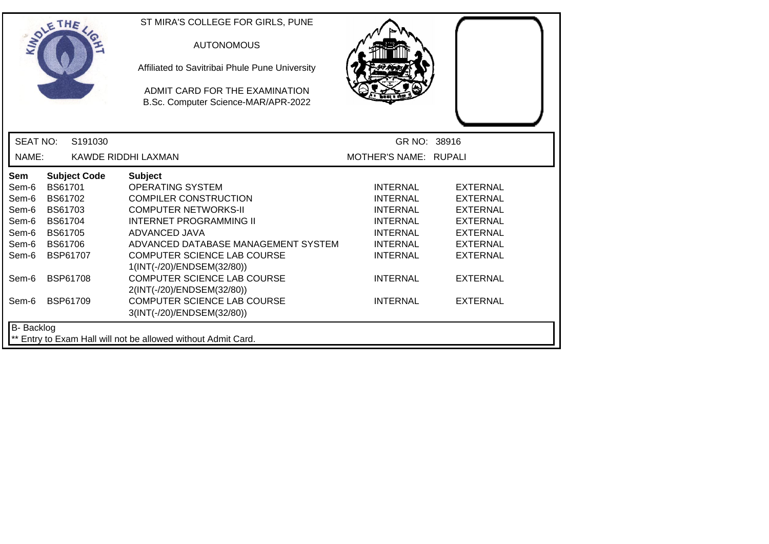|                   | SOLE THE            | ST MIRA'S COLLEGE FOR GIRLS, PUNE<br><b>AUTONOMOUS</b><br>Affiliated to Savitribai Phule Pune University<br>ADMIT CARD FOR THE EXAMINATION<br>B.Sc. Computer Science-MAR/APR-2022 |                              |                 |
|-------------------|---------------------|-----------------------------------------------------------------------------------------------------------------------------------------------------------------------------------|------------------------------|-----------------|
| <b>SEAT NO:</b>   | S191030             |                                                                                                                                                                                   | GR NO: 38916                 |                 |
| NAME:             |                     | KAWDE RIDDHI LAXMAN                                                                                                                                                               | <b>MOTHER'S NAME: RUPALI</b> |                 |
| Sem               | <b>Subject Code</b> | <b>Subject</b>                                                                                                                                                                    |                              |                 |
| Sem-6             | BS61701             | <b>OPERATING SYSTEM</b>                                                                                                                                                           | <b>INTERNAL</b>              | <b>EXTERNAL</b> |
| Sem-6             | BS61702             | <b>COMPILER CONSTRUCTION</b>                                                                                                                                                      | <b>INTERNAL</b>              | <b>EXTERNAL</b> |
| Sem-6             | <b>BS61703</b>      | <b>COMPUTER NETWORKS-II</b>                                                                                                                                                       | <b>INTERNAL</b>              | <b>EXTERNAL</b> |
| Sem-6             | <b>BS61704</b>      | <b>INTERNET PROGRAMMING II</b>                                                                                                                                                    | <b>INTERNAL</b>              | <b>EXTERNAL</b> |
| Sem-6             | BS61705             | ADVANCED JAVA                                                                                                                                                                     | <b>INTERNAL</b>              | <b>EXTERNAL</b> |
| Sem-6             | <b>BS61706</b>      | ADVANCED DATABASE MANAGEMENT SYSTEM                                                                                                                                               | <b>INTERNAL</b>              | <b>EXTERNAL</b> |
| Sem-6             | <b>BSP61707</b>     | COMPUTER SCIENCE LAB COURSE<br>1(INT(-/20)/ENDSEM(32/80))                                                                                                                         | <b>INTERNAL</b>              | <b>EXTERNAL</b> |
| Sem-6             | <b>BSP61708</b>     | <b>COMPUTER SCIENCE LAB COURSE</b>                                                                                                                                                | <b>INTERNAL</b>              | <b>EXTERNAL</b> |
|                   |                     | 2(INT(-/20)/ENDSEM(32/80))                                                                                                                                                        |                              |                 |
| Sem-6             | <b>BSP61709</b>     | <b>COMPUTER SCIENCE LAB COURSE</b>                                                                                                                                                | <b>INTERNAL</b>              | <b>EXTERNAL</b> |
|                   |                     | 3(INT(-/20)/ENDSEM(32/80))                                                                                                                                                        |                              |                 |
| <b>B-</b> Backlog |                     | ** Entry to Exam Hall will not be allowed without Admit Card.                                                                                                                     |                              |                 |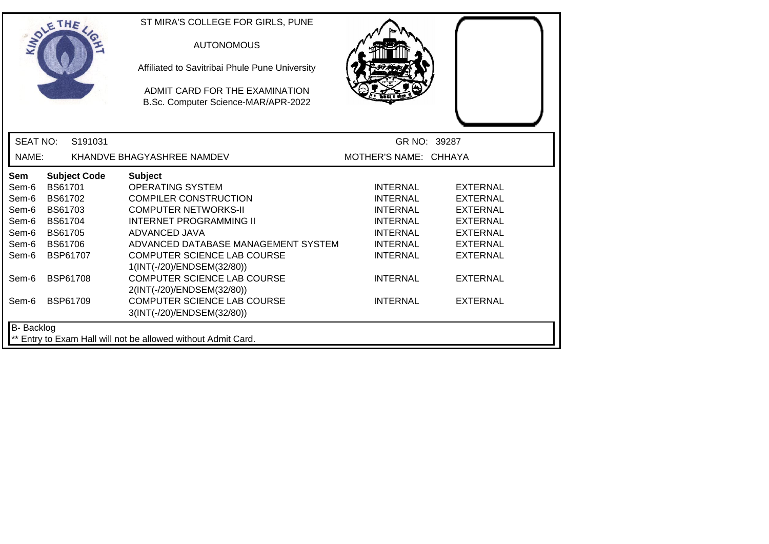|                 | SOLE THE            | ST MIRA'S COLLEGE FOR GIRLS, PUNE<br><b>AUTONOMOUS</b><br>Affiliated to Savitribai Phule Pune University<br>ADMIT CARD FOR THE EXAMINATION<br>B.Sc. Computer Science-MAR/APR-2022 |                       |                 |
|-----------------|---------------------|-----------------------------------------------------------------------------------------------------------------------------------------------------------------------------------|-----------------------|-----------------|
| <b>SEAT NO:</b> | S191031             |                                                                                                                                                                                   |                       | GR NO: 39287    |
| NAME:           |                     | KHANDVE BHAGYASHREE NAMDEV                                                                                                                                                        | MOTHER'S NAME: CHHAYA |                 |
| Sem             | <b>Subject Code</b> | <b>Subject</b>                                                                                                                                                                    |                       |                 |
| Sem-6           | <b>BS61701</b>      | <b>OPERATING SYSTEM</b>                                                                                                                                                           | <b>INTERNAL</b>       | <b>EXTERNAL</b> |
| Sem-6           | <b>BS61702</b>      | <b>COMPILER CONSTRUCTION</b>                                                                                                                                                      | <b>INTERNAL</b>       | <b>EXTERNAL</b> |
| Sem-6           | BS61703             | <b>COMPUTER NETWORKS-II</b>                                                                                                                                                       | <b>INTERNAL</b>       | <b>EXTERNAL</b> |
| Sem-6           | <b>BS61704</b>      | <b>INTERNET PROGRAMMING II</b>                                                                                                                                                    | <b>INTERNAL</b>       | <b>EXTERNAL</b> |
| Sem-6           | BS61705             | ADVANCED JAVA                                                                                                                                                                     | <b>INTERNAL</b>       | <b>EXTERNAL</b> |
| Sem-6           | <b>BS61706</b>      | ADVANCED DATABASE MANAGEMENT SYSTEM                                                                                                                                               | <b>INTERNAL</b>       | <b>EXTERNAL</b> |
| Sem-6           | BSP61707            | COMPUTER SCIENCE LAB COURSE                                                                                                                                                       | <b>INTERNAL</b>       | <b>EXTERNAL</b> |
|                 |                     | 1(INT(-/20)/ENDSEM(32/80))                                                                                                                                                        |                       |                 |
| Sem-6           | <b>BSP61708</b>     | <b>COMPUTER SCIENCE LAB COURSE</b>                                                                                                                                                | <b>INTERNAL</b>       | <b>EXTERNAL</b> |
| Sem-6           | <b>BSP61709</b>     | 2(INT(-/20)/ENDSEM(32/80))<br><b>COMPUTER SCIENCE LAB COURSE</b>                                                                                                                  | <b>INTERNAL</b>       | <b>EXTERNAL</b> |
|                 |                     | 3(INT(-/20)/ENDSEM(32/80))                                                                                                                                                        |                       |                 |
| B- Backlog      |                     | ** Entry to Exam Hall will not be allowed without Admit Card.                                                                                                                     |                       |                 |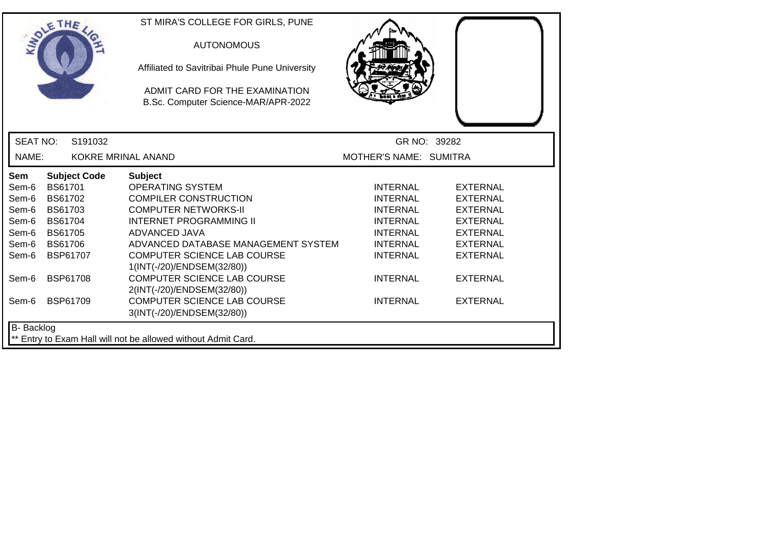|                   | SOLETHE .      |                     | ST MIRA'S COLLEGE FOR GIRLS, PUNE                                     |                        |                 |
|-------------------|----------------|---------------------|-----------------------------------------------------------------------|------------------------|-----------------|
|                   |                |                     | <b>AUTONOMOUS</b>                                                     |                        |                 |
|                   |                |                     | Affiliated to Savitribai Phule Pune University                        |                        |                 |
|                   |                |                     | ADMIT CARD FOR THE EXAMINATION<br>B.Sc. Computer Science-MAR/APR-2022 |                        |                 |
| <b>SEAT NO:</b>   |                | S191032             |                                                                       |                        | GR NO: 39282    |
| NAME:             |                |                     | <b>KOKRE MRINAL ANAND</b>                                             | MOTHER'S NAME: SUMITRA |                 |
| Sem               |                | <b>Subject Code</b> | <b>Subject</b>                                                        |                        |                 |
| Sem-6             | <b>BS61701</b> |                     | <b>OPERATING SYSTEM</b>                                               | <b>INTERNAL</b>        | EXTERNAL        |
| Sem-6             | <b>BS61702</b> |                     | <b>COMPILER CONSTRUCTION</b>                                          | <b>INTERNAL</b>        | <b>EXTERNAL</b> |
| Sem-6             | BS61703        |                     | <b>COMPUTER NETWORKS-II</b>                                           | <b>INTERNAL</b>        | <b>EXTERNAL</b> |
| Sem-6             | <b>BS61704</b> |                     | <b>INTERNET PROGRAMMING II</b>                                        | <b>INTERNAL</b>        | <b>EXTERNAL</b> |
| Sem-6             | <b>BS61705</b> |                     | ADVANCED JAVA                                                         | <b>INTERNAL</b>        | <b>EXTERNAL</b> |
| Sem-6             | <b>BS61706</b> |                     | ADVANCED DATABASE MANAGEMENT SYSTEM                                   | <b>INTERNAL</b>        | <b>EXTERNAL</b> |
| Sem-6             |                | <b>BSP61707</b>     | <b>COMPUTER SCIENCE LAB COURSE</b><br>1(INT(-/20)/ENDSEM(32/80))      | <b>INTERNAL</b>        | <b>EXTERNAL</b> |
| Sem-6             |                | <b>BSP61708</b>     | <b>COMPUTER SCIENCE LAB COURSE</b><br>2(INT(-/20)/ENDSEM(32/80))      | <b>INTERNAL</b>        | <b>EXTERNAL</b> |
| Sem-6             |                | <b>BSP61709</b>     | <b>COMPUTER SCIENCE LAB COURSE</b><br>3(INT(-/20)/ENDSEM(32/80))      | <b>INTERNAL</b>        | <b>EXTERNAL</b> |
| <b>B-</b> Backlog |                |                     |                                                                       |                        |                 |
|                   |                |                     | ** Entry to Exam Hall will not be allowed without Admit Card.         |                        |                 |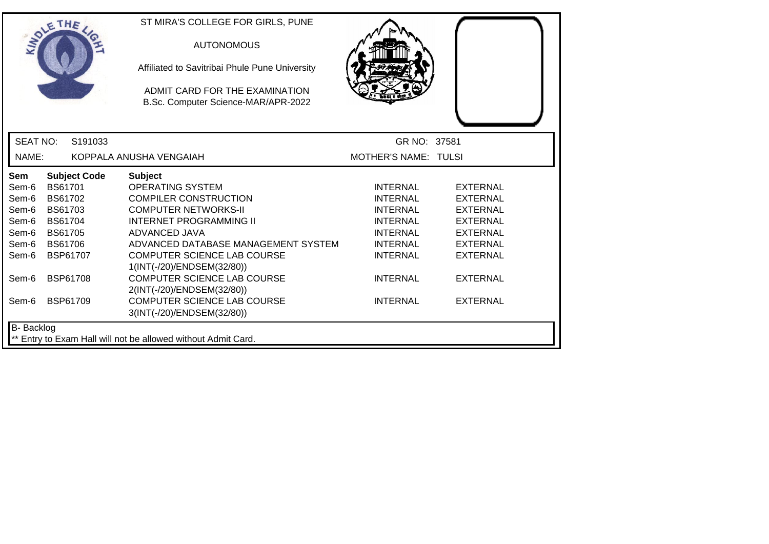|                   | OLETHE          |                     | ST MIRA'S COLLEGE FOR GIRLS, PUNE<br><b>AUTONOMOUS</b><br>Affiliated to Savitribai Phule Pune University<br>ADMIT CARD FOR THE EXAMINATION<br>B.Sc. Computer Science-MAR/APR-2022 |                      |                 |
|-------------------|-----------------|---------------------|-----------------------------------------------------------------------------------------------------------------------------------------------------------------------------------|----------------------|-----------------|
| <b>SEAT NO:</b>   |                 | S191033             |                                                                                                                                                                                   | GR NO: 37581         |                 |
| NAME:             |                 |                     | KOPPALA ANUSHA VENGAIAH                                                                                                                                                           | MOTHER'S NAME: TULSI |                 |
| Sem               |                 | <b>Subject Code</b> | <b>Subject</b>                                                                                                                                                                    |                      |                 |
| Sem-6             | BS61701         |                     | <b>OPERATING SYSTEM</b>                                                                                                                                                           | <b>INTERNAL</b>      | <b>EXTERNAL</b> |
| Sem-6             | BS61702         |                     | <b>COMPILER CONSTRUCTION</b>                                                                                                                                                      | <b>INTERNAL</b>      | <b>EXTERNAL</b> |
| Sem-6             | BS61703         |                     | <b>COMPUTER NETWORKS-II</b>                                                                                                                                                       | <b>INTERNAL</b>      | <b>EXTERNAL</b> |
| Sem-6             | <b>BS61704</b>  |                     | <b>INTERNET PROGRAMMING II</b>                                                                                                                                                    | <b>INTERNAL</b>      | <b>EXTERNAL</b> |
| Sem-6             | <b>BS61705</b>  |                     | ADVANCED JAVA                                                                                                                                                                     | <b>INTERNAL</b>      | <b>EXTERNAL</b> |
| Sem-6             | <b>BS61706</b>  |                     | ADVANCED DATABASE MANAGEMENT SYSTEM                                                                                                                                               | <b>INTERNAL</b>      | <b>EXTERNAL</b> |
| Sem-6             | BSP61707        |                     | <b>COMPUTER SCIENCE LAB COURSE</b>                                                                                                                                                | <b>INTERNAL</b>      | <b>EXTERNAL</b> |
|                   |                 |                     | 1(INT(-/20)/ENDSEM(32/80))                                                                                                                                                        |                      |                 |
| Sem-6             | <b>BSP61708</b> |                     | <b>COMPUTER SCIENCE LAB COURSE</b>                                                                                                                                                | <b>INTERNAL</b>      | <b>EXTERNAL</b> |
|                   |                 |                     | 2(INT(-/20)/ENDSEM(32/80))                                                                                                                                                        |                      |                 |
| Sem-6             | BSP61709        |                     | <b>COMPUTER SCIENCE LAB COURSE</b>                                                                                                                                                | <b>INTERNAL</b>      | <b>EXTERNAL</b> |
|                   |                 |                     | 3(INT(-/20)/ENDSEM(32/80))                                                                                                                                                        |                      |                 |
| <b>B-</b> Backlog |                 |                     |                                                                                                                                                                                   |                      |                 |
|                   |                 |                     | ** Entry to Exam Hall will not be allowed without Admit Card.                                                                                                                     |                      |                 |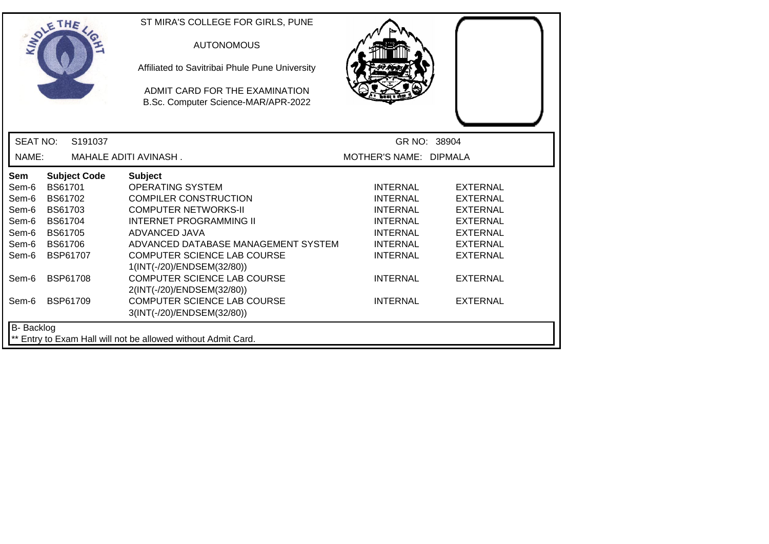|                   | SOLE THE        |                     | ST MIRA'S COLLEGE FOR GIRLS, PUNE<br><b>AUTONOMOUS</b><br>Affiliated to Savitribai Phule Pune University<br>ADMIT CARD FOR THE EXAMINATION<br>B.Sc. Computer Science-MAR/APR-2022 |                        |                 |
|-------------------|-----------------|---------------------|-----------------------------------------------------------------------------------------------------------------------------------------------------------------------------------|------------------------|-----------------|
| <b>SEAT NO:</b>   |                 | S191037             |                                                                                                                                                                                   | GR NO: 38904           |                 |
| NAME:             |                 |                     | MAHALE ADITI AVINASH.                                                                                                                                                             | MOTHER'S NAME: DIPMALA |                 |
| Sem               |                 | <b>Subject Code</b> | <b>Subject</b>                                                                                                                                                                    |                        |                 |
| Sem-6             | <b>BS61701</b>  |                     | <b>OPERATING SYSTEM</b>                                                                                                                                                           | <b>INTERNAL</b>        | <b>EXTERNAL</b> |
| Sem-6             | BS61702         |                     | <b>COMPILER CONSTRUCTION</b>                                                                                                                                                      | <b>INTERNAL</b>        | <b>EXTERNAL</b> |
| Sem-6             | <b>BS61703</b>  |                     | <b>COMPUTER NETWORKS-II</b>                                                                                                                                                       | <b>INTERNAL</b>        | <b>EXTERNAL</b> |
| Sem-6             | <b>BS61704</b>  |                     | <b>INTERNET PROGRAMMING II</b>                                                                                                                                                    | <b>INTERNAL</b>        | <b>EXTERNAL</b> |
| Sem-6             | BS61705         |                     | ADVANCED JAVA                                                                                                                                                                     | <b>INTERNAL</b>        | <b>EXTERNAL</b> |
| Sem-6             | <b>BS61706</b>  |                     | ADVANCED DATABASE MANAGEMENT SYSTEM                                                                                                                                               | <b>INTERNAL</b>        | <b>EXTERNAL</b> |
| Sem-6             | <b>BSP61707</b> |                     | <b>COMPUTER SCIENCE LAB COURSE</b>                                                                                                                                                | <b>INTERNAL</b>        | <b>EXTERNAL</b> |
|                   |                 |                     | 1(INT(-/20)/ENDSEM(32/80))                                                                                                                                                        |                        |                 |
| Sem-6             | <b>BSP61708</b> |                     | <b>COMPUTER SCIENCE LAB COURSE</b>                                                                                                                                                | <b>INTERNAL</b>        | <b>EXTERNAL</b> |
|                   |                 |                     | 2(INT(-/20)/ENDSEM(32/80))                                                                                                                                                        |                        |                 |
| Sem-6             | <b>BSP61709</b> |                     | <b>COMPUTER SCIENCE LAB COURSE</b>                                                                                                                                                | <b>INTERNAL</b>        | <b>EXTERNAL</b> |
|                   |                 |                     | 3(INT(-/20)/ENDSEM(32/80))                                                                                                                                                        |                        |                 |
| <b>B-</b> Backlog |                 |                     |                                                                                                                                                                                   |                        |                 |
|                   |                 |                     | ** Entry to Exam Hall will not be allowed without Admit Card.                                                                                                                     |                        |                 |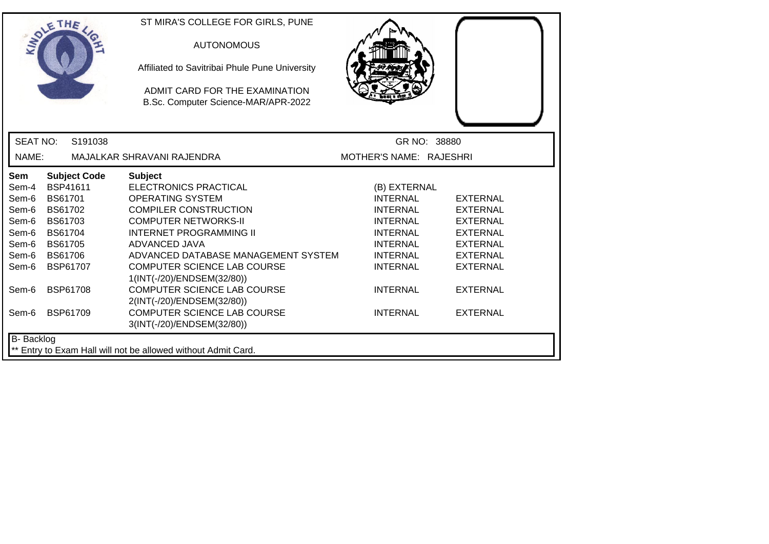|                 | THE                 | ST MIRA'S COLLEGE FOR GIRLS, PUNE                                     |                         |                 |
|-----------------|---------------------|-----------------------------------------------------------------------|-------------------------|-----------------|
|                 |                     | <b>AUTONOMOUS</b>                                                     |                         |                 |
|                 |                     | Affiliated to Savitribai Phule Pune University                        |                         |                 |
|                 |                     | ADMIT CARD FOR THE EXAMINATION<br>B.Sc. Computer Science-MAR/APR-2022 |                         |                 |
|                 |                     |                                                                       |                         |                 |
| <b>SEAT NO:</b> | S191038             |                                                                       | GR NO: 38880            |                 |
| NAME:           |                     | MAJALKAR SHRAVANI RAJENDRA                                            | MOTHER'S NAME: RAJESHRI |                 |
| Sem             | <b>Subject Code</b> | <b>Subject</b>                                                        |                         |                 |
| Sem-4           | BSP41611            | <b>ELECTRONICS PRACTICAL</b>                                          | (B) EXTERNAL            |                 |
| Sem-6           | <b>BS61701</b>      | <b>OPERATING SYSTEM</b>                                               | <b>INTERNAL</b>         | EXTERNAL        |
| Sem-6           | BS61702             | <b>COMPILER CONSTRUCTION</b>                                          | <b>INTERNAL</b>         | <b>EXTERNAL</b> |
| Sem-6           | BS61703             | <b>COMPUTER NETWORKS-II</b>                                           | <b>INTERNAL</b>         | <b>EXTERNAL</b> |
| Sem-6           | <b>BS61704</b>      | <b>INTERNET PROGRAMMING II</b>                                        | <b>INTERNAL</b>         | <b>EXTERNAL</b> |
| Sem-6           | <b>BS61705</b>      | ADVANCED JAVA                                                         | <b>INTERNAL</b>         | <b>EXTERNAL</b> |
| Sem-6           | <b>BS61706</b>      | ADVANCED DATABASE MANAGEMENT SYSTEM                                   | <b>INTERNAL</b>         | <b>EXTERNAL</b> |
| Sem-6           | <b>BSP61707</b>     | COMPUTER SCIENCE LAB COURSE<br>1(INT(-/20)/ENDSEM(32/80))             | <b>INTERNAL</b>         | <b>EXTERNAL</b> |
| Sem-6           | <b>BSP61708</b>     | <b>COMPUTER SCIENCE LAB COURSE</b><br>2(INT(-/20)/ENDSEM(32/80))      | <b>INTERNAL</b>         | <b>EXTERNAL</b> |
| Sem-6           | <b>BSP61709</b>     | <b>COMPUTER SCIENCE LAB COURSE</b><br>3(INT(-/20)/ENDSEM(32/80))      | <b>INTERNAL</b>         | <b>EXTERNAL</b> |
| B- Backlog      |                     |                                                                       |                         |                 |
|                 |                     | ** Entry to Exam Hall will not be allowed without Admit Card.         |                         |                 |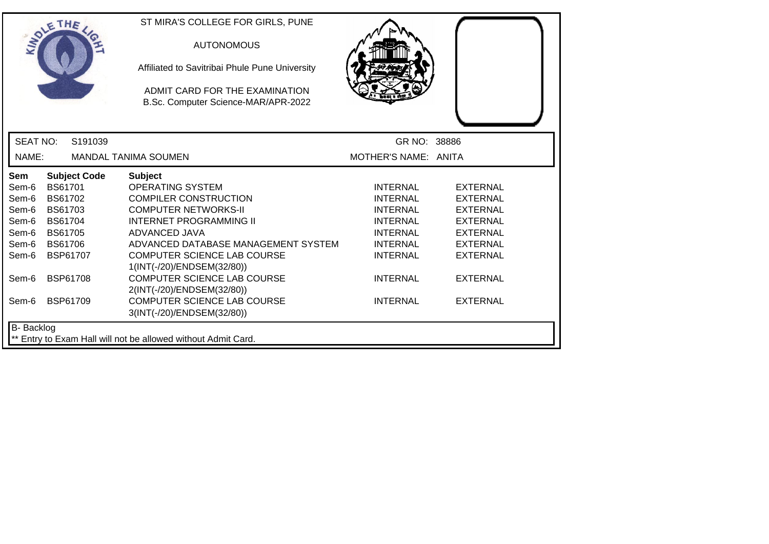|                   | OLETHE         |                     | ST MIRA'S COLLEGE FOR GIRLS, PUNE                                     |                      |                 |
|-------------------|----------------|---------------------|-----------------------------------------------------------------------|----------------------|-----------------|
|                   |                |                     | <b>AUTONOMOUS</b>                                                     |                      |                 |
|                   |                |                     | Affiliated to Savitribai Phule Pune University                        |                      |                 |
|                   |                |                     | ADMIT CARD FOR THE EXAMINATION<br>B.Sc. Computer Science-MAR/APR-2022 |                      |                 |
| <b>SEAT NO:</b>   |                | S191039             |                                                                       | GR NO: 38886         |                 |
| NAME:             |                |                     | <b>MANDAL TANIMA SOUMEN</b>                                           | MOTHER'S NAME: ANITA |                 |
| <b>Sem</b>        |                | <b>Subject Code</b> | <b>Subject</b>                                                        |                      |                 |
| Sem-6             | <b>BS61701</b> |                     | <b>OPERATING SYSTEM</b>                                               | <b>INTERNAL</b>      | <b>EXTERNAL</b> |
| Sem-6             | <b>BS61702</b> |                     | <b>COMPILER CONSTRUCTION</b>                                          | <b>INTERNAL</b>      | <b>EXTERNAL</b> |
| Sem-6             | BS61703        |                     | <b>COMPUTER NETWORKS-II</b>                                           | INTERNAL             | EXTERNAL        |
| Sem-6             | <b>BS61704</b> |                     | <b>INTERNET PROGRAMMING II</b>                                        | <b>INTERNAL</b>      | <b>EXTERNAL</b> |
| Sem-6             | <b>BS61705</b> |                     | ADVANCED JAVA                                                         | <b>INTERNAL</b>      | <b>EXTERNAL</b> |
| Sem-6             | <b>BS61706</b> |                     | ADVANCED DATABASE MANAGEMENT SYSTEM                                   | <b>INTERNAL</b>      | <b>EXTERNAL</b> |
| Sem-6             |                | <b>BSP61707</b>     | <b>COMPUTER SCIENCE LAB COURSE</b><br>1(INT(-/20)/ENDSEM(32/80))      | <b>INTERNAL</b>      | <b>EXTERNAL</b> |
| Sem-6             |                | <b>BSP61708</b>     | <b>COMPUTER SCIENCE LAB COURSE</b><br>2(INT(-/20)/ENDSEM(32/80))      | <b>INTERNAL</b>      | <b>EXTERNAL</b> |
| Sem-6             |                | <b>BSP61709</b>     | <b>COMPUTER SCIENCE LAB COURSE</b><br>3(INT(-/20)/ENDSEM(32/80))      | <b>INTERNAL</b>      | <b>EXTERNAL</b> |
| <b>B-</b> Backlog |                |                     |                                                                       |                      |                 |
|                   |                |                     | ** Entry to Exam Hall will not be allowed without Admit Card.         |                      |                 |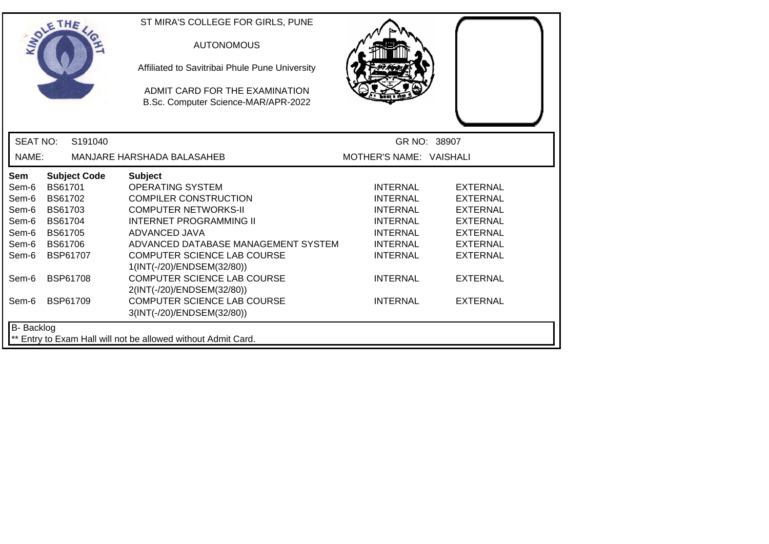|                 | SOLE THE        |                     | ST MIRA'S COLLEGE FOR GIRLS, PUNE<br><b>AUTONOMOUS</b><br>Affiliated to Savitribai Phule Pune University<br>ADMIT CARD FOR THE EXAMINATION<br>B.Sc. Computer Science-MAR/APR-2022 |                         |                 |
|-----------------|-----------------|---------------------|-----------------------------------------------------------------------------------------------------------------------------------------------------------------------------------|-------------------------|-----------------|
| <b>SEAT NO:</b> |                 | S191040             |                                                                                                                                                                                   |                         | GR NO: 38907    |
| NAME:           |                 |                     | MANJARE HARSHADA BALASAHEB                                                                                                                                                        | MOTHER'S NAME: VAISHALI |                 |
| Sem             |                 | <b>Subject Code</b> | <b>Subject</b>                                                                                                                                                                    |                         |                 |
| Sem-6           | <b>BS61701</b>  |                     | <b>OPERATING SYSTEM</b>                                                                                                                                                           | <b>INTERNAL</b>         | <b>EXTERNAL</b> |
| Sem-6           | <b>BS61702</b>  |                     | <b>COMPILER CONSTRUCTION</b>                                                                                                                                                      | <b>INTERNAL</b>         | <b>EXTERNAL</b> |
| Sem-6           | BS61703         |                     | <b>COMPUTER NETWORKS-II</b>                                                                                                                                                       | <b>INTERNAL</b>         | <b>EXTERNAL</b> |
| Sem-6           | <b>BS61704</b>  |                     | <b>INTERNET PROGRAMMING II</b>                                                                                                                                                    | <b>INTERNAL</b>         | <b>EXTERNAL</b> |
| Sem-6           | <b>BS61705</b>  |                     | ADVANCED JAVA                                                                                                                                                                     | <b>INTERNAL</b>         | <b>EXTERNAL</b> |
| Sem-6           | <b>BS61706</b>  |                     | ADVANCED DATABASE MANAGEMENT SYSTEM                                                                                                                                               | <b>INTERNAL</b>         | <b>EXTERNAL</b> |
| Sem-6           | BSP61707        |                     | COMPUTER SCIENCE LAB COURSE                                                                                                                                                       | <b>INTERNAL</b>         | <b>EXTERNAL</b> |
|                 |                 |                     | 1(INT(-/20)/ENDSEM(32/80))                                                                                                                                                        |                         |                 |
| Sem-6           | <b>BSP61708</b> |                     | <b>COMPUTER SCIENCE LAB COURSE</b>                                                                                                                                                | <b>INTERNAL</b>         | <b>EXTERNAL</b> |
|                 |                 |                     | 2(INT(-/20)/ENDSEM(32/80))                                                                                                                                                        |                         |                 |
| Sem-6           | <b>BSP61709</b> |                     | <b>COMPUTER SCIENCE LAB COURSE</b>                                                                                                                                                | <b>INTERNAL</b>         | <b>EXTERNAL</b> |
|                 |                 |                     | 3(INT(-/20)/ENDSEM(32/80))                                                                                                                                                        |                         |                 |
| B- Backlog      |                 |                     |                                                                                                                                                                                   |                         |                 |
|                 |                 |                     | ** Entry to Exam Hall will not be allowed without Admit Card.                                                                                                                     |                         |                 |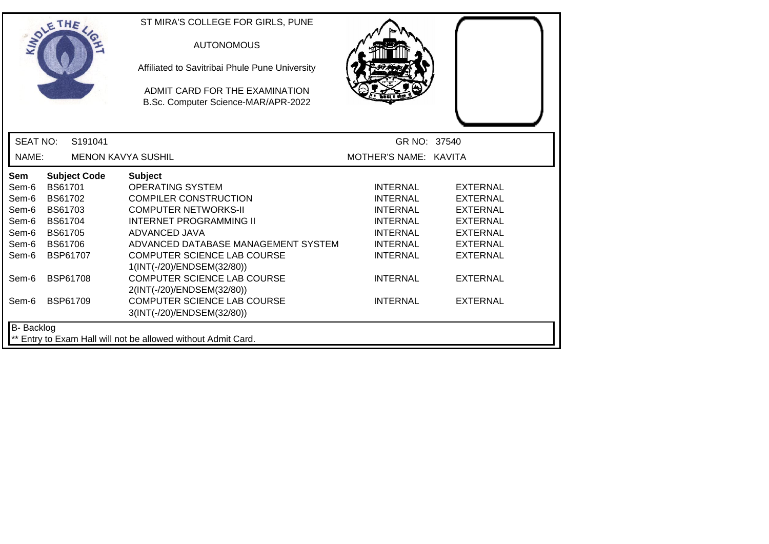|                   | OLETHE          |                     | ST MIRA'S COLLEGE FOR GIRLS, PUNE                                     |                       |                 |
|-------------------|-----------------|---------------------|-----------------------------------------------------------------------|-----------------------|-----------------|
|                   |                 |                     | <b>AUTONOMOUS</b>                                                     |                       |                 |
|                   |                 |                     | Affiliated to Savitribai Phule Pune University                        |                       |                 |
|                   |                 |                     | ADMIT CARD FOR THE EXAMINATION<br>B.Sc. Computer Science-MAR/APR-2022 |                       |                 |
| <b>SEAT NO:</b>   |                 | S <sub>191041</sub> |                                                                       | GR NO: 37540          |                 |
| NAME:             |                 |                     | <b>MENON KAVYA SUSHIL</b>                                             | MOTHER'S NAME: KAVITA |                 |
| <b>Sem</b>        |                 | <b>Subject Code</b> | <b>Subject</b>                                                        |                       |                 |
| Sem-6             | <b>BS61701</b>  |                     | <b>OPERATING SYSTEM</b>                                               | <b>INTERNAL</b>       | <b>EXTERNAL</b> |
| Sem-6             | <b>BS61702</b>  |                     | <b>COMPILER CONSTRUCTION</b>                                          | <b>INTERNAL</b>       | <b>EXTERNAL</b> |
| Sem-6             | BS61703         |                     | <b>COMPUTER NETWORKS-II</b>                                           | <b>INTERNAL</b>       | <b>EXTERNAL</b> |
| Sem-6             | <b>BS61704</b>  |                     | <b>INTERNET PROGRAMMING II</b>                                        | <b>INTERNAL</b>       | <b>EXTERNAL</b> |
| Sem-6             | <b>BS61705</b>  |                     | ADVANCED JAVA                                                         | <b>INTERNAL</b>       | <b>EXTERNAL</b> |
| Sem-6             | <b>BS61706</b>  |                     | ADVANCED DATABASE MANAGEMENT SYSTEM                                   | <b>INTERNAL</b>       | <b>EXTERNAL</b> |
| Sem-6             | <b>BSP61707</b> |                     | <b>COMPUTER SCIENCE LAB COURSE</b><br>1(INT(-/20)/ENDSEM(32/80))      | <b>INTERNAL</b>       | <b>EXTERNAL</b> |
| Sem-6             | <b>BSP61708</b> |                     | <b>COMPUTER SCIENCE LAB COURSE</b><br>2(INT(-/20)/ENDSEM(32/80))      | <b>INTERNAL</b>       | <b>EXTERNAL</b> |
| Sem-6             | <b>BSP61709</b> |                     | <b>COMPUTER SCIENCE LAB COURSE</b><br>3(INT(-/20)/ENDSEM(32/80))      | <b>INTERNAL</b>       | <b>EXTERNAL</b> |
| <b>B-</b> Backlog |                 |                     |                                                                       |                       |                 |
|                   |                 |                     | ** Entry to Exam Hall will not be allowed without Admit Card.         |                       |                 |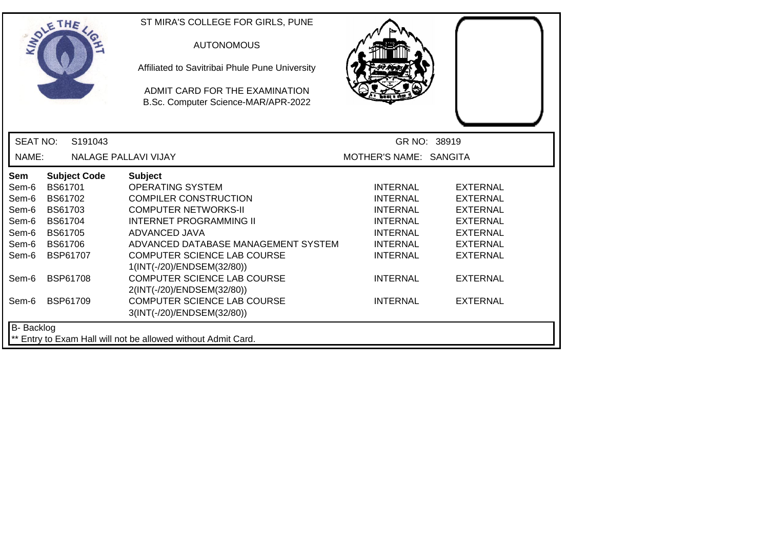| SOLETHE .         |                |                     | ST MIRA'S COLLEGE FOR GIRLS, PUNE<br><b>AUTONOMOUS</b>                |                        |                 |
|-------------------|----------------|---------------------|-----------------------------------------------------------------------|------------------------|-----------------|
|                   |                |                     | Affiliated to Savitribai Phule Pune University                        |                        |                 |
|                   |                |                     | ADMIT CARD FOR THE EXAMINATION<br>B.Sc. Computer Science-MAR/APR-2022 |                        |                 |
| <b>SEAT NO:</b>   |                | S191043             |                                                                       |                        | GR NO: 38919    |
| NAME:             |                |                     | <b>NALAGE PALLAVI VIJAY</b>                                           | MOTHER'S NAME: SANGITA |                 |
| <b>Sem</b>        |                | <b>Subject Code</b> | <b>Subject</b>                                                        |                        |                 |
| Sem-6             | <b>BS61701</b> |                     | <b>OPERATING SYSTEM</b>                                               | <b>INTERNAL</b>        | <b>EXTERNAL</b> |
| Sem-6             | <b>BS61702</b> |                     | <b>COMPILER CONSTRUCTION</b>                                          | <b>INTERNAL</b>        | <b>EXTERNAL</b> |
| Sem-6             | BS61703        |                     | <b>COMPUTER NETWORKS-II</b>                                           | <b>INTERNAL</b>        | <b>EXTERNAL</b> |
| Sem-6             | <b>BS61704</b> |                     | <b>INTERNET PROGRAMMING II</b>                                        | <b>INTERNAL</b>        | <b>EXTERNAL</b> |
| Sem-6             | <b>BS61705</b> |                     | ADVANCED JAVA                                                         | <b>INTERNAL</b>        | <b>EXTERNAL</b> |
| Sem-6             | <b>BS61706</b> |                     | ADVANCED DATABASE MANAGEMENT SYSTEM                                   | <b>INTERNAL</b>        | <b>EXTERNAL</b> |
| Sem-6             |                | <b>BSP61707</b>     | <b>COMPUTER SCIENCE LAB COURSE</b><br>1(INT(-/20)/ENDSEM(32/80))      | <b>INTERNAL</b>        | <b>EXTERNAL</b> |
| Sem-6             |                | <b>BSP61708</b>     | <b>COMPUTER SCIENCE LAB COURSE</b><br>2(INT(-/20)/ENDSEM(32/80))      | <b>INTERNAL</b>        | <b>EXTERNAL</b> |
| Sem-6             |                | <b>BSP61709</b>     | <b>COMPUTER SCIENCE LAB COURSE</b><br>3(INT(-/20)/ENDSEM(32/80))      | <b>INTERNAL</b>        | <b>EXTERNAL</b> |
| <b>B-</b> Backlog |                |                     |                                                                       |                        |                 |
|                   |                |                     | ** Entry to Exam Hall will not be allowed without Admit Card.         |                        |                 |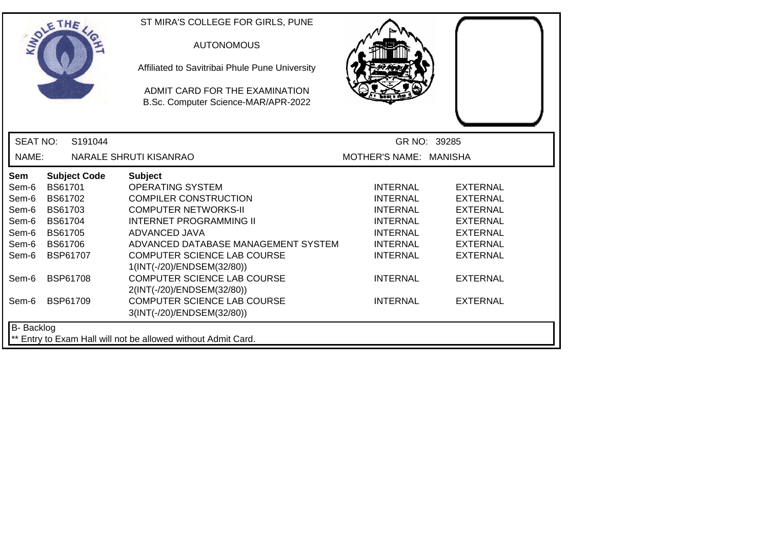|                   | SOLE THE        |                     | ST MIRA'S COLLEGE FOR GIRLS, PUNE<br><b>AUTONOMOUS</b><br>Affiliated to Savitribai Phule Pune University<br>ADMIT CARD FOR THE EXAMINATION<br>B.Sc. Computer Science-MAR/APR-2022 |                        |                 |
|-------------------|-----------------|---------------------|-----------------------------------------------------------------------------------------------------------------------------------------------------------------------------------|------------------------|-----------------|
| <b>SEAT NO:</b>   |                 | S191044             |                                                                                                                                                                                   | GR NO: 39285           |                 |
| NAME:             |                 |                     | NARALE SHRUTI KISANRAO                                                                                                                                                            | MOTHER'S NAME: MANISHA |                 |
| <b>Sem</b>        |                 | <b>Subject Code</b> | <b>Subject</b>                                                                                                                                                                    |                        |                 |
| Sem-6             | <b>BS61701</b>  |                     | <b>OPERATING SYSTEM</b>                                                                                                                                                           | <b>INTERNAL</b>        | <b>EXTERNAL</b> |
| Sem-6             | BS61702         |                     | <b>COMPILER CONSTRUCTION</b>                                                                                                                                                      | <b>INTERNAL</b>        | <b>EXTERNAL</b> |
| Sem-6             | BS61703         |                     | <b>COMPUTER NETWORKS-II</b>                                                                                                                                                       | <b>INTERNAL</b>        | <b>EXTERNAL</b> |
| Sem-6             | <b>BS61704</b>  |                     | <b>INTERNET PROGRAMMING II</b>                                                                                                                                                    | <b>INTERNAL</b>        | <b>EXTERNAL</b> |
| Sem-6             | <b>BS61705</b>  |                     | ADVANCED JAVA                                                                                                                                                                     | <b>INTERNAL</b>        | <b>EXTERNAL</b> |
| Sem-6             | <b>BS61706</b>  |                     | ADVANCED DATABASE MANAGEMENT SYSTEM                                                                                                                                               | <b>INTERNAL</b>        | <b>EXTERNAL</b> |
| Sem-6             | BSP61707        |                     | <b>COMPUTER SCIENCE LAB COURSE</b>                                                                                                                                                | <b>INTERNAL</b>        | <b>EXTERNAL</b> |
|                   |                 |                     | 1(INT(-/20)/ENDSEM(32/80))                                                                                                                                                        |                        |                 |
| Sem-6             | <b>BSP61708</b> |                     | <b>COMPUTER SCIENCE LAB COURSE</b>                                                                                                                                                | <b>INTERNAL</b>        | <b>EXTERNAL</b> |
|                   |                 |                     | 2(INT(-/20)/ENDSEM(32/80))                                                                                                                                                        |                        |                 |
| Sem-6             | <b>BSP61709</b> |                     | <b>COMPUTER SCIENCE LAB COURSE</b>                                                                                                                                                | <b>INTERNAL</b>        | <b>EXTERNAL</b> |
|                   |                 |                     | 3(INT(-/20)/ENDSEM(32/80))                                                                                                                                                        |                        |                 |
| <b>B-</b> Backlog |                 |                     |                                                                                                                                                                                   |                        |                 |
|                   |                 |                     | ** Entry to Exam Hall will not be allowed without Admit Card.                                                                                                                     |                        |                 |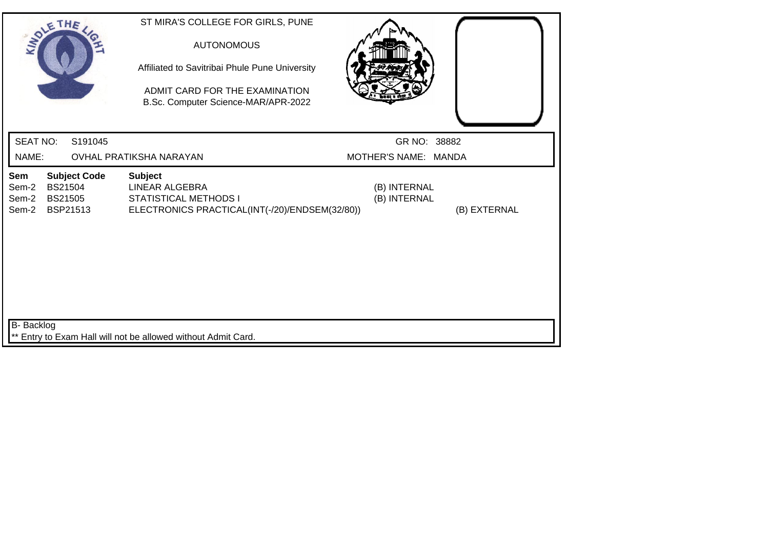| SOLETHE,                                                                                                     | ST MIRA'S COLLEGE FOR GIRLS, PUNE<br><b>AUTONOMOUS</b><br>Affiliated to Savitribai Phule Pune University<br>ADMIT CARD FOR THE EXAMINATION<br>B.Sc. Computer Science-MAR/APR-2022 |                                              |  |
|--------------------------------------------------------------------------------------------------------------|-----------------------------------------------------------------------------------------------------------------------------------------------------------------------------------|----------------------------------------------|--|
| <b>SEAT NO:</b><br>S191045                                                                                   |                                                                                                                                                                                   | GR NO: 38882                                 |  |
| NAME:                                                                                                        | OVHAL PRATIKSHA NARAYAN                                                                                                                                                           | MOTHER'S NAME: MANDA                         |  |
| <b>Subject Code</b><br>Sem<br><b>BS21504</b><br>Sem-2<br>Sem-2<br><b>BS21505</b><br>Sem-2<br><b>BSP21513</b> | <b>Subject</b><br><b>LINEAR ALGEBRA</b><br><b>STATISTICAL METHODS I</b><br>ELECTRONICS PRACTICAL(INT(-/20)/ENDSEM(32/80))                                                         | (B) INTERNAL<br>(B) INTERNAL<br>(B) EXTERNAL |  |
| <b>B-</b> Backlog                                                                                            | ** Entry to Exam Hall will not be allowed without Admit Card.                                                                                                                     |                                              |  |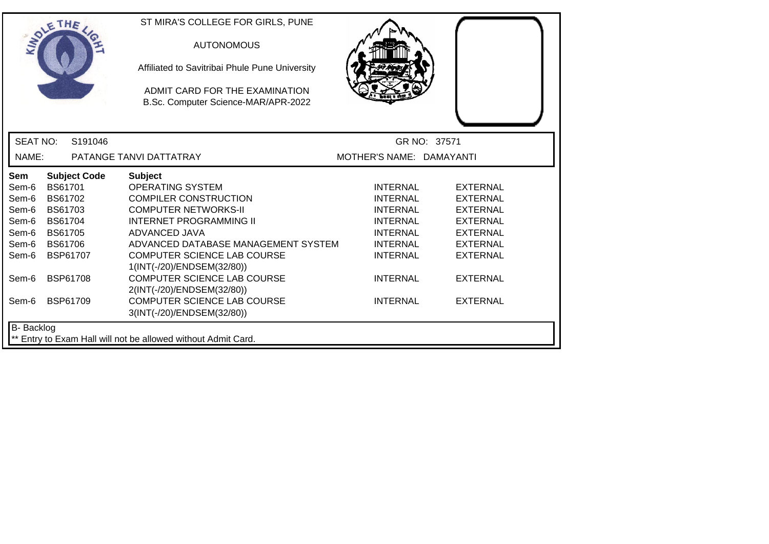|                 | SOLE THE            | ST MIRA'S COLLEGE FOR GIRLS, PUNE<br><b>AUTONOMOUS</b><br>Affiliated to Savitribai Phule Pune University<br>ADMIT CARD FOR THE EXAMINATION<br>B.Sc. Computer Science-MAR/APR-2022 |                          |                 |
|-----------------|---------------------|-----------------------------------------------------------------------------------------------------------------------------------------------------------------------------------|--------------------------|-----------------|
| <b>SEAT NO:</b> | S191046             |                                                                                                                                                                                   |                          | GR NO: 37571    |
| NAME:           |                     | PATANGE TANVI DATTATRAY                                                                                                                                                           | MOTHER'S NAME: DAMAYANTI |                 |
| Sem             | <b>Subject Code</b> | <b>Subject</b>                                                                                                                                                                    |                          |                 |
| Sem-6           | <b>BS61701</b>      | <b>OPERATING SYSTEM</b>                                                                                                                                                           | <b>INTERNAL</b>          | <b>EXTERNAL</b> |
| Sem-6           | BS61702             | <b>COMPILER CONSTRUCTION</b>                                                                                                                                                      | <b>INTERNAL</b>          | <b>EXTERNAL</b> |
| Sem-6           | BS61703             | <b>COMPUTER NETWORKS-II</b>                                                                                                                                                       | <b>INTERNAL</b>          | <b>EXTERNAL</b> |
| Sem-6           | <b>BS61704</b>      | <b>INTERNET PROGRAMMING II</b>                                                                                                                                                    | <b>INTERNAL</b>          | <b>EXTERNAL</b> |
| Sem-6           | <b>BS61705</b>      | ADVANCED JAVA                                                                                                                                                                     | <b>INTERNAL</b>          | <b>EXTERNAL</b> |
| Sem-6           | <b>BS61706</b>      | ADVANCED DATABASE MANAGEMENT SYSTEM                                                                                                                                               | <b>INTERNAL</b>          | <b>EXTERNAL</b> |
| Sem-6           | <b>BSP61707</b>     | COMPUTER SCIENCE LAB COURSE                                                                                                                                                       | <b>INTERNAL</b>          | <b>EXTERNAL</b> |
|                 | BSP61708            | 1(INT(-/20)/ENDSEM(32/80))<br><b>COMPUTER SCIENCE LAB COURSE</b>                                                                                                                  |                          |                 |
| Sem-6           |                     | 2(INT(-/20)/ENDSEM(32/80))                                                                                                                                                        | <b>INTERNAL</b>          | <b>EXTERNAL</b> |
| Sem-6           | <b>BSP61709</b>     | <b>COMPUTER SCIENCE LAB COURSE</b>                                                                                                                                                | <b>INTERNAL</b>          | <b>EXTERNAL</b> |
|                 |                     | 3(INT(-/20)/ENDSEM(32/80))                                                                                                                                                        |                          |                 |
| B- Backlog      |                     | ** Entry to Exam Hall will not be allowed without Admit Card.                                                                                                                     |                          |                 |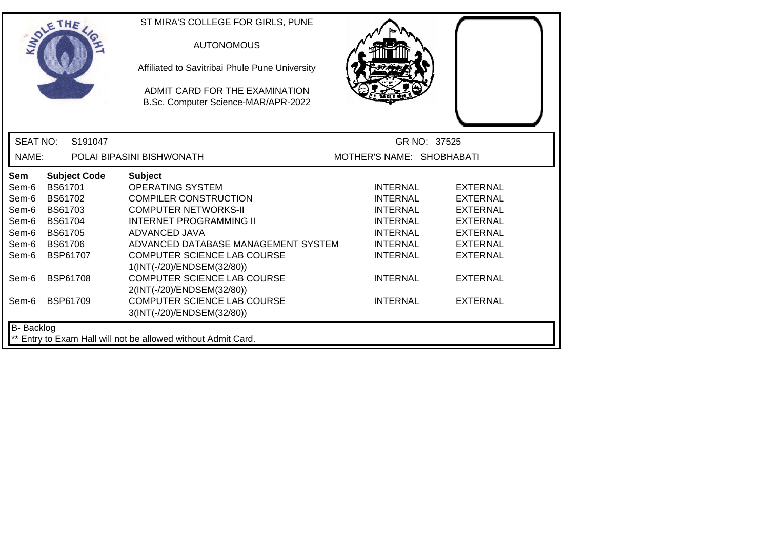|                   | SOLE THE            |         | ST MIRA'S COLLEGE FOR GIRLS, PUNE<br><b>AUTONOMOUS</b><br>Affiliated to Savitribai Phule Pune University<br>ADMIT CARD FOR THE EXAMINATION<br>B.Sc. Computer Science-MAR/APR-2022 |                           |                 |
|-------------------|---------------------|---------|-----------------------------------------------------------------------------------------------------------------------------------------------------------------------------------|---------------------------|-----------------|
| <b>SEAT NO:</b>   |                     | S191047 |                                                                                                                                                                                   |                           | GR NO: 37525    |
| NAME:             |                     |         | POLAI BIPASINI BISHWONATH                                                                                                                                                         | MOTHER'S NAME: SHOBHABATI |                 |
| Sem               | <b>Subject Code</b> |         | <b>Subject</b>                                                                                                                                                                    |                           |                 |
| Sem-6             | <b>BS61701</b>      |         | <b>OPERATING SYSTEM</b>                                                                                                                                                           | <b>INTERNAL</b>           | <b>EXTERNAL</b> |
| Sem-6             | <b>BS61702</b>      |         | <b>COMPILER CONSTRUCTION</b>                                                                                                                                                      | <b>INTERNAL</b>           | <b>EXTERNAL</b> |
| Sem-6             | <b>BS61703</b>      |         | <b>COMPUTER NETWORKS-II</b>                                                                                                                                                       | <b>INTERNAL</b>           | <b>EXTERNAL</b> |
| Sem-6             | <b>BS61704</b>      |         | <b>INTERNET PROGRAMMING II</b>                                                                                                                                                    | <b>INTERNAL</b>           | <b>EXTERNAL</b> |
| Sem-6             | <b>BS61705</b>      |         | ADVANCED JAVA                                                                                                                                                                     | <b>INTERNAL</b>           | <b>EXTERNAL</b> |
| Sem-6             | <b>BS61706</b>      |         | ADVANCED DATABASE MANAGEMENT SYSTEM                                                                                                                                               | <b>INTERNAL</b>           | <b>EXTERNAL</b> |
| Sem-6             | BSP61707            |         | <b>COMPUTER SCIENCE LAB COURSE</b>                                                                                                                                                | <b>INTERNAL</b>           | <b>EXTERNAL</b> |
|                   |                     |         | 1(INT(-/20)/ENDSEM(32/80))                                                                                                                                                        |                           |                 |
| Sem-6             | <b>BSP61708</b>     |         | <b>COMPUTER SCIENCE LAB COURSE</b>                                                                                                                                                | <b>INTERNAL</b>           | <b>EXTERNAL</b> |
|                   |                     |         | 2(INT(-/20)/ENDSEM(32/80))                                                                                                                                                        |                           |                 |
| Sem-6             | <b>BSP61709</b>     |         | <b>COMPUTER SCIENCE LAB COURSE</b>                                                                                                                                                | <b>INTERNAL</b>           | <b>EXTERNAL</b> |
|                   |                     |         | 3(INT(-/20)/ENDSEM(32/80))                                                                                                                                                        |                           |                 |
| <b>B-</b> Backlog |                     |         |                                                                                                                                                                                   |                           |                 |
|                   |                     |         | ** Entry to Exam Hall will not be allowed without Admit Card.                                                                                                                     |                           |                 |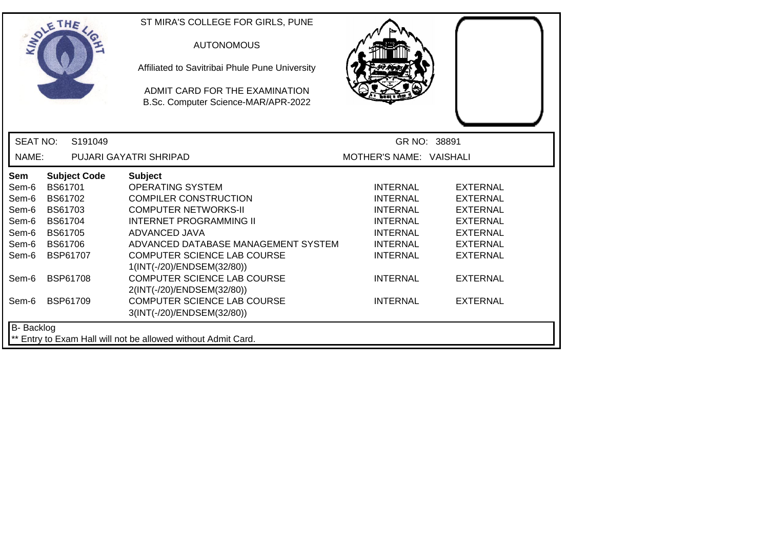|                   | SOLETHE .       |                     | ST MIRA'S COLLEGE FOR GIRLS, PUNE<br><b>AUTONOMOUS</b><br>Affiliated to Savitribai Phule Pune University<br>ADMIT CARD FOR THE EXAMINATION<br>B.Sc. Computer Science-MAR/APR-2022 |                         |                 |
|-------------------|-----------------|---------------------|-----------------------------------------------------------------------------------------------------------------------------------------------------------------------------------|-------------------------|-----------------|
| <b>SEAT NO:</b>   |                 | S191049             |                                                                                                                                                                                   | GR NO: 38891            |                 |
| NAME:             |                 |                     | PUJARI GAYATRI SHRIPAD                                                                                                                                                            | MOTHER'S NAME: VAISHALI |                 |
| Sem               |                 | <b>Subject Code</b> | <b>Subject</b>                                                                                                                                                                    |                         |                 |
| Sem-6             | <b>BS61701</b>  |                     | <b>OPERATING SYSTEM</b>                                                                                                                                                           | <b>INTERNAL</b>         | <b>EXTERNAL</b> |
| Sem-6             | <b>BS61702</b>  |                     | <b>COMPILER CONSTRUCTION</b>                                                                                                                                                      | <b>INTERNAL</b>         | <b>EXTERNAL</b> |
| Sem-6             | <b>BS61703</b>  |                     | <b>COMPUTER NETWORKS-II</b>                                                                                                                                                       | <b>INTERNAL</b>         | <b>EXTERNAL</b> |
| Sem-6             | <b>BS61704</b>  |                     | <b>INTERNET PROGRAMMING II</b>                                                                                                                                                    | <b>INTERNAL</b>         | <b>EXTERNAL</b> |
| Sem-6             | <b>BS61705</b>  |                     | ADVANCED JAVA                                                                                                                                                                     | <b>INTERNAL</b>         | <b>EXTERNAL</b> |
| Sem-6             | <b>BS61706</b>  |                     | ADVANCED DATABASE MANAGEMENT SYSTEM                                                                                                                                               | <b>INTERNAL</b>         | <b>EXTERNAL</b> |
| Sem-6             | BSP61707        |                     | COMPUTER SCIENCE LAB COURSE                                                                                                                                                       | <b>INTERNAL</b>         | <b>EXTERNAL</b> |
|                   |                 |                     | 1(INT(-/20)/ENDSEM(32/80))                                                                                                                                                        |                         |                 |
| Sem-6             | <b>BSP61708</b> |                     | <b>COMPUTER SCIENCE LAB COURSE</b>                                                                                                                                                | <b>INTERNAL</b>         | <b>EXTERNAL</b> |
|                   |                 |                     | 2(INT(-/20)/ENDSEM(32/80))                                                                                                                                                        |                         |                 |
| Sem-6             | <b>BSP61709</b> |                     | <b>COMPUTER SCIENCE LAB COURSE</b>                                                                                                                                                | <b>INTERNAL</b>         | <b>EXTERNAL</b> |
|                   |                 |                     | 3(INT(-/20)/ENDSEM(32/80))                                                                                                                                                        |                         |                 |
| <b>B-</b> Backlog |                 |                     |                                                                                                                                                                                   |                         |                 |
|                   |                 |                     | ** Entry to Exam Hall will not be allowed without Admit Card.                                                                                                                     |                         |                 |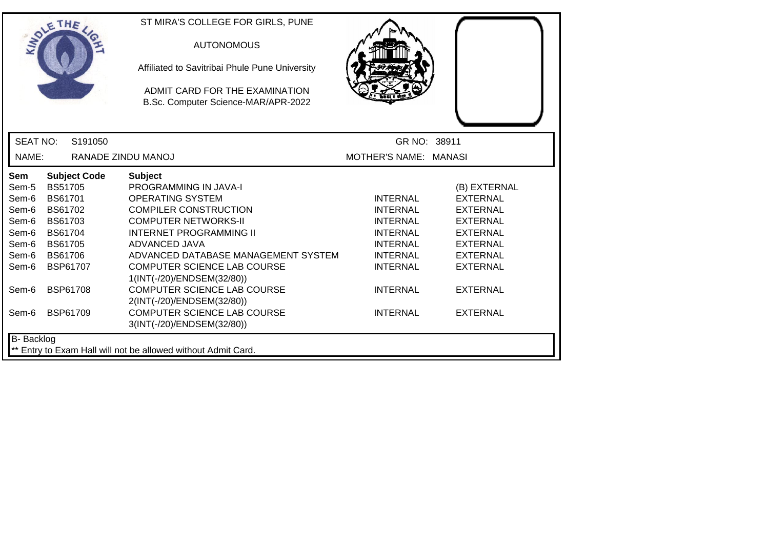|                   | THE                 | ST MIRA'S COLLEGE FOR GIRLS, PUNE                                     |                       |                 |
|-------------------|---------------------|-----------------------------------------------------------------------|-----------------------|-----------------|
|                   |                     | <b>AUTONOMOUS</b>                                                     |                       |                 |
|                   |                     | Affiliated to Savitribai Phule Pune University                        |                       |                 |
|                   |                     | ADMIT CARD FOR THE EXAMINATION<br>B.Sc. Computer Science-MAR/APR-2022 |                       |                 |
|                   |                     |                                                                       |                       |                 |
| <b>SEAT NO:</b>   | S <sub>191050</sub> |                                                                       | GR NO: 38911          |                 |
| NAME:             | RANADE ZINDU MANOJ  |                                                                       | MOTHER'S NAME: MANASI |                 |
| <b>Sem</b>        | <b>Subject Code</b> | <b>Subject</b>                                                        |                       |                 |
| Sem-5             | <b>BS51705</b>      | <b>PROGRAMMING IN JAVA-I</b>                                          |                       | (B) EXTERNAL    |
| Sem-6             | <b>BS61701</b>      | <b>OPERATING SYSTEM</b>                                               | <b>INTERNAL</b>       | <b>EXTERNAL</b> |
| Sem-6             | <b>BS61702</b>      | <b>COMPILER CONSTRUCTION</b>                                          | <b>INTERNAL</b>       | <b>EXTERNAL</b> |
| Sem-6             | BS61703             | <b>COMPUTER NETWORKS-II</b>                                           | <b>INTERNAL</b>       | <b>EXTERNAL</b> |
| Sem-6             | <b>BS61704</b>      | <b>INTERNET PROGRAMMING II</b>                                        | <b>INTERNAL</b>       | <b>EXTERNAL</b> |
| Sem-6             | <b>BS61705</b>      | ADVANCED JAVA                                                         | <b>INTERNAL</b>       | <b>EXTERNAL</b> |
| Sem-6             | <b>BS61706</b>      | ADVANCED DATABASE MANAGEMENT SYSTEM                                   | <b>INTERNAL</b>       | <b>EXTERNAL</b> |
| Sem-6             | BSP61707            | COMPUTER SCIENCE LAB COURSE                                           | <b>INTERNAL</b>       | <b>EXTERNAL</b> |
|                   |                     | 1(INT(-/20)/ENDSEM(32/80))                                            |                       |                 |
| Sem-6             | <b>BSP61708</b>     | <b>COMPUTER SCIENCE LAB COURSE</b>                                    | <b>INTERNAL</b>       | <b>EXTERNAL</b> |
|                   |                     | 2(INT(-/20)/ENDSEM(32/80))                                            |                       |                 |
| Sem-6             | <b>BSP61709</b>     | <b>COMPUTER SCIENCE LAB COURSE</b>                                    | <b>INTERNAL</b>       | <b>EXTERNAL</b> |
|                   |                     | 3(INT(-/20)/ENDSEM(32/80))                                            |                       |                 |
| <b>B-</b> Backlog |                     |                                                                       |                       |                 |
|                   |                     | ** Entry to Exam Hall will not be allowed without Admit Card.         |                       |                 |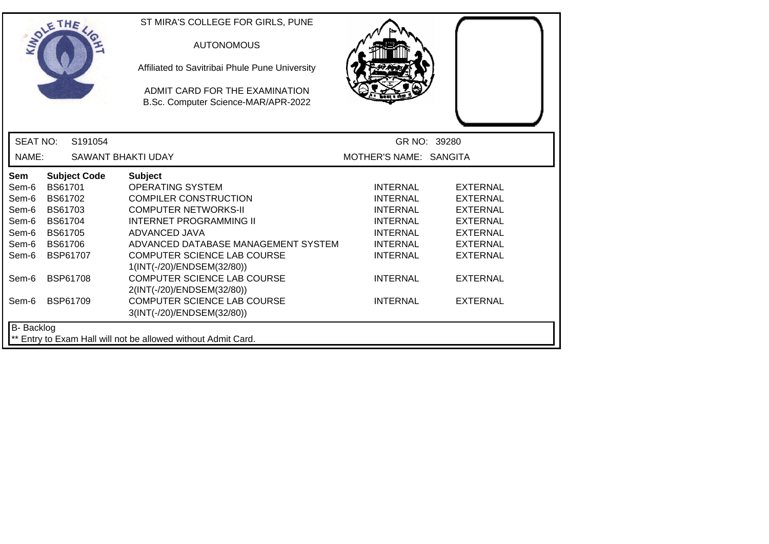|                   | OLETHE         |                     | ST MIRA'S COLLEGE FOR GIRLS, PUNE                                     |                        |                 |
|-------------------|----------------|---------------------|-----------------------------------------------------------------------|------------------------|-----------------|
|                   |                |                     | <b>AUTONOMOUS</b>                                                     |                        |                 |
|                   |                |                     | Affiliated to Savitribai Phule Pune University                        |                        |                 |
|                   |                |                     | ADMIT CARD FOR THE EXAMINATION<br>B.Sc. Computer Science-MAR/APR-2022 |                        |                 |
| <b>SEAT NO:</b>   |                | S191054             |                                                                       |                        | GR NO: 39280    |
| NAME:             |                |                     | <b>SAWANT BHAKTI UDAY</b>                                             | MOTHER'S NAME: SANGITA |                 |
| <b>Sem</b>        |                | <b>Subject Code</b> | <b>Subject</b>                                                        |                        |                 |
| Sem-6             | <b>BS61701</b> |                     | <b>OPERATING SYSTEM</b>                                               | <b>INTERNAL</b>        | <b>EXTERNAL</b> |
| Sem-6             | <b>BS61702</b> |                     | <b>COMPILER CONSTRUCTION</b>                                          | <b>INTERNAL</b>        | <b>EXTERNAL</b> |
| Sem-6             | BS61703        |                     | <b>COMPUTER NETWORKS-II</b>                                           | <b>INTERNAL</b>        | <b>EXTERNAL</b> |
| Sem-6             | <b>BS61704</b> |                     | <b>INTERNET PROGRAMMING II</b>                                        | <b>INTERNAL</b>        | <b>EXTERNAL</b> |
| Sem-6             | <b>BS61705</b> |                     | ADVANCED JAVA                                                         | <b>INTERNAL</b>        | <b>EXTERNAL</b> |
| Sem-6             | <b>BS61706</b> |                     | ADVANCED DATABASE MANAGEMENT SYSTEM                                   | <b>INTERNAL</b>        | <b>EXTERNAL</b> |
| Sem-6             |                | <b>BSP61707</b>     | <b>COMPUTER SCIENCE LAB COURSE</b><br>1(INT(-/20)/ENDSEM(32/80))      | <b>INTERNAL</b>        | <b>EXTERNAL</b> |
| Sem-6             |                | <b>BSP61708</b>     | <b>COMPUTER SCIENCE LAB COURSE</b><br>2(INT(-/20)/ENDSEM(32/80))      | <b>INTERNAL</b>        | <b>EXTERNAL</b> |
| Sem-6             |                | <b>BSP61709</b>     | <b>COMPUTER SCIENCE LAB COURSE</b><br>3(INT(-/20)/ENDSEM(32/80))      | <b>INTERNAL</b>        | <b>EXTERNAL</b> |
| <b>B-</b> Backlog |                |                     |                                                                       |                        |                 |
|                   |                |                     | ** Entry to Exam Hall will not be allowed without Admit Card.         |                        |                 |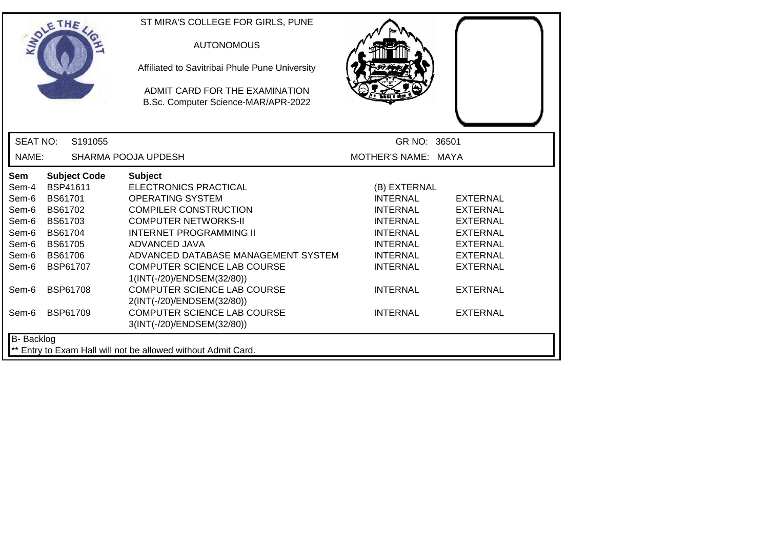|                   | THE                 | ST MIRA'S COLLEGE FOR GIRLS, PUNE                                     |                     |                 |
|-------------------|---------------------|-----------------------------------------------------------------------|---------------------|-----------------|
|                   |                     | <b>AUTONOMOUS</b>                                                     |                     |                 |
|                   |                     | Affiliated to Savitribai Phule Pune University                        |                     |                 |
|                   |                     | ADMIT CARD FOR THE EXAMINATION<br>B.Sc. Computer Science-MAR/APR-2022 |                     |                 |
|                   |                     |                                                                       |                     |                 |
| <b>SEAT NO:</b>   | S191055             |                                                                       | GR NO: 36501        |                 |
| NAME:             |                     | SHARMA POOJA UPDESH                                                   | MOTHER'S NAME: MAYA |                 |
| <b>Sem</b>        | <b>Subject Code</b> | <b>Subject</b>                                                        |                     |                 |
| Sem-4             | BSP41611            | <b>ELECTRONICS PRACTICAL</b>                                          | (B) EXTERNAL        |                 |
| Sem-6             | BS61701             | <b>OPERATING SYSTEM</b>                                               | <b>INTERNAL</b>     | <b>EXTERNAL</b> |
| Sem-6             | BS61702             | <b>COMPILER CONSTRUCTION</b>                                          | <b>INTERNAL</b>     | <b>EXTERNAL</b> |
| Sem-6             | BS61703             | <b>COMPUTER NETWORKS-II</b>                                           | <b>INTERNAL</b>     | <b>EXTERNAL</b> |
| Sem-6             | BS61704             | <b>INTERNET PROGRAMMING II</b>                                        | <b>INTERNAL</b>     | <b>EXTERNAL</b> |
| Sem-6             | <b>BS61705</b>      | ADVANCED JAVA                                                         | <b>INTERNAL</b>     | <b>EXTERNAL</b> |
| Sem-6             | <b>BS61706</b>      | ADVANCED DATABASE MANAGEMENT SYSTEM                                   | <b>INTERNAL</b>     | <b>EXTERNAL</b> |
| Sem-6             | <b>BSP61707</b>     | COMPUTER SCIENCE LAB COURSE<br>1(INT(-/20)/ENDSEM(32/80))             | <b>INTERNAL</b>     | <b>EXTERNAL</b> |
| Sem-6             | <b>BSP61708</b>     | <b>COMPUTER SCIENCE LAB COURSE</b><br>2(INT(-/20)/ENDSEM(32/80))      | <b>INTERNAL</b>     | <b>EXTERNAL</b> |
| Sem-6             | <b>BSP61709</b>     | COMPUTER SCIENCE LAB COURSE<br>3(INT(-/20)/ENDSEM(32/80))             | <b>INTERNAL</b>     | <b>EXTERNAL</b> |
| <b>B-</b> Backlog |                     |                                                                       |                     |                 |
|                   |                     | ** Entry to Exam Hall will not be allowed without Admit Card.         |                     |                 |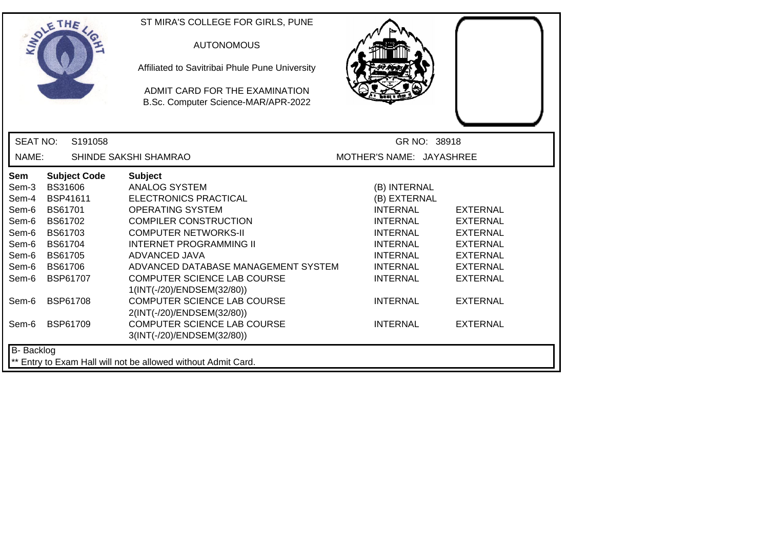| ETHE                                                                                                                                                                                                                                                                                                               | ST MIRA'S COLLEGE FOR GIRLS, PUNE<br><b>AUTONOMOUS</b><br>Affiliated to Savitribai Phule Pune University<br>ADMIT CARD FOR THE EXAMINATION<br>B.Sc. Computer Science-MAR/APR-2022                                                                                                                                                                                                                                                                        |                                                                                                                                                                                                         |                                                                                                                                                                         |
|--------------------------------------------------------------------------------------------------------------------------------------------------------------------------------------------------------------------------------------------------------------------------------------------------------------------|----------------------------------------------------------------------------------------------------------------------------------------------------------------------------------------------------------------------------------------------------------------------------------------------------------------------------------------------------------------------------------------------------------------------------------------------------------|---------------------------------------------------------------------------------------------------------------------------------------------------------------------------------------------------------|-------------------------------------------------------------------------------------------------------------------------------------------------------------------------|
| <b>SEAT NO:</b><br>S191058                                                                                                                                                                                                                                                                                         |                                                                                                                                                                                                                                                                                                                                                                                                                                                          | GR NO: 38918                                                                                                                                                                                            |                                                                                                                                                                         |
| NAME:                                                                                                                                                                                                                                                                                                              | SHINDE SAKSHI SHAMRAO                                                                                                                                                                                                                                                                                                                                                                                                                                    | MOTHER'S NAME: JAYASHREE                                                                                                                                                                                |                                                                                                                                                                         |
| <b>Subject Code</b><br><b>Sem</b><br><b>BS31606</b><br>Sem-3<br>BSP41611<br>Sem-4<br><b>BS61701</b><br>Sem-6<br>Sem-6<br>BS61702<br>BS61703<br>Sem-6<br><b>BS61704</b><br>Sem-6<br><b>BS61705</b><br>Sem-6<br>Sem-6<br><b>BS61706</b><br>BSP61707<br>Sem-6<br><b>BSP61708</b><br>Sem-6<br><b>BSP61709</b><br>Sem-6 | <b>Subject</b><br><b>ANALOG SYSTEM</b><br><b>ELECTRONICS PRACTICAL</b><br><b>OPERATING SYSTEM</b><br><b>COMPILER CONSTRUCTION</b><br><b>COMPUTER NETWORKS-II</b><br><b>INTERNET PROGRAMMING II</b><br>ADVANCED JAVA<br>ADVANCED DATABASE MANAGEMENT SYSTEM<br>COMPUTER SCIENCE LAB COURSE<br>1(INT(-/20)/ENDSEM(32/80))<br>COMPUTER SCIENCE LAB COURSE<br>2(INT(-/20)/ENDSEM(32/80))<br><b>COMPUTER SCIENCE LAB COURSE</b><br>3(INT(-/20)/ENDSEM(32/80)) | (B) INTERNAL<br>(B) EXTERNAL<br><b>INTERNAL</b><br><b>INTERNAL</b><br><b>INTERNAL</b><br><b>INTERNAL</b><br><b>INTERNAL</b><br><b>INTERNAL</b><br><b>INTERNAL</b><br><b>INTERNAL</b><br><b>INTERNAL</b> | <b>EXTERNAL</b><br><b>EXTERNAL</b><br><b>EXTERNAL</b><br><b>EXTERNAL</b><br><b>EXTERNAL</b><br><b>EXTERNAL</b><br><b>EXTERNAL</b><br><b>EXTERNAL</b><br><b>EXTERNAL</b> |
| B- Backlog                                                                                                                                                                                                                                                                                                         | ** Entry to Exam Hall will not be allowed without Admit Card.                                                                                                                                                                                                                                                                                                                                                                                            |                                                                                                                                                                                                         |                                                                                                                                                                         |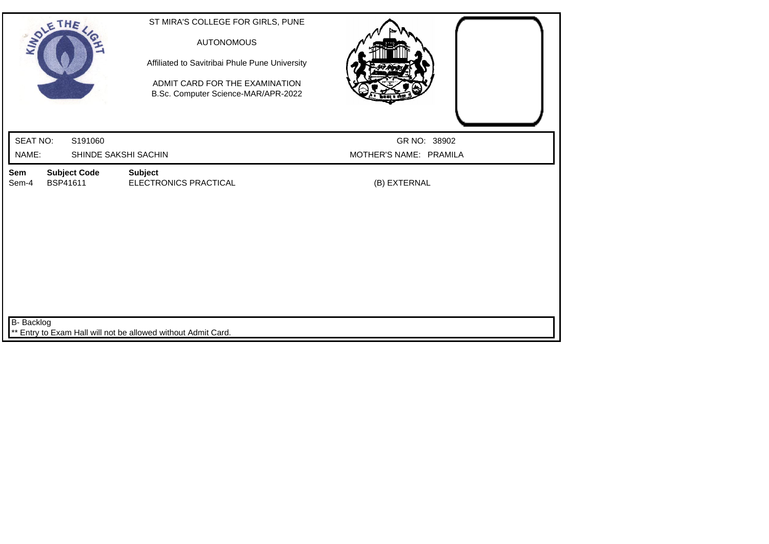| SOLETHE ,                                                                   | ST MIRA'S COLLEGE FOR GIRLS, PUNE<br><b>AUTONOMOUS</b><br>Affiliated to Savitribai Phule Pune University<br>ADMIT CARD FOR THE EXAMINATION<br>B.Sc. Computer Science-MAR/APR-2022 |                        |
|-----------------------------------------------------------------------------|-----------------------------------------------------------------------------------------------------------------------------------------------------------------------------------|------------------------|
| <b>SEAT NO:</b><br>S191060                                                  |                                                                                                                                                                                   | GR NO: 38902           |
| NAME:<br>SHINDE SAKSHI SACHIN                                               |                                                                                                                                                                                   | MOTHER'S NAME: PRAMILA |
| <b>Subject Code</b><br>Sem<br>Sem-4<br>BSP41611                             | <b>Subject</b><br>ELECTRONICS PRACTICAL                                                                                                                                           | (B) EXTERNAL           |
| B- Backlog<br>** Entry to Exam Hall will not be allowed without Admit Card. |                                                                                                                                                                                   |                        |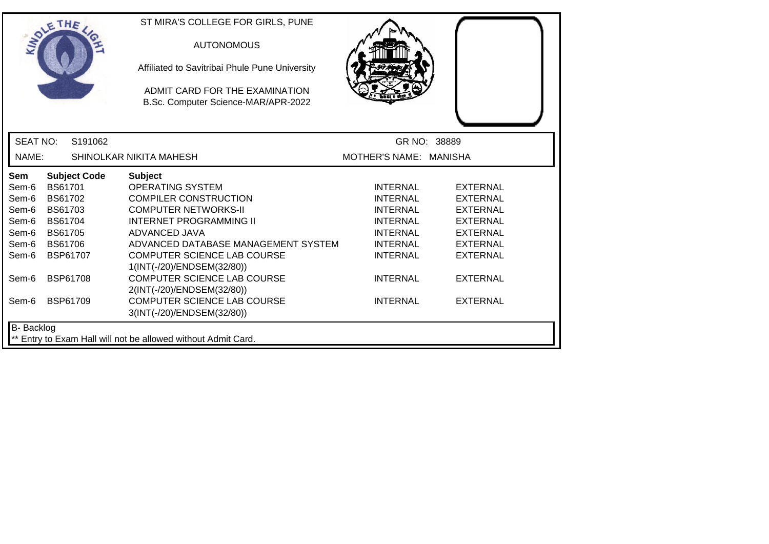| SOLE THE          |                 |                     | ST MIRA'S COLLEGE FOR GIRLS, PUNE<br><b>AUTONOMOUS</b><br>Affiliated to Savitribai Phule Pune University<br>ADMIT CARD FOR THE EXAMINATION<br>B.Sc. Computer Science-MAR/APR-2022 |                        |                 |
|-------------------|-----------------|---------------------|-----------------------------------------------------------------------------------------------------------------------------------------------------------------------------------|------------------------|-----------------|
| <b>SEAT NO:</b>   |                 | S191062             |                                                                                                                                                                                   | GR NO: 38889           |                 |
| NAME:             |                 |                     | SHINOLKAR NIKITA MAHESH                                                                                                                                                           | MOTHER'S NAME: MANISHA |                 |
| <b>Sem</b>        |                 | <b>Subject Code</b> | <b>Subject</b>                                                                                                                                                                    |                        |                 |
| Sem-6             | <b>BS61701</b>  |                     | <b>OPERATING SYSTEM</b>                                                                                                                                                           | <b>INTERNAL</b>        | <b>EXTERNAL</b> |
| Sem-6             | BS61702         |                     | <b>COMPILER CONSTRUCTION</b>                                                                                                                                                      | <b>INTERNAL</b>        | <b>EXTERNAL</b> |
| Sem-6             | <b>BS61703</b>  |                     | <b>COMPUTER NETWORKS-II</b>                                                                                                                                                       | <b>INTERNAL</b>        | <b>EXTERNAL</b> |
| Sem-6             | <b>BS61704</b>  |                     | <b>INTERNET PROGRAMMING II</b>                                                                                                                                                    | <b>INTERNAL</b>        | <b>EXTERNAL</b> |
| Sem-6             | <b>BS61705</b>  |                     | ADVANCED JAVA                                                                                                                                                                     | <b>INTERNAL</b>        | <b>EXTERNAL</b> |
| Sem-6             | <b>BS61706</b>  |                     | ADVANCED DATABASE MANAGEMENT SYSTEM                                                                                                                                               | <b>INTERNAL</b>        | <b>EXTERNAL</b> |
| Sem-6             | BSP61707        |                     | <b>COMPUTER SCIENCE LAB COURSE</b>                                                                                                                                                | <b>INTERNAL</b>        | <b>EXTERNAL</b> |
|                   |                 |                     | 1(INT(-/20)/ENDSEM(32/80))                                                                                                                                                        |                        |                 |
| Sem-6             | <b>BSP61708</b> |                     | <b>COMPUTER SCIENCE LAB COURSE</b>                                                                                                                                                | <b>INTERNAL</b>        | <b>EXTERNAL</b> |
|                   |                 |                     | 2(INT(-/20)/ENDSEM(32/80))                                                                                                                                                        |                        |                 |
| Sem-6             | <b>BSP61709</b> |                     | <b>COMPUTER SCIENCE LAB COURSE</b>                                                                                                                                                | <b>INTERNAL</b>        | <b>EXTERNAL</b> |
|                   |                 |                     | 3(INT(-/20)/ENDSEM(32/80))                                                                                                                                                        |                        |                 |
| <b>B-</b> Backlog |                 |                     |                                                                                                                                                                                   |                        |                 |
|                   |                 |                     | ** Entry to Exam Hall will not be allowed without Admit Card.                                                                                                                     |                        |                 |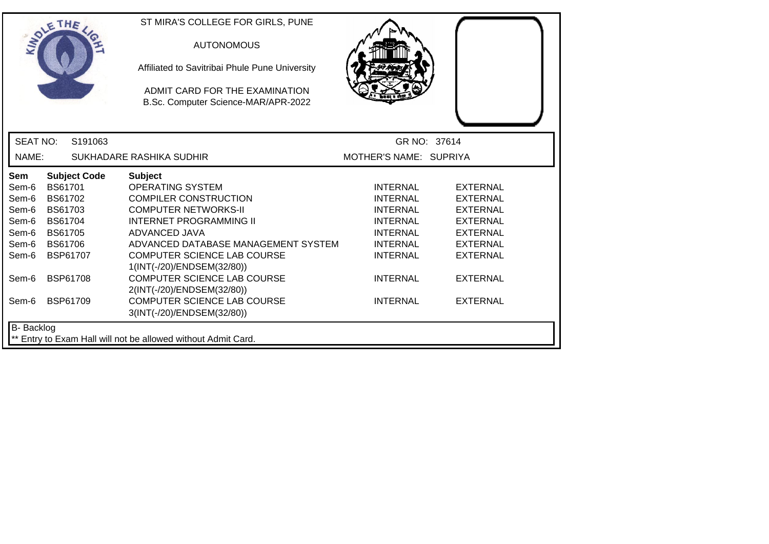|                 | SOLE THE            | ST MIRA'S COLLEGE FOR GIRLS, PUNE<br><b>AUTONOMOUS</b><br>Affiliated to Savitribai Phule Pune University<br>ADMIT CARD FOR THE EXAMINATION<br>B.Sc. Computer Science-MAR/APR-2022 |                        |                 |
|-----------------|---------------------|-----------------------------------------------------------------------------------------------------------------------------------------------------------------------------------|------------------------|-----------------|
| <b>SEAT NO:</b> | S191063             |                                                                                                                                                                                   |                        | GR NO: 37614    |
| NAME:           |                     | SUKHADARE RASHIKA SUDHIR                                                                                                                                                          | MOTHER'S NAME: SUPRIYA |                 |
| Sem             | <b>Subject Code</b> | <b>Subject</b>                                                                                                                                                                    |                        |                 |
| Sem-6           | <b>BS61701</b>      | <b>OPERATING SYSTEM</b>                                                                                                                                                           | <b>INTERNAL</b>        | <b>EXTERNAL</b> |
| Sem-6           | <b>BS61702</b>      | <b>COMPILER CONSTRUCTION</b>                                                                                                                                                      | <b>INTERNAL</b>        | <b>EXTERNAL</b> |
| Sem-6           | BS61703             | <b>COMPUTER NETWORKS-II</b>                                                                                                                                                       | <b>INTERNAL</b>        | <b>EXTERNAL</b> |
| Sem-6           | <b>BS61704</b>      | <b>INTERNET PROGRAMMING II</b>                                                                                                                                                    | <b>INTERNAL</b>        | <b>EXTERNAL</b> |
| Sem-6           | <b>BS61705</b>      | ADVANCED JAVA                                                                                                                                                                     | <b>INTERNAL</b>        | <b>EXTERNAL</b> |
| Sem-6           | <b>BS61706</b>      | ADVANCED DATABASE MANAGEMENT SYSTEM                                                                                                                                               | <b>INTERNAL</b>        | <b>EXTERNAL</b> |
| Sem-6           | BSP61707            | COMPUTER SCIENCE LAB COURSE                                                                                                                                                       | <b>INTERNAL</b>        | <b>EXTERNAL</b> |
|                 |                     | 1(INT(-/20)/ENDSEM(32/80))                                                                                                                                                        |                        |                 |
| Sem-6           | <b>BSP61708</b>     | <b>COMPUTER SCIENCE LAB COURSE</b><br>2(INT(-/20)/ENDSEM(32/80))                                                                                                                  | <b>INTERNAL</b>        | <b>EXTERNAL</b> |
| Sem-6           | <b>BSP61709</b>     | <b>COMPUTER SCIENCE LAB COURSE</b>                                                                                                                                                | <b>INTERNAL</b>        | <b>EXTERNAL</b> |
|                 |                     | 3(INT(-/20)/ENDSEM(32/80))                                                                                                                                                        |                        |                 |
| B- Backlog      |                     | ** Entry to Exam Hall will not be allowed without Admit Card.                                                                                                                     |                        |                 |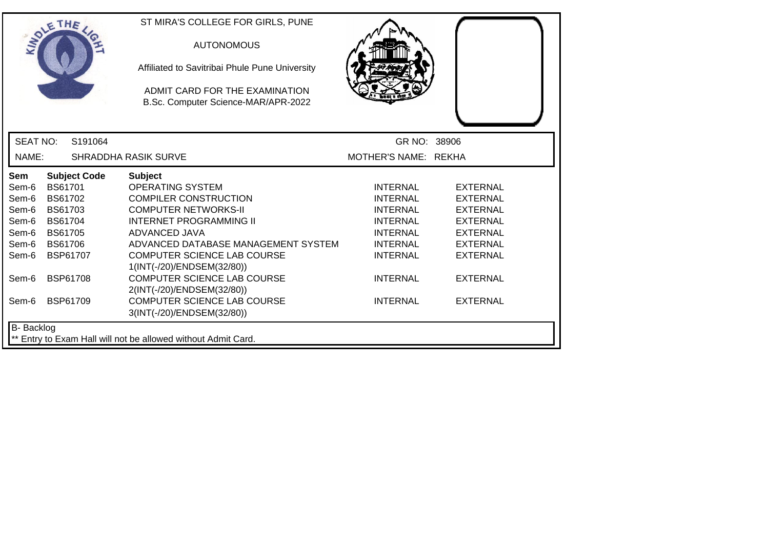| SOLE THE          |                 |                     | ST MIRA'S COLLEGE FOR GIRLS, PUNE<br><b>AUTONOMOUS</b><br>Affiliated to Savitribai Phule Pune University<br>ADMIT CARD FOR THE EXAMINATION<br>B.Sc. Computer Science-MAR/APR-2022 |                      |                 |
|-------------------|-----------------|---------------------|-----------------------------------------------------------------------------------------------------------------------------------------------------------------------------------|----------------------|-----------------|
| <b>SEAT NO:</b>   |                 | S191064             |                                                                                                                                                                                   | GR NO: 38906         |                 |
| NAME:             |                 |                     | SHRADDHA RASIK SURVE                                                                                                                                                              | MOTHER'S NAME: REKHA |                 |
| Sem               |                 | <b>Subject Code</b> | <b>Subject</b>                                                                                                                                                                    |                      |                 |
| Sem-6             | BS61701         |                     | <b>OPERATING SYSTEM</b>                                                                                                                                                           | <b>INTERNAL</b>      | <b>EXTERNAL</b> |
| Sem-6             | <b>BS61702</b>  |                     | <b>COMPILER CONSTRUCTION</b>                                                                                                                                                      | <b>INTERNAL</b>      | <b>EXTERNAL</b> |
| Sem-6             | BS61703         |                     | <b>COMPUTER NETWORKS-II</b>                                                                                                                                                       | <b>INTERNAL</b>      | <b>EXTERNAL</b> |
| Sem-6             | <b>BS61704</b>  |                     | <b>INTERNET PROGRAMMING II</b>                                                                                                                                                    | <b>INTERNAL</b>      | <b>EXTERNAL</b> |
| Sem-6             | BS61705         |                     | ADVANCED JAVA                                                                                                                                                                     | <b>INTERNAL</b>      | <b>EXTERNAL</b> |
| Sem-6             | <b>BS61706</b>  |                     | ADVANCED DATABASE MANAGEMENT SYSTEM                                                                                                                                               | <b>INTERNAL</b>      | <b>EXTERNAL</b> |
| Sem-6             | <b>BSP61707</b> |                     | COMPUTER SCIENCE LAB COURSE<br>1(INT(-/20)/ENDSEM(32/80))                                                                                                                         | <b>INTERNAL</b>      | <b>EXTERNAL</b> |
| Sem-6             | BSP61708        |                     | <b>COMPUTER SCIENCE LAB COURSE</b><br>2(INT(-/20)/ENDSEM(32/80))                                                                                                                  | <b>INTERNAL</b>      | <b>EXTERNAL</b> |
| Sem-6             | <b>BSP61709</b> |                     | <b>COMPUTER SCIENCE LAB COURSE</b><br>3(INT(-/20)/ENDSEM(32/80))                                                                                                                  | <b>INTERNAL</b>      | <b>EXTERNAL</b> |
| <b>B-</b> Backlog |                 |                     | ** Entry to Exam Hall will not be allowed without Admit Card.                                                                                                                     |                      |                 |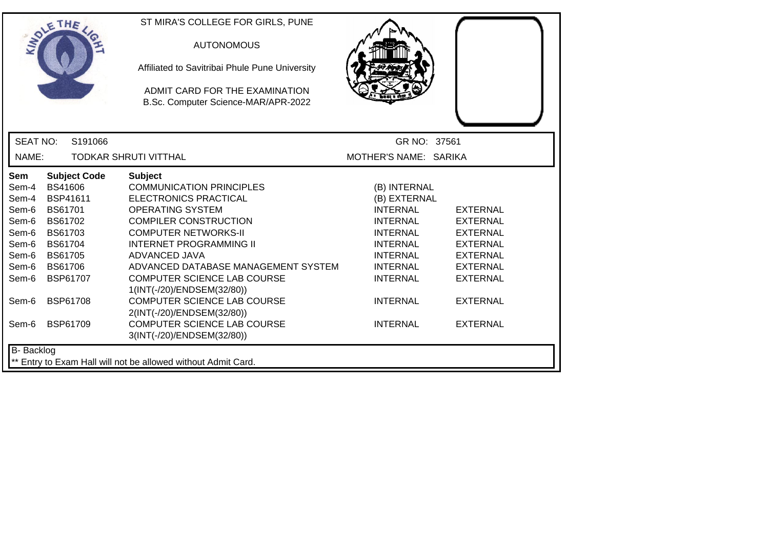|                 | THE                 | ST MIRA'S COLLEGE FOR GIRLS, PUNE                             |                       |                 |
|-----------------|---------------------|---------------------------------------------------------------|-----------------------|-----------------|
|                 |                     | <b>AUTONOMOUS</b>                                             |                       |                 |
|                 |                     | Affiliated to Savitribai Phule Pune University                |                       |                 |
|                 |                     | ADMIT CARD FOR THE EXAMINATION                                |                       |                 |
|                 |                     | B.Sc. Computer Science-MAR/APR-2022                           |                       |                 |
|                 |                     |                                                               |                       |                 |
| <b>SEAT NO:</b> | S191066             |                                                               | GR NO: 37561          |                 |
| NAME:           |                     | <b>TODKAR SHRUTI VITTHAL</b>                                  | MOTHER'S NAME: SARIKA |                 |
| Sem             | <b>Subject Code</b> | <b>Subject</b>                                                |                       |                 |
| Sem-4           | BS41606             | <b>COMMUNICATION PRINCIPLES</b>                               | (B) INTERNAL          |                 |
| Sem-4           | <b>BSP41611</b>     | ELECTRONICS PRACTICAL                                         | (B) EXTERNAL          |                 |
| Sem-6           | <b>BS61701</b>      | OPERATING SYSTEM                                              | <b>INTERNAL</b>       | <b>EXTERNAL</b> |
| Sem-6           | <b>BS61702</b>      | <b>COMPILER CONSTRUCTION</b>                                  | <b>INTERNAL</b>       | <b>EXTERNAL</b> |
| Sem-6           | <b>BS61703</b>      | <b>COMPUTER NETWORKS-II</b>                                   | <b>INTERNAL</b>       | <b>EXTERNAL</b> |
| Sem-6           | <b>BS61704</b>      | <b>INTERNET PROGRAMMING II</b>                                | <b>INTERNAL</b>       | <b>EXTERNAL</b> |
| Sem-6           | <b>BS61705</b>      | ADVANCED JAVA                                                 | <b>INTERNAL</b>       | <b>EXTERNAL</b> |
| Sem-6           | BS61706             | ADVANCED DATABASE MANAGEMENT SYSTEM                           | <b>INTERNAL</b>       | <b>EXTERNAL</b> |
| Sem-6           | <b>BSP61707</b>     | <b>COMPUTER SCIENCE LAB COURSE</b>                            | <b>INTERNAL</b>       | <b>EXTERNAL</b> |
|                 |                     | 1(INT(-/20)/ENDSEM(32/80))                                    |                       |                 |
| Sem-6           | <b>BSP61708</b>     | <b>COMPUTER SCIENCE LAB COURSE</b>                            | <b>INTERNAL</b>       | <b>EXTERNAL</b> |
|                 |                     | 2(INT(-/20)/ENDSEM(32/80))                                    |                       |                 |
| Sem-6           | <b>BSP61709</b>     | <b>COMPUTER SCIENCE LAB COURSE</b>                            | <b>INTERNAL</b>       | <b>EXTERNAL</b> |
|                 |                     | 3(INT(-/20)/ENDSEM(32/80))                                    |                       |                 |
| B- Backlog      |                     |                                                               |                       |                 |
|                 |                     | ** Entry to Exam Hall will not be allowed without Admit Card. |                       |                 |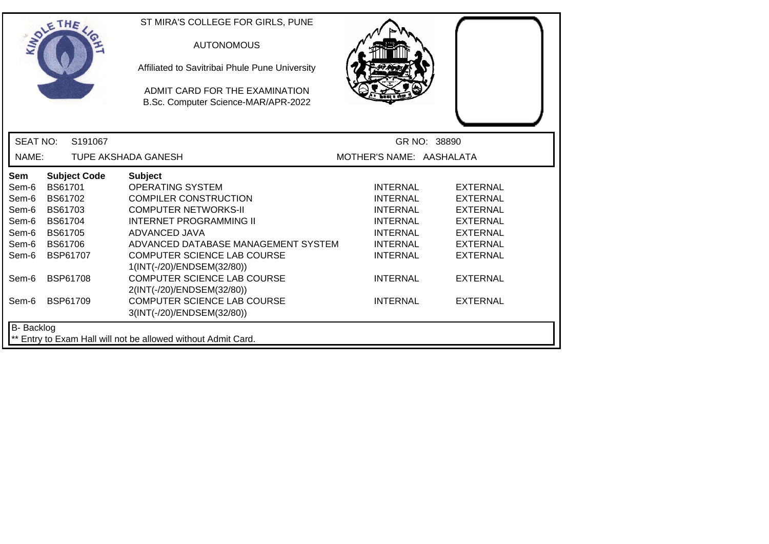|                   | SOLE THE            | ST MIRA'S COLLEGE FOR GIRLS, PUNE<br><b>AUTONOMOUS</b><br>Affiliated to Savitribai Phule Pune University<br>ADMIT CARD FOR THE EXAMINATION<br>B.Sc. Computer Science-MAR/APR-2022 |                          |                 |
|-------------------|---------------------|-----------------------------------------------------------------------------------------------------------------------------------------------------------------------------------|--------------------------|-----------------|
| <b>SEAT NO:</b>   | S191067             |                                                                                                                                                                                   |                          | GR NO: 38890    |
| NAME:             |                     | TUPE AKSHADA GANESH                                                                                                                                                               | MOTHER'S NAME: AASHALATA |                 |
| Sem               | <b>Subject Code</b> | <b>Subject</b>                                                                                                                                                                    |                          |                 |
| Sem-6             | BS61701             | <b>OPERATING SYSTEM</b>                                                                                                                                                           | <b>INTERNAL</b>          | <b>EXTERNAL</b> |
| Sem-6             | BS61702             | <b>COMPILER CONSTRUCTION</b>                                                                                                                                                      | <b>INTERNAL</b>          | <b>EXTERNAL</b> |
| Sem-6             | <b>BS61703</b>      | <b>COMPUTER NETWORKS-II</b>                                                                                                                                                       | <b>INTERNAL</b>          | <b>EXTERNAL</b> |
| Sem-6             | <b>BS61704</b>      | <b>INTERNET PROGRAMMING II</b>                                                                                                                                                    | <b>INTERNAL</b>          | <b>EXTERNAL</b> |
| Sem-6             | <b>BS61705</b>      | ADVANCED JAVA                                                                                                                                                                     | <b>INTERNAL</b>          | <b>EXTERNAL</b> |
| Sem-6             | <b>BS61706</b>      | ADVANCED DATABASE MANAGEMENT SYSTEM                                                                                                                                               | <b>INTERNAL</b>          | <b>EXTERNAL</b> |
| Sem-6             | BSP61707            | COMPUTER SCIENCE LAB COURSE                                                                                                                                                       | <b>INTERNAL</b>          | <b>EXTERNAL</b> |
|                   |                     | 1(INT(-/20)/ENDSEM(32/80))                                                                                                                                                        |                          |                 |
| Sem-6             | <b>BSP61708</b>     | <b>COMPUTER SCIENCE LAB COURSE</b>                                                                                                                                                | <b>INTERNAL</b>          | <b>EXTERNAL</b> |
|                   |                     | 2(INT(-/20)/ENDSEM(32/80))                                                                                                                                                        |                          |                 |
| Sem-6             | <b>BSP61709</b>     | <b>COMPUTER SCIENCE LAB COURSE</b>                                                                                                                                                | <b>INTERNAL</b>          | <b>EXTERNAL</b> |
|                   |                     | 3(INT(-/20)/ENDSEM(32/80))                                                                                                                                                        |                          |                 |
| <b>B-</b> Backlog |                     |                                                                                                                                                                                   |                          |                 |
|                   |                     | ** Entry to Exam Hall will not be allowed without Admit Card.                                                                                                                     |                          |                 |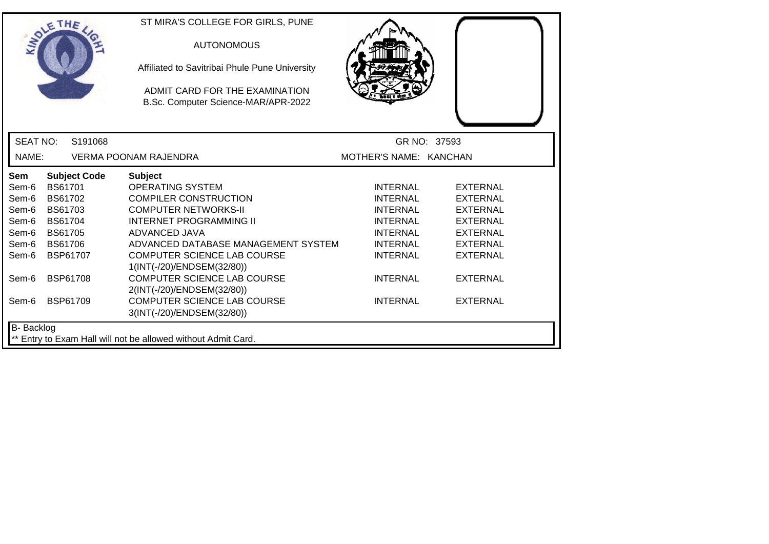|                   | SOLE THE            | ST MIRA'S COLLEGE FOR GIRLS, PUNE<br><b>AUTONOMOUS</b><br>Affiliated to Savitribai Phule Pune University<br>ADMIT CARD FOR THE EXAMINATION<br>B.Sc. Computer Science-MAR/APR-2022 |                        |                 |
|-------------------|---------------------|-----------------------------------------------------------------------------------------------------------------------------------------------------------------------------------|------------------------|-----------------|
| <b>SEAT NO:</b>   | S191068             |                                                                                                                                                                                   |                        | GR NO: 37593    |
| NAME:             |                     | <b>VERMA POONAM RAJENDRA</b>                                                                                                                                                      | MOTHER'S NAME: KANCHAN |                 |
| <b>Sem</b>        | <b>Subject Code</b> | <b>Subject</b>                                                                                                                                                                    |                        |                 |
| Sem-6             | <b>BS61701</b>      | <b>OPERATING SYSTEM</b>                                                                                                                                                           | <b>INTERNAL</b>        | <b>EXTERNAL</b> |
| Sem-6             | BS61702             | <b>COMPILER CONSTRUCTION</b>                                                                                                                                                      | <b>INTERNAL</b>        | <b>EXTERNAL</b> |
| Sem-6             | BS61703             | <b>COMPUTER NETWORKS-II</b>                                                                                                                                                       | <b>INTERNAL</b>        | <b>EXTERNAL</b> |
| Sem-6             | <b>BS61704</b>      | <b>INTERNET PROGRAMMING II</b>                                                                                                                                                    | <b>INTERNAL</b>        | <b>EXTERNAL</b> |
| Sem-6             | <b>BS61705</b>      | ADVANCED JAVA                                                                                                                                                                     | <b>INTERNAL</b>        | <b>EXTERNAL</b> |
| Sem-6             | <b>BS61706</b>      | ADVANCED DATABASE MANAGEMENT SYSTEM                                                                                                                                               | <b>INTERNAL</b>        | <b>EXTERNAL</b> |
| Sem-6             | BSP61707            | COMPUTER SCIENCE LAB COURSE                                                                                                                                                       | <b>INTERNAL</b>        | <b>EXTERNAL</b> |
|                   |                     | 1(INT(-/20)/ENDSEM(32/80))                                                                                                                                                        |                        |                 |
| Sem-6             | <b>BSP61708</b>     | <b>COMPUTER SCIENCE LAB COURSE</b>                                                                                                                                                | <b>INTERNAL</b>        | <b>EXTERNAL</b> |
|                   |                     | 2(INT(-/20)/ENDSEM(32/80))                                                                                                                                                        |                        |                 |
| Sem-6             | <b>BSP61709</b>     | <b>COMPUTER SCIENCE LAB COURSE</b>                                                                                                                                                | <b>INTERNAL</b>        | <b>EXTERNAL</b> |
|                   |                     | 3(INT(-/20)/ENDSEM(32/80))                                                                                                                                                        |                        |                 |
| <b>B-</b> Backlog |                     |                                                                                                                                                                                   |                        |                 |
|                   |                     | ** Entry to Exam Hall will not be allowed without Admit Card.                                                                                                                     |                        |                 |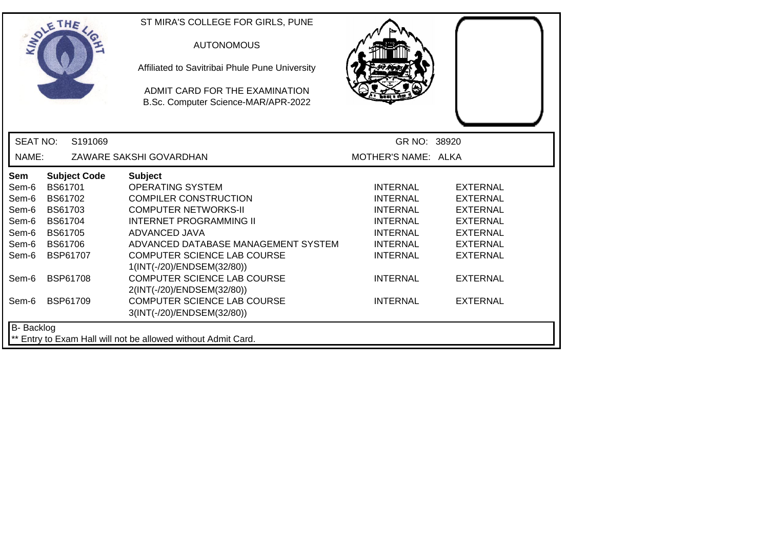| SOLE THE        |                |                     | ST MIRA'S COLLEGE FOR GIRLS, PUNE<br><b>AUTONOMOUS</b><br>Affiliated to Savitribai Phule Pune University<br>ADMIT CARD FOR THE EXAMINATION<br>B.Sc. Computer Science-MAR/APR-2022 |                     |                 |
|-----------------|----------------|---------------------|-----------------------------------------------------------------------------------------------------------------------------------------------------------------------------------|---------------------|-----------------|
| <b>SEAT NO:</b> |                | S191069             |                                                                                                                                                                                   | GR NO: 38920        |                 |
| NAME:           |                |                     | ZAWARE SAKSHI GOVARDHAN                                                                                                                                                           | MOTHER'S NAME: ALKA |                 |
| Sem             |                | <b>Subject Code</b> | <b>Subject</b>                                                                                                                                                                    |                     |                 |
| Sem-6           | BS61701        |                     | <b>OPERATING SYSTEM</b>                                                                                                                                                           | INTERNAL            | <b>EXTERNAL</b> |
| Sem-6           | <b>BS61702</b> |                     | <b>COMPILER CONSTRUCTION</b>                                                                                                                                                      | <b>INTERNAL</b>     | <b>EXTERNAL</b> |
| Sem-6           | BS61703        |                     | <b>COMPUTER NETWORKS-II</b>                                                                                                                                                       | <b>INTERNAL</b>     | <b>EXTERNAL</b> |
| Sem-6           | <b>BS61704</b> |                     | <b>INTERNET PROGRAMMING II</b>                                                                                                                                                    | <b>INTERNAL</b>     | <b>EXTERNAL</b> |
| Sem-6           | <b>BS61705</b> |                     | ADVANCED JAVA                                                                                                                                                                     | <b>INTERNAL</b>     | <b>EXTERNAL</b> |
| Sem-6           | <b>BS61706</b> |                     | ADVANCED DATABASE MANAGEMENT SYSTEM                                                                                                                                               | <b>INTERNAL</b>     | <b>EXTERNAL</b> |
| Sem-6           |                | BSP61707            | COMPUTER SCIENCE LAB COURSE                                                                                                                                                       | <b>INTERNAL</b>     | <b>EXTERNAL</b> |
|                 |                |                     | 1(INT(-/20)/ENDSEM(32/80))<br><b>COMPUTER SCIENCE LAB COURSE</b>                                                                                                                  |                     |                 |
| Sem-6           |                | <b>BSP61708</b>     | 2(INT(-/20)/ENDSEM(32/80))                                                                                                                                                        | <b>INTERNAL</b>     | <b>EXTERNAL</b> |
| Sem-6           |                | <b>BSP61709</b>     | <b>COMPUTER SCIENCE LAB COURSE</b>                                                                                                                                                | <b>INTERNAL</b>     | <b>EXTERNAL</b> |
|                 |                |                     | 3(INT(-/20)/ENDSEM(32/80))                                                                                                                                                        |                     |                 |
| B- Backlog      |                |                     |                                                                                                                                                                                   |                     |                 |
|                 |                |                     | ** Entry to Exam Hall will not be allowed without Admit Card.                                                                                                                     |                     |                 |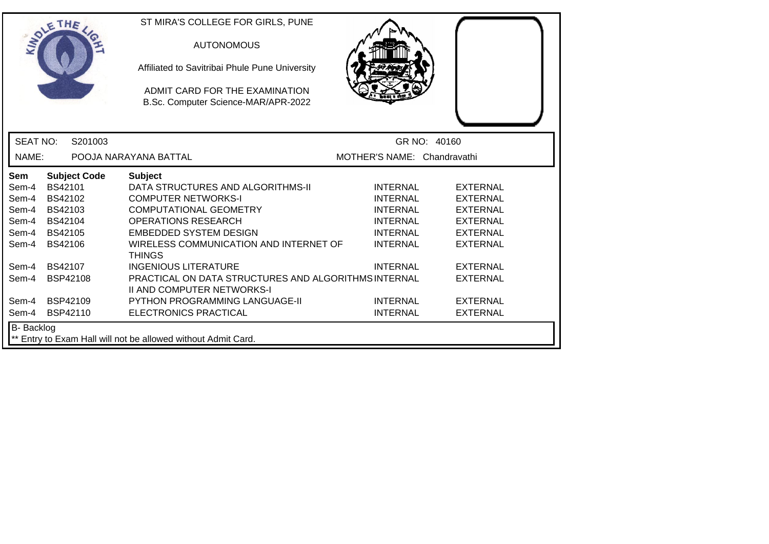|                 | SOLETHE .                                                                          | ST MIRA'S COLLEGE FOR GIRLS, PUNE<br><b>AUTONOMOUS</b><br>Affiliated to Savitribai Phule Pune University<br>ADMIT CARD FOR THE EXAMINATION<br>B.Sc. Computer Science-MAR/APR-2022 |                             |                 |  |  |
|-----------------|------------------------------------------------------------------------------------|-----------------------------------------------------------------------------------------------------------------------------------------------------------------------------------|-----------------------------|-----------------|--|--|
| <b>SEAT NO:</b> | S201003                                                                            |                                                                                                                                                                                   |                             | GR NO: 40160    |  |  |
| NAME:           |                                                                                    | POOJA NARAYANA BATTAL                                                                                                                                                             | MOTHER'S NAME: Chandravathi |                 |  |  |
| Sem             | <b>Subject Code</b>                                                                | <b>Subject</b>                                                                                                                                                                    |                             |                 |  |  |
| Sem-4           | BS42101                                                                            | DATA STRUCTURES AND ALGORITHMS-II                                                                                                                                                 | <b>INTERNAL</b>             | <b>EXTERNAL</b> |  |  |
| Sem-4           | BS42102                                                                            | <b>COMPUTER NETWORKS-I</b>                                                                                                                                                        | <b>INTERNAL</b>             | <b>EXTERNAL</b> |  |  |
| Sem-4           | BS42103                                                                            | <b>COMPUTATIONAL GEOMETRY</b>                                                                                                                                                     | <b>INTERNAL</b>             | <b>EXTERNAL</b> |  |  |
| Sem-4           | BS42104                                                                            | <b>OPERATIONS RESEARCH</b>                                                                                                                                                        | <b>INTERNAL</b>             | <b>EXTERNAL</b> |  |  |
| Sem-4           | BS42105                                                                            | <b>EMBEDDED SYSTEM DESIGN</b>                                                                                                                                                     | <b>INTERNAL</b>             | <b>EXTERNAL</b> |  |  |
| Sem-4           | <b>BS42106</b>                                                                     | WIRELESS COMMUNICATION AND INTERNET OF<br><b>THINGS</b>                                                                                                                           | <b>INTERNAL</b>             | <b>EXTERNAL</b> |  |  |
| Sem-4           | BS42107                                                                            | <b>INGENIOUS LITERATURE</b>                                                                                                                                                       | <b>INTERNAL</b>             | <b>EXTERNAL</b> |  |  |
| Sem-4           | BSP42108                                                                           | PRACTICAL ON DATA STRUCTURES AND ALGORITHMS INTERNAL<br><b>II AND COMPUTER NETWORKS-I</b>                                                                                         |                             | <b>EXTERNAL</b> |  |  |
| Sem-4           | BSP42109                                                                           | <b>PYTHON PROGRAMMING LANGUAGE-II</b>                                                                                                                                             | <b>INTERNAL</b>             | <b>EXTERNAL</b> |  |  |
| Sem-4           | BSP42110                                                                           | ELECTRONICS PRACTICAL                                                                                                                                                             | <b>INTERNAL</b>             | <b>EXTERNAL</b> |  |  |
|                 | <b>B-</b> Backlog<br>** Entry to Exam Hall will not be allowed without Admit Card. |                                                                                                                                                                                   |                             |                 |  |  |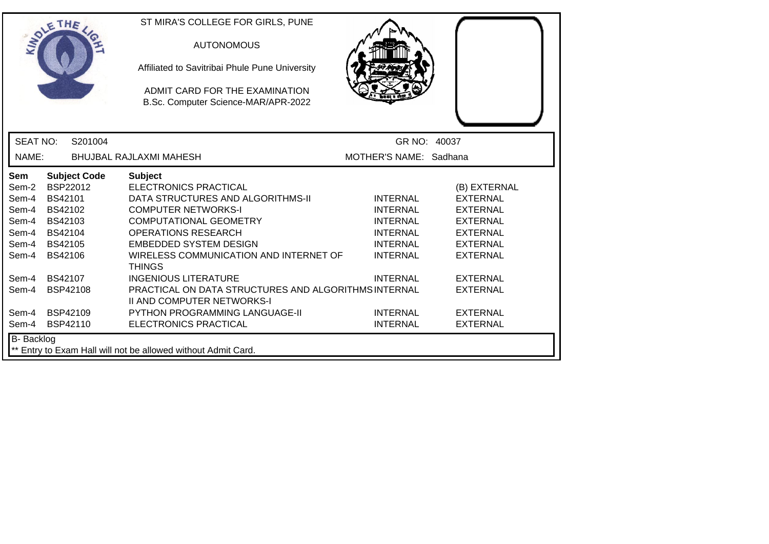|                                                                                                               | ETHE                                                                                                                                                    | ST MIRA'S COLLEGE FOR GIRLS, PUNE<br><b>AUTONOMOUS</b><br>Affiliated to Savitribai Phule Pune University<br>ADMIT CARD FOR THE EXAMINATION<br>B.Sc. Computer Science-MAR/APR-2022                                                                                                                                                                                                                                                                                                 |                                                                                                                                                                         |                                                                                                                                                                                                            |
|---------------------------------------------------------------------------------------------------------------|---------------------------------------------------------------------------------------------------------------------------------------------------------|-----------------------------------------------------------------------------------------------------------------------------------------------------------------------------------------------------------------------------------------------------------------------------------------------------------------------------------------------------------------------------------------------------------------------------------------------------------------------------------|-------------------------------------------------------------------------------------------------------------------------------------------------------------------------|------------------------------------------------------------------------------------------------------------------------------------------------------------------------------------------------------------|
| <b>SEAT NO:</b>                                                                                               | S201004                                                                                                                                                 |                                                                                                                                                                                                                                                                                                                                                                                                                                                                                   | GR NO: 40037                                                                                                                                                            |                                                                                                                                                                                                            |
| NAME:                                                                                                         |                                                                                                                                                         | <b>BHUJBAL RAJLAXMI MAHESH</b>                                                                                                                                                                                                                                                                                                                                                                                                                                                    | MOTHER'S NAME: Sadhana                                                                                                                                                  |                                                                                                                                                                                                            |
| <b>Sem</b><br>Sem-2<br>Sem-4<br>Sem-4<br>Sem-4<br>Sem-4<br>Sem-4<br>Sem-4<br>Sem-4<br>Sem-4<br>Sem-4<br>Sem-4 | <b>Subject Code</b><br>BSP22012<br>BS42101<br>BS42102<br>BS42103<br>BS42104<br>BS42105<br>BS42106<br>BS42107<br><b>BSP42108</b><br>BSP42109<br>BSP42110 | <b>Subject</b><br><b>ELECTRONICS PRACTICAL</b><br>DATA STRUCTURES AND ALGORITHMS-II<br><b>COMPUTER NETWORKS-I</b><br><b>COMPUTATIONAL GEOMETRY</b><br><b>OPERATIONS RESEARCH</b><br><b>EMBEDDED SYSTEM DESIGN</b><br>WIRELESS COMMUNICATION AND INTERNET OF<br><b>THINGS</b><br><b>INGENIOUS LITERATURE</b><br>PRACTICAL ON DATA STRUCTURES AND ALGORITHMS INTERNAL<br><b>II AND COMPUTER NETWORKS-I</b><br><b>PYTHON PROGRAMMING LANGUAGE-II</b><br><b>ELECTRONICS PRACTICAL</b> | <b>INTERNAL</b><br><b>INTERNAL</b><br><b>INTERNAL</b><br><b>INTERNAL</b><br><b>INTERNAL</b><br><b>INTERNAL</b><br><b>INTERNAL</b><br><b>INTERNAL</b><br><b>INTERNAL</b> | (B) EXTERNAL<br><b>EXTERNAL</b><br><b>EXTERNAL</b><br><b>EXTERNAL</b><br><b>EXTERNAL</b><br><b>EXTERNAL</b><br><b>EXTERNAL</b><br><b>EXTERNAL</b><br><b>EXTERNAL</b><br><b>EXTERNAL</b><br><b>EXTERNAL</b> |
| B- Backlog                                                                                                    |                                                                                                                                                         | ** Entry to Exam Hall will not be allowed without Admit Card.                                                                                                                                                                                                                                                                                                                                                                                                                     |                                                                                                                                                                         |                                                                                                                                                                                                            |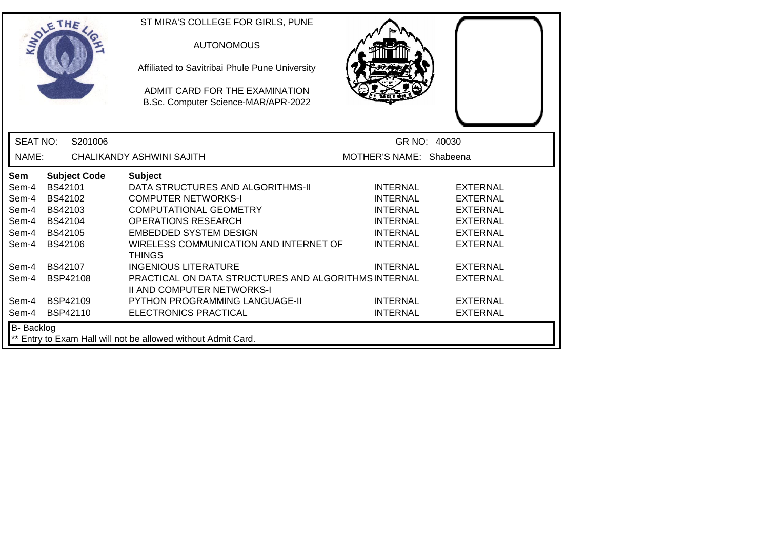| SOLETHE .         |                |                     | ST MIRA'S COLLEGE FOR GIRLS, PUNE<br><b>AUTONOMOUS</b><br>Affiliated to Savitribai Phule Pune University<br>ADMIT CARD FOR THE EXAMINATION<br>B.Sc. Computer Science-MAR/APR-2022 |                         |                 |
|-------------------|----------------|---------------------|-----------------------------------------------------------------------------------------------------------------------------------------------------------------------------------|-------------------------|-----------------|
| <b>SEAT NO:</b>   |                | S201006             |                                                                                                                                                                                   |                         | GR NO: 40030    |
| NAME:             |                |                     | CHALIKANDY ASHWINI SAJITH                                                                                                                                                         | MOTHER'S NAME: Shabeena |                 |
| <b>Sem</b>        |                | <b>Subject Code</b> | <b>Subject</b>                                                                                                                                                                    |                         |                 |
| Sem-4             | BS42101        |                     | DATA STRUCTURES AND ALGORITHMS-II                                                                                                                                                 | <b>INTERNAL</b>         | <b>EXTERNAL</b> |
| Sem-4             | BS42102        |                     | <b>COMPUTER NETWORKS-I</b>                                                                                                                                                        | <b>INTERNAL</b>         | <b>EXTERNAL</b> |
| Sem-4             | BS42103        |                     | <b>COMPUTATIONAL GEOMETRY</b>                                                                                                                                                     | <b>INTERNAL</b>         | <b>EXTERNAL</b> |
| Sem-4             | BS42104        |                     | <b>OPERATIONS RESEARCH</b>                                                                                                                                                        | <b>INTERNAL</b>         | <b>EXTERNAL</b> |
| Sem-4             | BS42105        |                     | <b>EMBEDDED SYSTEM DESIGN</b>                                                                                                                                                     | <b>INTERNAL</b>         | <b>EXTERNAL</b> |
| Sem-4             | <b>BS42106</b> |                     | WIRELESS COMMUNICATION AND INTERNET OF<br><b>THINGS</b>                                                                                                                           | <b>INTERNAL</b>         | <b>EXTERNAL</b> |
| Sem-4             | BS42107        |                     | <b>INGENIOUS LITERATURE</b>                                                                                                                                                       | <b>INTERNAL</b>         | <b>EXTERNAL</b> |
| Sem-4             | BSP42108       |                     | PRACTICAL ON DATA STRUCTURES AND ALGORITHMS INTERNAL<br><b>II AND COMPUTER NETWORKS-I</b>                                                                                         |                         | <b>EXTERNAL</b> |
| Sem-4             | BSP42109       |                     | <b>PYTHON PROGRAMMING LANGUAGE-II</b>                                                                                                                                             | <b>INTERNAL</b>         | <b>EXTERNAL</b> |
| Sem-4             | BSP42110       |                     | ELECTRONICS PRACTICAL                                                                                                                                                             | <b>INTERNAL</b>         | <b>EXTERNAL</b> |
| <b>B-</b> Backlog |                |                     | ** Entry to Exam Hall will not be allowed without Admit Card.                                                                                                                     |                         |                 |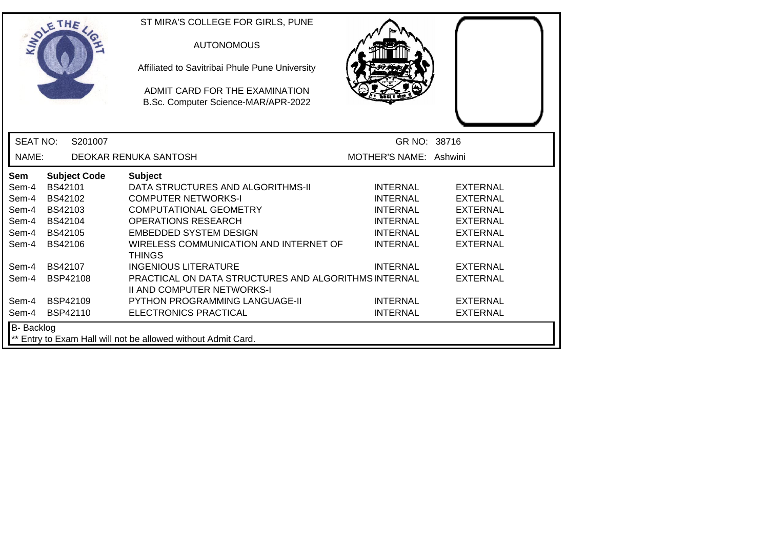|                 | SOLETHE .           | ST MIRA'S COLLEGE FOR GIRLS, PUNE<br><b>AUTONOMOUS</b><br>Affiliated to Savitribai Phule Pune University<br>ADMIT CARD FOR THE EXAMINATION<br>B.Sc. Computer Science-MAR/APR-2022 |                        |                 |  |
|-----------------|---------------------|-----------------------------------------------------------------------------------------------------------------------------------------------------------------------------------|------------------------|-----------------|--|
| <b>SEAT NO:</b> | S201007             |                                                                                                                                                                                   | GR NO: 38716           |                 |  |
| NAME:           |                     | DEOKAR RENUKA SANTOSH                                                                                                                                                             | MOTHER'S NAME: Ashwini |                 |  |
| <b>Sem</b>      | <b>Subject Code</b> | <b>Subject</b>                                                                                                                                                                    |                        |                 |  |
| Sem-4           | BS42101             | DATA STRUCTURES AND ALGORITHMS-II                                                                                                                                                 | <b>INTERNAL</b>        | <b>EXTERNAL</b> |  |
| Sem-4           | BS42102             | <b>COMPUTER NETWORKS-I</b>                                                                                                                                                        | <b>INTERNAL</b>        | <b>EXTERNAL</b> |  |
| Sem-4           | BS42103             | <b>COMPUTATIONAL GEOMETRY</b>                                                                                                                                                     | <b>INTERNAL</b>        | <b>EXTERNAL</b> |  |
| Sem-4           | BS42104             | <b>OPERATIONS RESEARCH</b>                                                                                                                                                        | <b>INTERNAL</b>        | <b>EXTERNAL</b> |  |
| Sem-4           | BS42105             | <b>EMBEDDED SYSTEM DESIGN</b>                                                                                                                                                     | <b>INTERNAL</b>        | <b>EXTERNAL</b> |  |
| Sem-4           | BS42106             | WIRELESS COMMUNICATION AND INTERNET OF<br><b>THINGS</b>                                                                                                                           | <b>INTERNAL</b>        | <b>EXTERNAL</b> |  |
| Sem-4           | <b>BS42107</b>      | <b>INGENIOUS LITERATURE</b>                                                                                                                                                       | <b>INTERNAL</b>        | <b>EXTERNAL</b> |  |
| Sem-4           | BSP42108            | PRACTICAL ON DATA STRUCTURES AND ALGORITHMS INTERNAL<br><b>II AND COMPUTER NETWORKS-I</b>                                                                                         |                        | <b>EXTERNAL</b> |  |
| Sem-4           | <b>BSP42109</b>     | <b>PYTHON PROGRAMMING LANGUAGE-II</b>                                                                                                                                             | <b>INTERNAL</b>        | <b>EXTERNAL</b> |  |
| Sem-4           | <b>BSP42110</b>     | ELECTRONICS PRACTICAL                                                                                                                                                             | <b>INTERNAL</b>        | <b>EXTERNAL</b> |  |
| B- Backlog      |                     | ** Entry to Exam Hall will not be allowed without Admit Card.                                                                                                                     |                        |                 |  |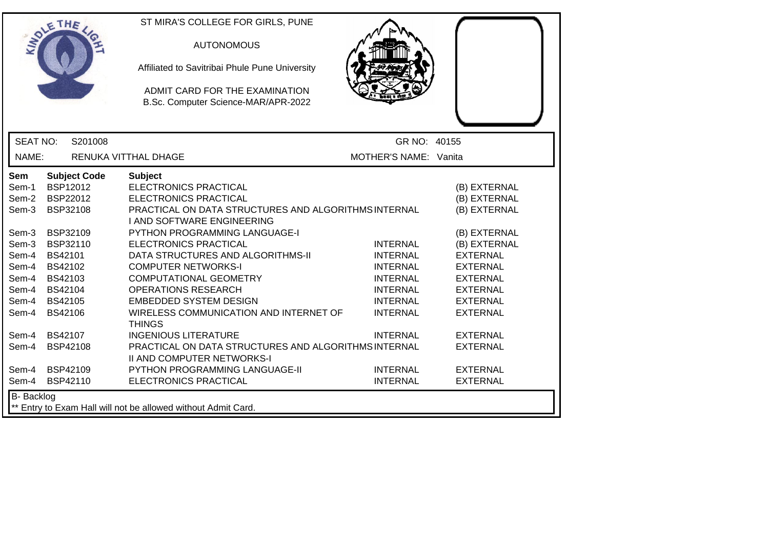|                                                                                               | ETHE                                                                                                                                                    | ST MIRA'S COLLEGE FOR GIRLS, PUNE<br><b>AUTONOMOUS</b><br>Affiliated to Savitribai Phule Pune University<br>ADMIT CARD FOR THE EXAMINATION<br>B.Sc. Computer Science-MAR/APR-2022                                                                                                                                                                                                                                                                            |                                                                                                                                   |                                                                                                                                                                                                |
|-----------------------------------------------------------------------------------------------|---------------------------------------------------------------------------------------------------------------------------------------------------------|--------------------------------------------------------------------------------------------------------------------------------------------------------------------------------------------------------------------------------------------------------------------------------------------------------------------------------------------------------------------------------------------------------------------------------------------------------------|-----------------------------------------------------------------------------------------------------------------------------------|------------------------------------------------------------------------------------------------------------------------------------------------------------------------------------------------|
| <b>SEAT NO:</b>                                                                               | S201008                                                                                                                                                 |                                                                                                                                                                                                                                                                                                                                                                                                                                                              | GR NO: 40155                                                                                                                      |                                                                                                                                                                                                |
| NAME:                                                                                         |                                                                                                                                                         | RENUKA VITTHAL DHAGE                                                                                                                                                                                                                                                                                                                                                                                                                                         | MOTHER'S NAME: Vanita                                                                                                             |                                                                                                                                                                                                |
| Sem<br>Sem-1<br>Sem-2<br>Sem-3<br>Sem-3<br>Sem-3<br>Sem-4<br>Sem-4<br>Sem-4<br>Sem-4<br>Sem-4 | <b>Subject Code</b><br>BSP12012<br>BSP22012<br>BSP32108<br>BSP32109<br>BSP32110<br>BS42101<br>BS42102<br>BS42103<br>BS42104<br>Sem-4 BS42105<br>BS42106 | <b>Subject</b><br>ELECTRONICS PRACTICAL<br><b>ELECTRONICS PRACTICAL</b><br>PRACTICAL ON DATA STRUCTURES AND ALGORITHMS INTERNAL<br>I AND SOFTWARE ENGINEERING<br>PYTHON PROGRAMMING LANGUAGE-I<br><b>ELECTRONICS PRACTICAL</b><br>DATA STRUCTURES AND ALGORITHMS-II<br><b>COMPUTER NETWORKS-I</b><br><b>COMPUTATIONAL GEOMETRY</b><br><b>OPERATIONS RESEARCH</b><br><b>EMBEDDED SYSTEM DESIGN</b><br>WIRELESS COMMUNICATION AND INTERNET OF<br><b>THINGS</b> | <b>INTERNAL</b><br><b>INTERNAL</b><br><b>INTERNAL</b><br><b>INTERNAL</b><br><b>INTERNAL</b><br><b>INTERNAL</b><br><b>INTERNAL</b> | (B) EXTERNAL<br>(B) EXTERNAL<br>(B) EXTERNAL<br>(B) EXTERNAL<br>(B) EXTERNAL<br><b>EXTERNAL</b><br><b>EXTERNAL</b><br><b>EXTERNAL</b><br><b>EXTERNAL</b><br><b>EXTERNAL</b><br><b>EXTERNAL</b> |
| Sem-4<br>Sem-4<br>Sem-4<br>Sem-4                                                              | BS42107<br><b>BSP42108</b><br><b>BSP42109</b><br>BSP42110                                                                                               | <b>INGENIOUS LITERATURE</b><br>PRACTICAL ON DATA STRUCTURES AND ALGORITHMS INTERNAL<br><b>II AND COMPUTER NETWORKS-I</b><br>PYTHON PROGRAMMING LANGUAGE-II<br>ELECTRONICS PRACTICAL                                                                                                                                                                                                                                                                          | <b>INTERNAL</b><br><b>INTERNAL</b><br><b>INTERNAL</b>                                                                             | <b>EXTERNAL</b><br><b>EXTERNAL</b><br><b>EXTERNAL</b><br><b>EXTERNAL</b>                                                                                                                       |
| <b>B-</b> Backlog<br>** Entry to Exam Hall will not be allowed without Admit Card.            |                                                                                                                                                         |                                                                                                                                                                                                                                                                                                                                                                                                                                                              |                                                                                                                                   |                                                                                                                                                                                                |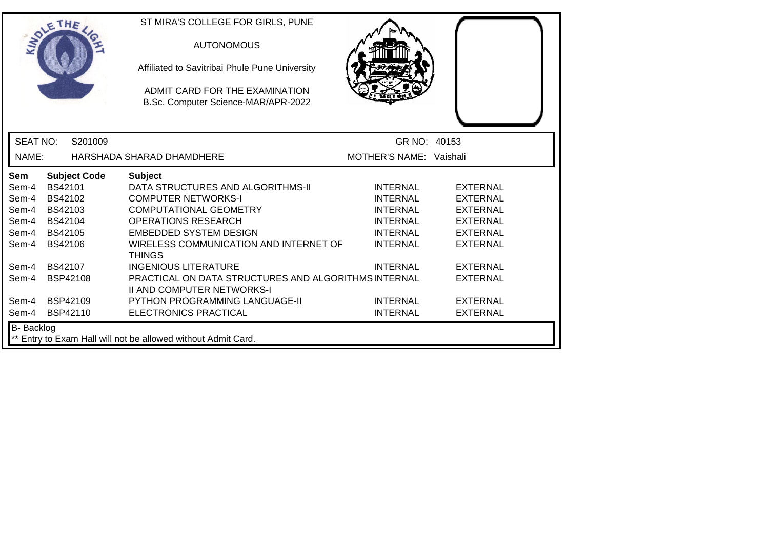|                   | SOLETHE .           | ST MIRA'S COLLEGE FOR GIRLS, PUNE<br><b>AUTONOMOUS</b><br>Affiliated to Savitribai Phule Pune University<br>ADMIT CARD FOR THE EXAMINATION<br>B.Sc. Computer Science-MAR/APR-2022 |                         |                 |  |
|-------------------|---------------------|-----------------------------------------------------------------------------------------------------------------------------------------------------------------------------------|-------------------------|-----------------|--|
| <b>SEAT NO:</b>   | S201009             |                                                                                                                                                                                   | GR NO: 40153            |                 |  |
| NAME:             |                     | HARSHADA SHARAD DHAMDHERE                                                                                                                                                         | MOTHER'S NAME: Vaishali |                 |  |
| <b>Sem</b>        | <b>Subject Code</b> | <b>Subject</b>                                                                                                                                                                    |                         |                 |  |
| Sem-4             | <b>BS42101</b>      | DATA STRUCTURES AND ALGORITHMS-II                                                                                                                                                 | <b>INTERNAL</b>         | <b>EXTERNAL</b> |  |
| Sem-4             | BS42102             | <b>COMPUTER NETWORKS-I</b>                                                                                                                                                        | <b>INTERNAL</b>         | <b>EXTERNAL</b> |  |
| Sem-4             | BS42103             | <b>COMPUTATIONAL GEOMETRY</b>                                                                                                                                                     | <b>INTERNAL</b>         | <b>EXTERNAL</b> |  |
| Sem-4             | <b>BS42104</b>      | <b>OPERATIONS RESEARCH</b>                                                                                                                                                        | <b>INTERNAL</b>         | <b>EXTERNAL</b> |  |
| Sem-4             | <b>BS42105</b>      | <b>EMBEDDED SYSTEM DESIGN</b>                                                                                                                                                     | <b>INTERNAL</b>         | <b>EXTERNAL</b> |  |
| Sem-4             | BS42106             | WIRELESS COMMUNICATION AND INTERNET OF<br><b>THINGS</b>                                                                                                                           | <b>INTERNAL</b>         | <b>EXTERNAL</b> |  |
| Sem-4             | <b>BS42107</b>      | <b>INGENIOUS LITERATURE</b>                                                                                                                                                       | <b>INTERNAL</b>         | <b>EXTERNAL</b> |  |
| Sem-4             | <b>BSP42108</b>     | PRACTICAL ON DATA STRUCTURES AND ALGORITHMS INTERNAL<br><b>II AND COMPUTER NETWORKS-I</b>                                                                                         |                         | <b>EXTERNAL</b> |  |
| Sem-4             | BSP42109            | PYTHON PROGRAMMING LANGUAGE-II                                                                                                                                                    | <b>INTERNAL</b>         | <b>EXTERNAL</b> |  |
| Sem-4             | <b>BSP42110</b>     | ELECTRONICS PRACTICAL                                                                                                                                                             | <b>INTERNAL</b>         | <b>EXTERNAL</b> |  |
| <b>B-</b> Backlog |                     | ** Entry to Exam Hall will not be allowed without Admit Card.                                                                                                                     |                         |                 |  |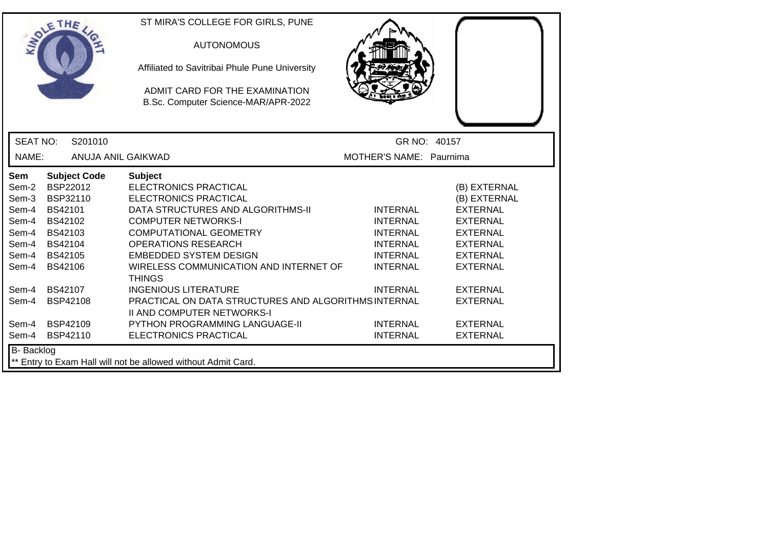|                   |                     | ST MIRA'S COLLEGE FOR GIRLS, PUNE                                                         |                         |                 |
|-------------------|---------------------|-------------------------------------------------------------------------------------------|-------------------------|-----------------|
|                   | SOLETHE .           | <b>AUTONOMOUS</b>                                                                         |                         |                 |
|                   |                     | Affiliated to Savitribai Phule Pune University                                            |                         |                 |
|                   |                     | ADMIT CARD FOR THE EXAMINATION                                                            |                         |                 |
|                   |                     | B.Sc. Computer Science-MAR/APR-2022                                                       |                         |                 |
|                   |                     |                                                                                           |                         |                 |
| <b>SEAT NO:</b>   | S201010             |                                                                                           | GR NO: 40157            |                 |
| NAME:             | ANUJA ANIL GAIKWAD  |                                                                                           | MOTHER'S NAME: Paurnima |                 |
| Sem               | <b>Subject Code</b> | <b>Subject</b>                                                                            |                         |                 |
| Sem-2             | BSP22012            | <b>ELECTRONICS PRACTICAL</b>                                                              |                         | (B) EXTERNAL    |
| Sem-3             | BSP32110            | <b>ELECTRONICS PRACTICAL</b>                                                              |                         | (B) EXTERNAL    |
| Sem-4             | <b>BS42101</b>      | DATA STRUCTURES AND ALGORITHMS-II                                                         | <b>INTERNAL</b>         | <b>EXTERNAL</b> |
| Sem-4             | BS42102             | <b>COMPUTER NETWORKS-I</b>                                                                | <b>INTERNAL</b>         | <b>EXTERNAL</b> |
| Sem-4             | BS42103             | <b>COMPUTATIONAL GEOMETRY</b>                                                             | <b>INTERNAL</b>         | <b>EXTERNAL</b> |
| Sem-4             | <b>BS42104</b>      | <b>OPERATIONS RESEARCH</b>                                                                | <b>INTERNAL</b>         | <b>EXTERNAL</b> |
| Sem-4             | BS42105             | <b>EMBEDDED SYSTEM DESIGN</b>                                                             | <b>INTERNAL</b>         | <b>EXTERNAL</b> |
| Sem-4             | <b>BS42106</b>      | WIRELESS COMMUNICATION AND INTERNET OF<br><b>THINGS</b>                                   | <b>INTERNAL</b>         | <b>EXTERNAL</b> |
| Sem-4             | <b>BS42107</b>      | <b>INGENIOUS LITERATURE</b>                                                               | <b>INTERNAL</b>         | <b>EXTERNAL</b> |
| Sem-4             | <b>BSP42108</b>     | PRACTICAL ON DATA STRUCTURES AND ALGORITHMS INTERNAL<br><b>II AND COMPUTER NETWORKS-I</b> |                         | <b>EXTERNAL</b> |
| Sem-4             | <b>BSP42109</b>     | <b>PYTHON PROGRAMMING LANGUAGE-II</b>                                                     | <b>INTERNAL</b>         | <b>EXTERNAL</b> |
| Sem-4             | BSP42110            | ELECTRONICS PRACTICAL                                                                     | <b>INTERNAL</b>         | <b>EXTERNAL</b> |
| <b>B-</b> Backlog |                     |                                                                                           |                         |                 |
|                   |                     | ** Entry to Exam Hall will not be allowed without Admit Card.                             |                         |                 |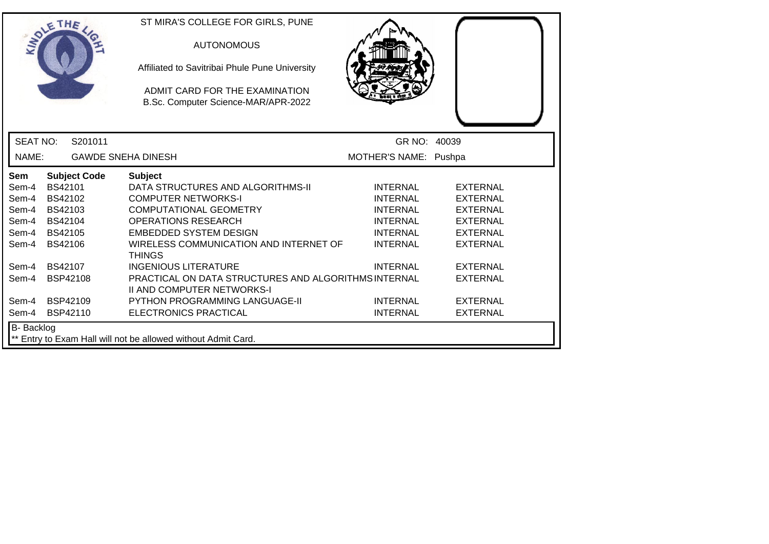| SOLETHE .         |                 |                     | ST MIRA'S COLLEGE FOR GIRLS, PUNE<br><b>AUTONOMOUS</b><br>Affiliated to Savitribai Phule Pune University<br>ADMIT CARD FOR THE EXAMINATION<br>B.Sc. Computer Science-MAR/APR-2022 |                       |                 |
|-------------------|-----------------|---------------------|-----------------------------------------------------------------------------------------------------------------------------------------------------------------------------------|-----------------------|-----------------|
| <b>SEAT NO:</b>   |                 | S201011             |                                                                                                                                                                                   | GR NO: 40039          |                 |
| NAME:             |                 |                     | <b>GAWDE SNEHA DINESH</b>                                                                                                                                                         | MOTHER'S NAME: Pushpa |                 |
| <b>Sem</b>        |                 | <b>Subject Code</b> | <b>Subject</b>                                                                                                                                                                    |                       |                 |
| Sem-4             | BS42101         |                     | DATA STRUCTURES AND ALGORITHMS-II                                                                                                                                                 | <b>INTERNAL</b>       | <b>EXTERNAL</b> |
| Sem-4             | BS42102         |                     | <b>COMPUTER NETWORKS-I</b>                                                                                                                                                        | <b>INTERNAL</b>       | <b>EXTERNAL</b> |
| Sem-4             | BS42103         |                     | <b>COMPUTATIONAL GEOMETRY</b>                                                                                                                                                     | <b>INTERNAL</b>       | <b>EXTERNAL</b> |
| Sem-4             | <b>BS42104</b>  |                     | <b>OPERATIONS RESEARCH</b>                                                                                                                                                        | <b>INTERNAL</b>       | <b>EXTERNAL</b> |
| Sem-4             | <b>BS42105</b>  |                     | <b>EMBEDDED SYSTEM DESIGN</b>                                                                                                                                                     | <b>INTERNAL</b>       | <b>EXTERNAL</b> |
| Sem-4             | BS42106         |                     | WIRELESS COMMUNICATION AND INTERNET OF<br><b>THINGS</b>                                                                                                                           | <b>INTERNAL</b>       | <b>EXTERNAL</b> |
| Sem-4             | <b>BS42107</b>  |                     | <b>INGENIOUS LITERATURE</b>                                                                                                                                                       | <b>INTERNAL</b>       | <b>EXTERNAL</b> |
| Sem-4             | BSP42108        |                     | PRACTICAL ON DATA STRUCTURES AND ALGORITHMS INTERNAL<br><b>II AND COMPUTER NETWORKS-I</b>                                                                                         |                       | <b>EXTERNAL</b> |
| Sem-4             | BSP42109        |                     | PYTHON PROGRAMMING LANGUAGE-II                                                                                                                                                    | <b>INTERNAL</b>       | <b>EXTERNAL</b> |
| Sem-4             | <b>BSP42110</b> |                     | ELECTRONICS PRACTICAL                                                                                                                                                             | <b>INTERNAL</b>       | <b>EXTERNAL</b> |
| <b>B-</b> Backlog |                 |                     | ** Entry to Exam Hall will not be allowed without Admit Card.                                                                                                                     |                       |                 |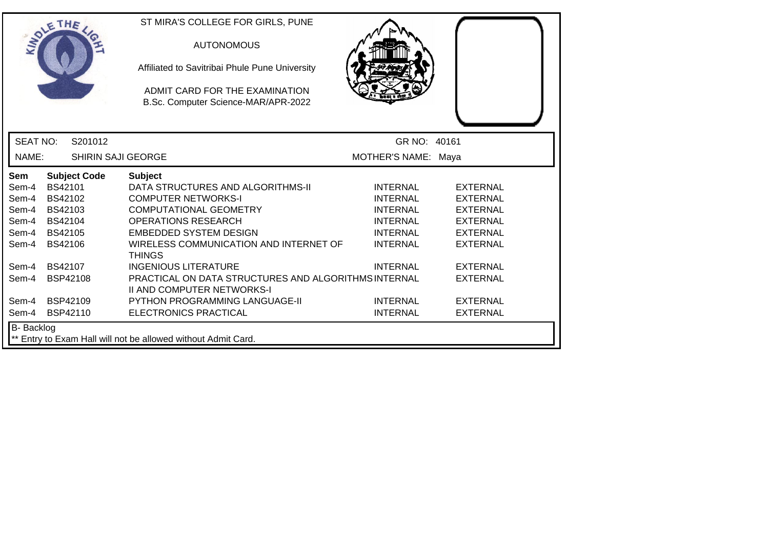|                   | SOLETHE .                 | ST MIRA'S COLLEGE FOR GIRLS, PUNE<br><b>AUTONOMOUS</b><br>Affiliated to Savitribai Phule Pune University<br>ADMIT CARD FOR THE EXAMINATION<br>B.Sc. Computer Science-MAR/APR-2022 |                     |                 |
|-------------------|---------------------------|-----------------------------------------------------------------------------------------------------------------------------------------------------------------------------------|---------------------|-----------------|
| <b>SEAT NO:</b>   | S201012                   |                                                                                                                                                                                   | GR NO: 40161        |                 |
| NAME:             | <b>SHIRIN SAJI GEORGE</b> |                                                                                                                                                                                   | MOTHER'S NAME: Maya |                 |
| Sem               | <b>Subject Code</b>       | <b>Subject</b>                                                                                                                                                                    |                     |                 |
| Sem-4             | BS42101                   | DATA STRUCTURES AND ALGORITHMS-II                                                                                                                                                 | <b>INTERNAL</b>     | <b>EXTERNAL</b> |
| Sem-4             | BS42102                   | <b>COMPUTER NETWORKS-I</b>                                                                                                                                                        | <b>INTERNAL</b>     | <b>EXTERNAL</b> |
| Sem-4             | BS42103                   | <b>COMPUTATIONAL GEOMETRY</b>                                                                                                                                                     | <b>INTERNAL</b>     | <b>EXTERNAL</b> |
| Sem-4             | BS42104                   | <b>OPERATIONS RESEARCH</b>                                                                                                                                                        | <b>INTERNAL</b>     | <b>EXTERNAL</b> |
| Sem-4             | <b>BS42105</b>            | <b>EMBEDDED SYSTEM DESIGN</b>                                                                                                                                                     | <b>INTERNAL</b>     | <b>EXTERNAL</b> |
| Sem-4             | BS42106                   | WIRELESS COMMUNICATION AND INTERNET OF<br><b>THINGS</b>                                                                                                                           | <b>INTERNAL</b>     | <b>EXTERNAL</b> |
| Sem-4             | <b>BS42107</b>            | <b>INGENIOUS LITERATURE</b>                                                                                                                                                       | <b>INTERNAL</b>     | <b>EXTERNAL</b> |
| Sem-4             | BSP42108                  | PRACTICAL ON DATA STRUCTURES AND ALGORITHMS INTERNAL<br><b>II AND COMPUTER NETWORKS-I</b>                                                                                         |                     | <b>EXTERNAL</b> |
| Sem-4             | <b>BSP42109</b>           | <b>PYTHON PROGRAMMING LANGUAGE-II</b>                                                                                                                                             | <b>INTERNAL</b>     | <b>EXTERNAL</b> |
| Sem-4             | <b>BSP42110</b>           | ELECTRONICS PRACTICAL                                                                                                                                                             | <b>INTERNAL</b>     | <b>EXTERNAL</b> |
| <b>B-</b> Backlog |                           | ** Entry to Exam Hall will not be allowed without Admit Card.                                                                                                                     |                     |                 |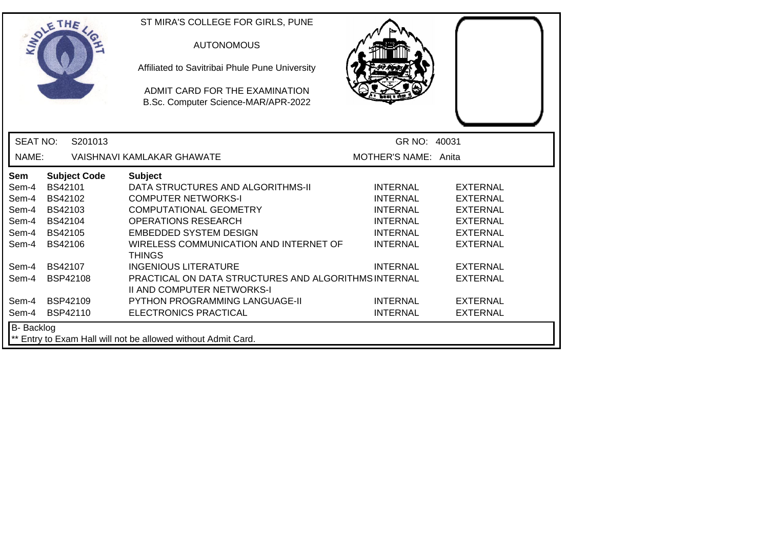|                 | SOLETHE .           | ST MIRA'S COLLEGE FOR GIRLS, PUNE<br><b>AUTONOMOUS</b><br>Affiliated to Savitribai Phule Pune University<br>ADMIT CARD FOR THE EXAMINATION<br>B.Sc. Computer Science-MAR/APR-2022 |                      |                 |
|-----------------|---------------------|-----------------------------------------------------------------------------------------------------------------------------------------------------------------------------------|----------------------|-----------------|
| <b>SEAT NO:</b> | S201013             |                                                                                                                                                                                   | GR NO: 40031         |                 |
| NAME:           |                     | VAISHNAVI KAMLAKAR GHAWATE                                                                                                                                                        | MOTHER'S NAME: Anita |                 |
| Sem             | <b>Subject Code</b> | <b>Subject</b>                                                                                                                                                                    |                      |                 |
| Sem-4           | BS42101             | DATA STRUCTURES AND ALGORITHMS-II                                                                                                                                                 | <b>INTERNAL</b>      | <b>EXTERNAL</b> |
| Sem-4           | BS42102             | <b>COMPUTER NETWORKS-I</b>                                                                                                                                                        | <b>INTERNAL</b>      | <b>EXTERNAL</b> |
| Sem-4           | BS42103             | COMPUTATIONAL GEOMETRY                                                                                                                                                            | <b>INTERNAL</b>      | <b>EXTERNAL</b> |
| Sem-4           | BS42104             | <b>OPERATIONS RESEARCH</b>                                                                                                                                                        | <b>INTERNAL</b>      | <b>EXTERNAL</b> |
| Sem-4           | <b>BS42105</b>      | <b>EMBEDDED SYSTEM DESIGN</b>                                                                                                                                                     | <b>INTERNAL</b>      | <b>EXTERNAL</b> |
| Sem-4           | <b>BS42106</b>      | WIRELESS COMMUNICATION AND INTERNET OF<br><b>THINGS</b>                                                                                                                           | <b>INTERNAL</b>      | <b>EXTERNAL</b> |
| Sem-4           | <b>BS42107</b>      | <b>INGENIOUS LITERATURE</b>                                                                                                                                                       | <b>INTERNAL</b>      | <b>EXTERNAL</b> |
| Sem-4           | <b>BSP42108</b>     | PRACTICAL ON DATA STRUCTURES AND ALGORITHMS INTERNAL<br><b>II AND COMPUTER NETWORKS-I</b>                                                                                         |                      | <b>EXTERNAL</b> |
| Sem-4           | BSP42109            | PYTHON PROGRAMMING LANGUAGE-II                                                                                                                                                    | <b>INTERNAL</b>      | <b>EXTERNAL</b> |
| Sem-4           | BSP42110            | ELECTRONICS PRACTICAL                                                                                                                                                             | <b>INTERNAL</b>      | <b>EXTERNAL</b> |
| B- Backlog      |                     |                                                                                                                                                                                   |                      |                 |
|                 |                     | ** Entry to Exam Hall will not be allowed without Admit Card.                                                                                                                     |                      |                 |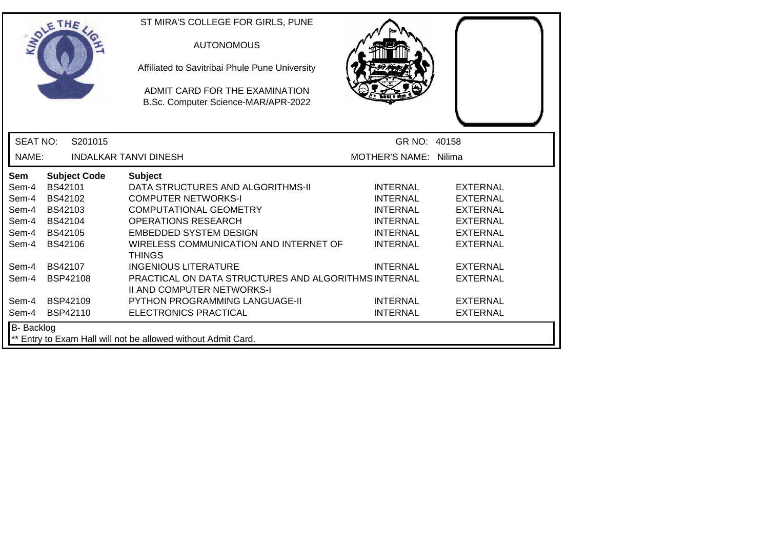| SOLETHE ,         |                |                     | ST MIRA'S COLLEGE FOR GIRLS, PUNE<br><b>AUTONOMOUS</b><br>Affiliated to Savitribai Phule Pune University<br>ADMIT CARD FOR THE EXAMINATION<br>B.Sc. Computer Science-MAR/APR-2022 |                       |                 |
|-------------------|----------------|---------------------|-----------------------------------------------------------------------------------------------------------------------------------------------------------------------------------|-----------------------|-----------------|
| <b>SEAT NO:</b>   |                | S201015             |                                                                                                                                                                                   | GR NO: 40158          |                 |
| NAME:             |                |                     | <b>INDALKAR TANVI DINESH</b>                                                                                                                                                      | MOTHER'S NAME: Nilima |                 |
| Sem               |                | <b>Subject Code</b> | <b>Subject</b>                                                                                                                                                                    |                       |                 |
| Sem-4             | BS42101        |                     | DATA STRUCTURES AND ALGORITHMS-II                                                                                                                                                 | <b>INTERNAL</b>       | <b>EXTERNAL</b> |
| Sem-4             | BS42102        |                     | <b>COMPUTER NETWORKS-I</b>                                                                                                                                                        | <b>INTERNAL</b>       | <b>EXTERNAL</b> |
| Sem-4             | BS42103        |                     | <b>COMPUTATIONAL GEOMETRY</b>                                                                                                                                                     | <b>INTERNAL</b>       | <b>EXTERNAL</b> |
| Sem-4             | BS42104        |                     | <b>OPERATIONS RESEARCH</b>                                                                                                                                                        | <b>INTERNAL</b>       | <b>EXTERNAL</b> |
| Sem-4             | <b>BS42105</b> |                     | <b>EMBEDDED SYSTEM DESIGN</b>                                                                                                                                                     | <b>INTERNAL</b>       | <b>EXTERNAL</b> |
| Sem-4             | <b>BS42106</b> |                     | WIRELESS COMMUNICATION AND INTERNET OF<br><b>THINGS</b>                                                                                                                           | <b>INTERNAL</b>       | <b>EXTERNAL</b> |
| Sem-4             | BS42107        |                     | <b>INGENIOUS LITERATURE</b>                                                                                                                                                       | <b>INTERNAL</b>       | <b>EXTERNAL</b> |
| Sem-4             | BSP42108       |                     | <b>PRACTICAL ON DATA STRUCTURES AND ALGORITHMS INTERNAL</b><br><b>II AND COMPUTER NETWORKS-I</b>                                                                                  |                       | <b>EXTERNAL</b> |
| Sem-4             | BSP42109       |                     | <b>PYTHON PROGRAMMING LANGUAGE-II</b>                                                                                                                                             | <b>INTERNAL</b>       | <b>EXTERNAL</b> |
| Sem-4             | BSP42110       |                     | ELECTRONICS PRACTICAL                                                                                                                                                             | <b>INTERNAL</b>       | <b>EXTERNAL</b> |
| <b>B-</b> Backlog |                |                     | ** Entry to Exam Hall will not be allowed without Admit Card.                                                                                                                     |                       |                 |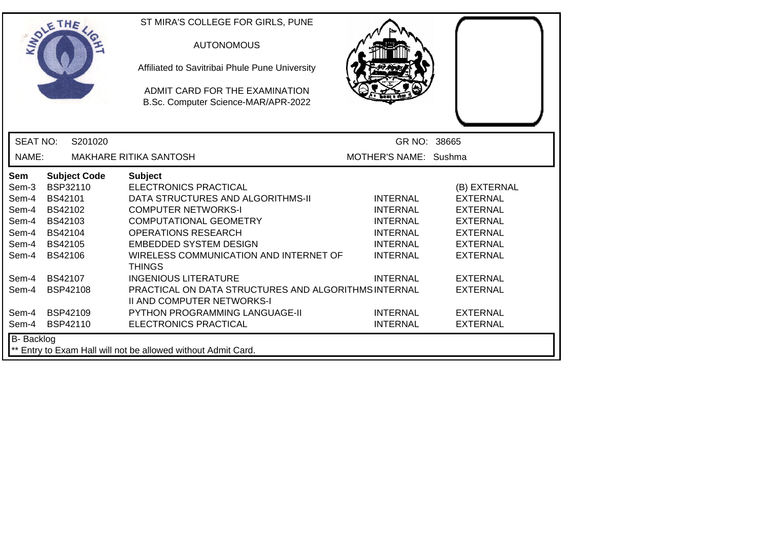|                   | ETHE                | ST MIRA'S COLLEGE FOR GIRLS, PUNE                                                         |                       |                 |
|-------------------|---------------------|-------------------------------------------------------------------------------------------|-----------------------|-----------------|
|                   |                     | <b>AUTONOMOUS</b>                                                                         |                       |                 |
|                   |                     | Affiliated to Savitribai Phule Pune University                                            |                       |                 |
|                   |                     | ADMIT CARD FOR THE EXAMINATION<br>B.Sc. Computer Science-MAR/APR-2022                     |                       |                 |
|                   |                     |                                                                                           |                       |                 |
| <b>SEAT NO:</b>   | S201020             |                                                                                           | GR NO: 38665          |                 |
| NAME:             |                     | <b>MAKHARE RITIKA SANTOSH</b>                                                             | MOTHER'S NAME: Sushma |                 |
| <b>Sem</b>        | <b>Subject Code</b> | <b>Subject</b>                                                                            |                       |                 |
| Sem-3             | BSP32110            | <b>ELECTRONICS PRACTICAL</b>                                                              |                       | (B) EXTERNAL    |
| Sem-4             | BS42101             | DATA STRUCTURES AND ALGORITHMS-II                                                         | <b>INTERNAL</b>       | <b>EXTERNAL</b> |
| Sem-4             | BS42102             | <b>COMPUTER NETWORKS-I</b>                                                                | <b>INTERNAL</b>       | <b>EXTERNAL</b> |
| Sem-4             | BS42103             | <b>COMPUTATIONAL GEOMETRY</b>                                                             | <b>INTERNAL</b>       | <b>EXTERNAL</b> |
| Sem-4             | <b>BS42104</b>      | <b>OPERATIONS RESEARCH</b>                                                                | <b>INTERNAL</b>       | <b>EXTERNAL</b> |
| Sem-4             | BS42105             | <b>EMBEDDED SYSTEM DESIGN</b>                                                             | <b>INTERNAL</b>       | <b>EXTERNAL</b> |
| Sem-4             | BS42106             | WIRELESS COMMUNICATION AND INTERNET OF<br><b>THINGS</b>                                   | <b>INTERNAL</b>       | <b>EXTERNAL</b> |
| Sem-4             | BS42107             | <b>INGENIOUS LITERATURE</b>                                                               | <b>INTERNAL</b>       | <b>EXTERNAL</b> |
| Sem-4             | <b>BSP42108</b>     | PRACTICAL ON DATA STRUCTURES AND ALGORITHMS INTERNAL<br><b>II AND COMPUTER NETWORKS-I</b> |                       | <b>EXTERNAL</b> |
| Sem-4             | BSP42109            | <b>PYTHON PROGRAMMING LANGUAGE-II</b>                                                     | <b>INTERNAL</b>       | <b>EXTERNAL</b> |
| Sem-4             | BSP42110            | ELECTRONICS PRACTICAL                                                                     | <b>INTERNAL</b>       | <b>EXTERNAL</b> |
| <b>B-</b> Backlog |                     |                                                                                           |                       |                 |
|                   |                     | ** Entry to Exam Hall will not be allowed without Admit Card.                             |                       |                 |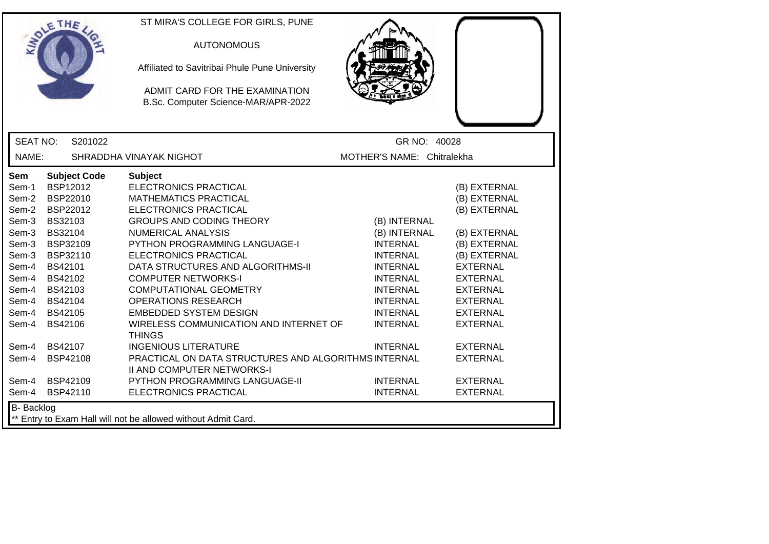| ETHE                                                                                                                                                                                                                                                                                                       | ST MIRA'S COLLEGE FOR GIRLS, PUNE<br><b>AUTONOMOUS</b><br>Affiliated to Savitribai Phule Pune University<br>ADMIT CARD FOR THE EXAMINATION<br>B.Sc. Computer Science-MAR/APR-2022                                                                                                                                                                                                                                                                               |                                                                                                                                                                                      |                                                                                                                                                                                                                |  |
|------------------------------------------------------------------------------------------------------------------------------------------------------------------------------------------------------------------------------------------------------------------------------------------------------------|-----------------------------------------------------------------------------------------------------------------------------------------------------------------------------------------------------------------------------------------------------------------------------------------------------------------------------------------------------------------------------------------------------------------------------------------------------------------|--------------------------------------------------------------------------------------------------------------------------------------------------------------------------------------|----------------------------------------------------------------------------------------------------------------------------------------------------------------------------------------------------------------|--|
| <b>SEAT NO:</b><br>S201022                                                                                                                                                                                                                                                                                 |                                                                                                                                                                                                                                                                                                                                                                                                                                                                 | GR NO: 40028                                                                                                                                                                         |                                                                                                                                                                                                                |  |
| NAME:                                                                                                                                                                                                                                                                                                      | SHRADDHA VINAYAK NIGHOT                                                                                                                                                                                                                                                                                                                                                                                                                                         | MOTHER'S NAME: Chitralekha                                                                                                                                                           |                                                                                                                                                                                                                |  |
| <b>Subject Code</b><br>Sem<br>BSP12012<br>Sem-1<br>BSP22010<br>Sem-2<br>BSP22012<br>Sem-2<br>Sem-3<br>BS32103<br>Sem-3<br>BS32104<br>BSP32109<br>Sem-3<br>BSP32110<br>Sem-3<br>Sem-4<br>BS42101<br>BS42102<br>Sem-4<br>Sem-4<br>BS42103<br>Sem-4<br>BS42104<br>Sem-4<br>BS42105<br><b>BS42106</b><br>Sem-4 | <b>Subject</b><br>ELECTRONICS PRACTICAL<br><b>MATHEMATICS PRACTICAL</b><br><b>ELECTRONICS PRACTICAL</b><br><b>GROUPS AND CODING THEORY</b><br><b>NUMERICAL ANALYSIS</b><br>PYTHON PROGRAMMING LANGUAGE-I<br>ELECTRONICS PRACTICAL<br>DATA STRUCTURES AND ALGORITHMS-II<br><b>COMPUTER NETWORKS-I</b><br><b>COMPUTATIONAL GEOMETRY</b><br><b>OPERATIONS RESEARCH</b><br><b>EMBEDDED SYSTEM DESIGN</b><br>WIRELESS COMMUNICATION AND INTERNET OF<br><b>THINGS</b> | (B) INTERNAL<br>(B) INTERNAL<br><b>INTERNAL</b><br><b>INTERNAL</b><br><b>INTERNAL</b><br><b>INTERNAL</b><br><b>INTERNAL</b><br><b>INTERNAL</b><br><b>INTERNAL</b><br><b>INTERNAL</b> | (B) EXTERNAL<br>(B) EXTERNAL<br>(B) EXTERNAL<br>(B) EXTERNAL<br>(B) EXTERNAL<br>(B) EXTERNAL<br><b>EXTERNAL</b><br><b>EXTERNAL</b><br><b>EXTERNAL</b><br><b>EXTERNAL</b><br><b>EXTERNAL</b><br><b>EXTERNAL</b> |  |
| <b>BS42107</b><br>Sem-4                                                                                                                                                                                                                                                                                    | <b>INGENIOUS LITERATURE</b>                                                                                                                                                                                                                                                                                                                                                                                                                                     | <b>INTERNAL</b>                                                                                                                                                                      | <b>EXTERNAL</b>                                                                                                                                                                                                |  |
| Sem-4<br><b>BSP42108</b><br><b>BSP42109</b><br>Sem-4<br>Sem-4<br>BSP42110                                                                                                                                                                                                                                  | PRACTICAL ON DATA STRUCTURES AND ALGORITHMS INTERNAL<br>II AND COMPUTER NETWORKS-I<br>PYTHON PROGRAMMING LANGUAGE-II<br>ELECTRONICS PRACTICAL                                                                                                                                                                                                                                                                                                                   | <b>INTERNAL</b><br><b>INTERNAL</b>                                                                                                                                                   | <b>EXTERNAL</b><br><b>EXTERNAL</b><br><b>EXTERNAL</b>                                                                                                                                                          |  |
| <b>B-</b> Backlog<br>** Entry to Exam Hall will not be allowed without Admit Card.                                                                                                                                                                                                                         |                                                                                                                                                                                                                                                                                                                                                                                                                                                                 |                                                                                                                                                                                      |                                                                                                                                                                                                                |  |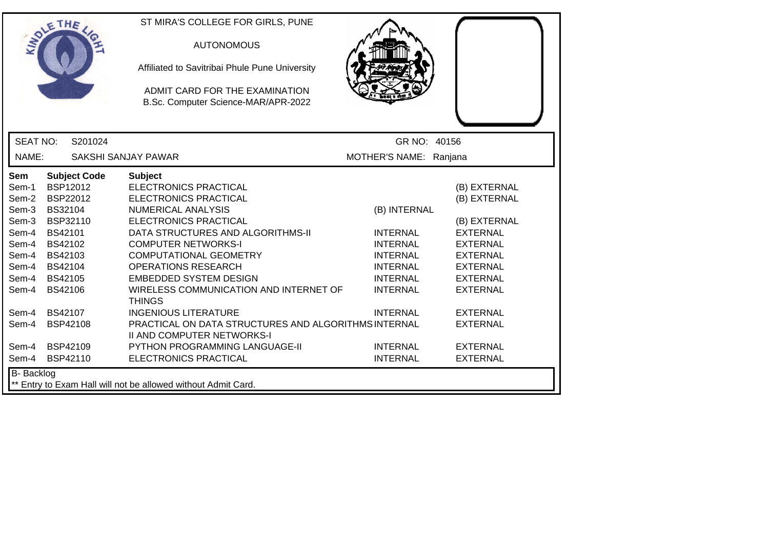| ETHE                                                                                                                                                                                                                                                                                             | ST MIRA'S COLLEGE FOR GIRLS, PUNE<br><b>AUTONOMOUS</b><br>Affiliated to Savitribai Phule Pune University<br>ADMIT CARD FOR THE EXAMINATION<br>B.Sc. Computer Science-MAR/APR-2022                                                                                                                                                                                                                                                                                                                     |                                                                                                                                                   |                                                                                                                                                                                                      |
|--------------------------------------------------------------------------------------------------------------------------------------------------------------------------------------------------------------------------------------------------------------------------------------------------|-------------------------------------------------------------------------------------------------------------------------------------------------------------------------------------------------------------------------------------------------------------------------------------------------------------------------------------------------------------------------------------------------------------------------------------------------------------------------------------------------------|---------------------------------------------------------------------------------------------------------------------------------------------------|------------------------------------------------------------------------------------------------------------------------------------------------------------------------------------------------------|
| <b>SEAT NO:</b><br>S201024                                                                                                                                                                                                                                                                       |                                                                                                                                                                                                                                                                                                                                                                                                                                                                                                       | GR NO: 40156                                                                                                                                      |                                                                                                                                                                                                      |
| NAME:                                                                                                                                                                                                                                                                                            | SAKSHI SANJAY PAWAR                                                                                                                                                                                                                                                                                                                                                                                                                                                                                   | MOTHER'S NAME: Ranjana                                                                                                                            |                                                                                                                                                                                                      |
| <b>Subject Code</b><br>Sem<br><b>BSP12012</b><br>Sem-1<br>BSP22012<br>Sem-2<br>BS32104<br>Sem-3<br>BSP32110<br>Sem-3<br>BS42101<br>Sem-4<br>BS42102<br>Sem-4<br>BS42103<br>Sem-4<br>Sem-4 BS42104<br>BS42105<br>Sem-4<br><b>BS42106</b><br>Sem-4<br>BS42107<br>Sem-4<br><b>BSP42108</b><br>Sem-4 | <b>Subject</b><br><b>ELECTRONICS PRACTICAL</b><br><b>ELECTRONICS PRACTICAL</b><br><b>NUMERICAL ANALYSIS</b><br><b>ELECTRONICS PRACTICAL</b><br>DATA STRUCTURES AND ALGORITHMS-II<br><b>COMPUTER NETWORKS-I</b><br><b>COMPUTATIONAL GEOMETRY</b><br><b>OPERATIONS RESEARCH</b><br><b>EMBEDDED SYSTEM DESIGN</b><br>WIRELESS COMMUNICATION AND INTERNET OF<br><b>THINGS</b><br><b>INGENIOUS LITERATURE</b><br>PRACTICAL ON DATA STRUCTURES AND ALGORITHMS INTERNAL<br><b>II AND COMPUTER NETWORKS-I</b> | (B) INTERNAL<br><b>INTERNAL</b><br><b>INTERNAL</b><br><b>INTERNAL</b><br><b>INTERNAL</b><br><b>INTERNAL</b><br><b>INTERNAL</b><br><b>INTERNAL</b> | (B) EXTERNAL<br>(B) EXTERNAL<br>(B) EXTERNAL<br><b>EXTERNAL</b><br><b>EXTERNAL</b><br><b>EXTERNAL</b><br><b>EXTERNAL</b><br><b>EXTERNAL</b><br><b>EXTERNAL</b><br><b>EXTERNAL</b><br><b>EXTERNAL</b> |
| <b>BSP42109</b><br>Sem-4<br>BSP42110<br>Sem-4                                                                                                                                                                                                                                                    | <b>PYTHON PROGRAMMING LANGUAGE-II</b><br>ELECTRONICS PRACTICAL                                                                                                                                                                                                                                                                                                                                                                                                                                        | <b>INTERNAL</b><br><b>INTERNAL</b>                                                                                                                | <b>EXTERNAL</b><br><b>EXTERNAL</b>                                                                                                                                                                   |
| <b>B-</b> Backlog                                                                                                                                                                                                                                                                                | Entry to Exam Hall will not be allowed without Admit Card.                                                                                                                                                                                                                                                                                                                                                                                                                                            |                                                                                                                                                   |                                                                                                                                                                                                      |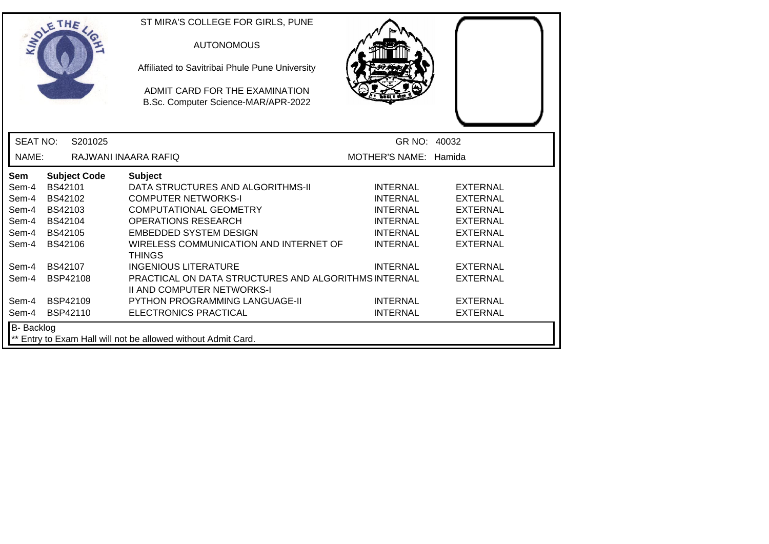| SOLE THE        |                                                                                    |                     | ST MIRA'S COLLEGE FOR GIRLS, PUNE<br><b>AUTONOMOUS</b><br>Affiliated to Savitribai Phule Pune University<br>ADMIT CARD FOR THE EXAMINATION<br>B.Sc. Computer Science-MAR/APR-2022 |                       |                 |  |
|-----------------|------------------------------------------------------------------------------------|---------------------|-----------------------------------------------------------------------------------------------------------------------------------------------------------------------------------|-----------------------|-----------------|--|
| <b>SEAT NO:</b> |                                                                                    | S201025             |                                                                                                                                                                                   | GR NO: 40032          |                 |  |
| NAME:           |                                                                                    |                     | RAJWANI INAARA RAFIQ                                                                                                                                                              | MOTHER'S NAME: Hamida |                 |  |
| Sem             |                                                                                    | <b>Subject Code</b> | <b>Subject</b>                                                                                                                                                                    |                       |                 |  |
| Sem-4           | BS42101                                                                            |                     | DATA STRUCTURES AND ALGORITHMS-II                                                                                                                                                 | <b>INTERNAL</b>       | <b>EXTERNAL</b> |  |
| Sem-4           | BS42102                                                                            |                     | <b>COMPUTER NETWORKS-I</b>                                                                                                                                                        | <b>INTERNAL</b>       | <b>EXTERNAL</b> |  |
| Sem-4           | BS42103                                                                            |                     | <b>COMPUTATIONAL GEOMETRY</b>                                                                                                                                                     | <b>INTERNAL</b>       | <b>EXTERNAL</b> |  |
| Sem-4           | BS42104                                                                            |                     | <b>OPERATIONS RESEARCH</b>                                                                                                                                                        | <b>INTERNAL</b>       | <b>EXTERNAL</b> |  |
| Sem-4           | BS42105                                                                            |                     | <b>EMBEDDED SYSTEM DESIGN</b>                                                                                                                                                     | <b>INTERNAL</b>       | <b>EXTERNAL</b> |  |
| Sem-4           | <b>BS42106</b>                                                                     |                     | WIRELESS COMMUNICATION AND INTERNET OF<br><b>THINGS</b>                                                                                                                           | <b>INTERNAL</b>       | <b>EXTERNAL</b> |  |
| Sem-4           | BS42107                                                                            |                     | <b>INGENIOUS LITERATURE</b>                                                                                                                                                       | <b>INTERNAL</b>       | <b>EXTERNAL</b> |  |
| Sem-4           | BSP42108                                                                           |                     | PRACTICAL ON DATA STRUCTURES AND ALGORITHMS INTERNAL<br><b>II AND COMPUTER NETWORKS-I</b>                                                                                         |                       | <b>EXTERNAL</b> |  |
| Sem-4           | BSP42109                                                                           |                     | <b>PYTHON PROGRAMMING LANGUAGE-II</b>                                                                                                                                             | <b>INTERNAL</b>       | <b>EXTERNAL</b> |  |
| Sem-4           | BSP42110                                                                           |                     | ELECTRONICS PRACTICAL                                                                                                                                                             | <b>INTERNAL</b>       | <b>EXTERNAL</b> |  |
|                 | <b>B-</b> Backlog<br>** Entry to Exam Hall will not be allowed without Admit Card. |                     |                                                                                                                                                                                   |                       |                 |  |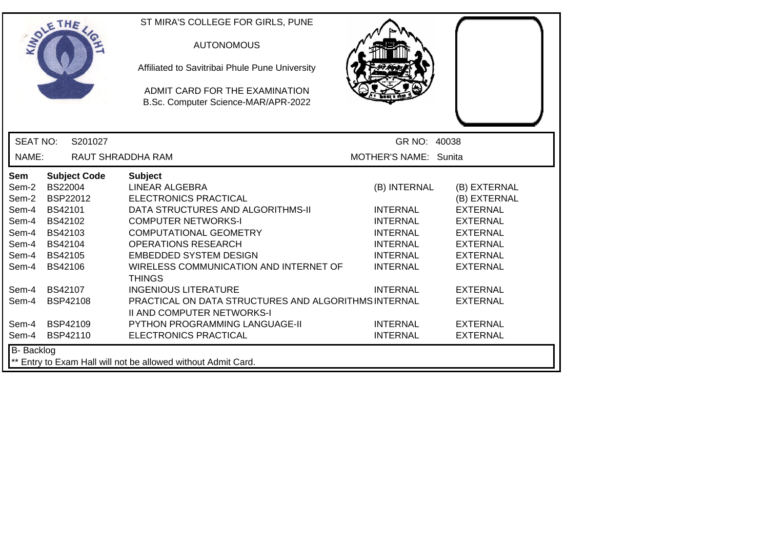|                                                                                                               | SOLE THE                                                                                                                                                                                  | ST MIRA'S COLLEGE FOR GIRLS, PUNE<br><b>AUTONOMOUS</b><br>Affiliated to Savitribai Phule Pune University<br>ADMIT CARD FOR THE EXAMINATION<br>B.Sc. Computer Science-MAR/APR-2022                                                                                                                                                                                                                                                                                          |                                                                                                                                                                      |                                                                                                                                                                                                         |
|---------------------------------------------------------------------------------------------------------------|-------------------------------------------------------------------------------------------------------------------------------------------------------------------------------------------|----------------------------------------------------------------------------------------------------------------------------------------------------------------------------------------------------------------------------------------------------------------------------------------------------------------------------------------------------------------------------------------------------------------------------------------------------------------------------|----------------------------------------------------------------------------------------------------------------------------------------------------------------------|---------------------------------------------------------------------------------------------------------------------------------------------------------------------------------------------------------|
| <b>SEAT NO:</b>                                                                                               | S201027                                                                                                                                                                                   |                                                                                                                                                                                                                                                                                                                                                                                                                                                                            | GR NO: 40038                                                                                                                                                         |                                                                                                                                                                                                         |
| NAME:                                                                                                         | RAUT SHRADDHA RAM                                                                                                                                                                         |                                                                                                                                                                                                                                                                                                                                                                                                                                                                            | MOTHER'S NAME: Sunita                                                                                                                                                |                                                                                                                                                                                                         |
| <b>Sem</b><br>Sem-2<br>Sem-2<br>Sem-4<br>Sem-4<br>Sem-4<br>Sem-4<br>Sem-4<br>Sem-4<br>Sem-4<br>Sem-4<br>Sem-4 | <b>Subject Code</b><br><b>BS22004</b><br>BSP22012<br>BS42101<br>BS42102<br>BS42103<br><b>BS42104</b><br>BS42105<br><b>BS42106</b><br><b>BS42107</b><br><b>BSP42108</b><br><b>BSP42109</b> | <b>Subject</b><br><b>LINEAR ALGEBRA</b><br><b>ELECTRONICS PRACTICAL</b><br>DATA STRUCTURES AND ALGORITHMS-II<br><b>COMPUTER NETWORKS-I</b><br><b>COMPUTATIONAL GEOMETRY</b><br><b>OPERATIONS RESEARCH</b><br><b>EMBEDDED SYSTEM DESIGN</b><br>WIRELESS COMMUNICATION AND INTERNET OF<br><b>THINGS</b><br><b>INGENIOUS LITERATURE</b><br>PRACTICAL ON DATA STRUCTURES AND ALGORITHMS INTERNAL<br><b>II AND COMPUTER NETWORKS-I</b><br><b>PYTHON PROGRAMMING LANGUAGE-II</b> | (B) INTERNAL<br><b>INTERNAL</b><br><b>INTERNAL</b><br><b>INTERNAL</b><br><b>INTERNAL</b><br><b>INTERNAL</b><br><b>INTERNAL</b><br><b>INTERNAL</b><br><b>INTERNAL</b> | (B) EXTERNAL<br>(B) EXTERNAL<br><b>EXTERNAL</b><br><b>EXTERNAL</b><br><b>EXTERNAL</b><br><b>EXTERNAL</b><br><b>EXTERNAL</b><br><b>EXTERNAL</b><br><b>EXTERNAL</b><br><b>EXTERNAL</b><br><b>EXTERNAL</b> |
| Sem-4                                                                                                         | BSP42110                                                                                                                                                                                  | ELECTRONICS PRACTICAL                                                                                                                                                                                                                                                                                                                                                                                                                                                      | <b>INTERNAL</b>                                                                                                                                                      | <b>EXTERNAL</b>                                                                                                                                                                                         |
| <b>B-</b> Backlog                                                                                             |                                                                                                                                                                                           | ** Entry to Exam Hall will not be allowed without Admit Card.                                                                                                                                                                                                                                                                                                                                                                                                              |                                                                                                                                                                      |                                                                                                                                                                                                         |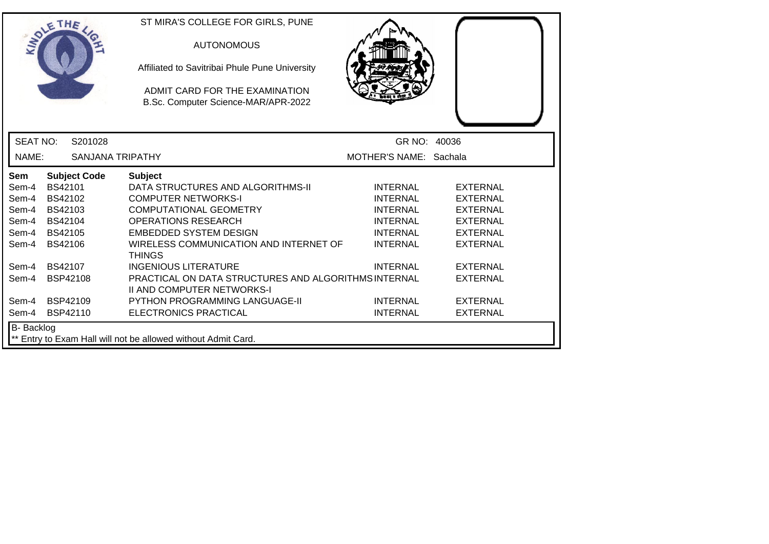| SOLETHE ,                                                                          |                 |                         | ST MIRA'S COLLEGE FOR GIRLS, PUNE<br><b>AUTONOMOUS</b><br>Affiliated to Savitribai Phule Pune University<br>ADMIT CARD FOR THE EXAMINATION<br>B.Sc. Computer Science-MAR/APR-2022 |                        |                 |
|------------------------------------------------------------------------------------|-----------------|-------------------------|-----------------------------------------------------------------------------------------------------------------------------------------------------------------------------------|------------------------|-----------------|
| <b>SEAT NO:</b>                                                                    |                 | S201028                 |                                                                                                                                                                                   | GR NO: 40036           |                 |
| NAME:                                                                              |                 | <b>SANJANA TRIPATHY</b> |                                                                                                                                                                                   | MOTHER'S NAME: Sachala |                 |
| Sem                                                                                |                 | <b>Subject Code</b>     | <b>Subject</b>                                                                                                                                                                    |                        |                 |
| Sem-4                                                                              | <b>BS42101</b>  |                         | DATA STRUCTURES AND ALGORITHMS-II                                                                                                                                                 | <b>INTERNAL</b>        | <b>EXTERNAL</b> |
| Sem-4                                                                              | BS42102         |                         | <b>COMPUTER NETWORKS-I</b>                                                                                                                                                        | <b>INTERNAL</b>        | <b>EXTERNAL</b> |
| Sem-4                                                                              | BS42103         |                         | <b>COMPUTATIONAL GEOMETRY</b>                                                                                                                                                     | <b>INTERNAL</b>        | <b>EXTERNAL</b> |
| Sem-4                                                                              | BS42104         |                         | <b>OPERATIONS RESEARCH</b>                                                                                                                                                        | <b>INTERNAL</b>        | <b>EXTERNAL</b> |
| Sem-4                                                                              | <b>BS42105</b>  |                         | <b>EMBEDDED SYSTEM DESIGN</b>                                                                                                                                                     | <b>INTERNAL</b>        | <b>EXTERNAL</b> |
| Sem-4                                                                              | <b>BS42106</b>  |                         | WIRELESS COMMUNICATION AND INTERNET OF<br><b>THINGS</b>                                                                                                                           | <b>INTERNAL</b>        | <b>EXTERNAL</b> |
| Sem-4                                                                              | <b>BS42107</b>  |                         | <b>INGENIOUS LITERATURE</b>                                                                                                                                                       | <b>INTERNAL</b>        | <b>EXTERNAL</b> |
| Sem-4                                                                              | <b>BSP42108</b> |                         | PRACTICAL ON DATA STRUCTURES AND ALGORITHMS INTERNAL<br><b>II AND COMPUTER NETWORKS-I</b>                                                                                         |                        | <b>EXTERNAL</b> |
| Sem-4                                                                              | <b>BSP42109</b> |                         | <b>PYTHON PROGRAMMING LANGUAGE-II</b>                                                                                                                                             | <b>INTERNAL</b>        | <b>EXTERNAL</b> |
| Sem-4                                                                              | BSP42110        |                         | ELECTRONICS PRACTICAL                                                                                                                                                             | <b>INTERNAL</b>        | <b>EXTERNAL</b> |
| <b>B-</b> Backlog<br>** Entry to Exam Hall will not be allowed without Admit Card. |                 |                         |                                                                                                                                                                                   |                        |                 |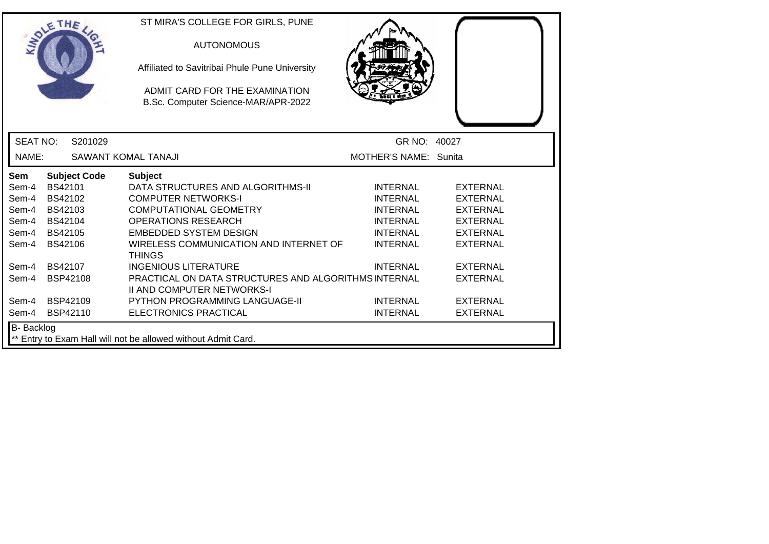|                 | SOLETHE .           |         | ST MIRA'S COLLEGE FOR GIRLS, PUNE<br><b>AUTONOMOUS</b><br>Affiliated to Savitribai Phule Pune University<br>ADMIT CARD FOR THE EXAMINATION<br>B.Sc. Computer Science-MAR/APR-2022 |                       |                 |
|-----------------|---------------------|---------|-----------------------------------------------------------------------------------------------------------------------------------------------------------------------------------|-----------------------|-----------------|
| <b>SEAT NO:</b> |                     | S201029 |                                                                                                                                                                                   | GR NO: 40027          |                 |
| NAME:           |                     |         | SAWANT KOMAL TANAJI                                                                                                                                                               | MOTHER'S NAME: Sunita |                 |
| Sem             | <b>Subject Code</b> |         | <b>Subject</b>                                                                                                                                                                    |                       |                 |
| Sem-4           | BS42101             |         | DATA STRUCTURES AND ALGORITHMS-II                                                                                                                                                 | <b>INTERNAL</b>       | <b>EXTERNAL</b> |
| Sem-4           | BS42102             |         | <b>COMPUTER NETWORKS-I</b>                                                                                                                                                        | <b>INTERNAL</b>       | <b>EXTERNAL</b> |
| Sem-4           | BS42103             |         | <b>COMPUTATIONAL GEOMETRY</b>                                                                                                                                                     | <b>INTERNAL</b>       | <b>EXTERNAL</b> |
| Sem-4           | <b>BS42104</b>      |         | <b>OPERATIONS RESEARCH</b>                                                                                                                                                        | <b>INTERNAL</b>       | <b>EXTERNAL</b> |
| Sem-4           | <b>BS42105</b>      |         | <b>EMBEDDED SYSTEM DESIGN</b>                                                                                                                                                     | <b>INTERNAL</b>       | <b>EXTERNAL</b> |
| Sem-4           | <b>BS42106</b>      |         | WIRELESS COMMUNICATION AND INTERNET OF<br><b>THINGS</b>                                                                                                                           | <b>INTERNAL</b>       | <b>EXTERNAL</b> |
| Sem-4           | <b>BS42107</b>      |         | <b>INGENIOUS LITERATURE</b>                                                                                                                                                       | <b>INTERNAL</b>       | <b>EXTERNAL</b> |
| Sem-4           | BSP42108            |         | PRACTICAL ON DATA STRUCTURES AND ALGORITHMS INTERNAL<br><b>II AND COMPUTER NETWORKS-I</b>                                                                                         |                       | <b>EXTERNAL</b> |
| Sem-4           | <b>BSP42109</b>     |         | <b>PYTHON PROGRAMMING LANGUAGE-II</b>                                                                                                                                             | <b>INTERNAL</b>       | <b>EXTERNAL</b> |
| Sem-4           | BSP42110            |         | ELECTRONICS PRACTICAL                                                                                                                                                             | <b>INTERNAL</b>       | <b>EXTERNAL</b> |
| B- Backlog      |                     |         | ** Entry to Exam Hall will not be allowed without Admit Card.                                                                                                                     |                       |                 |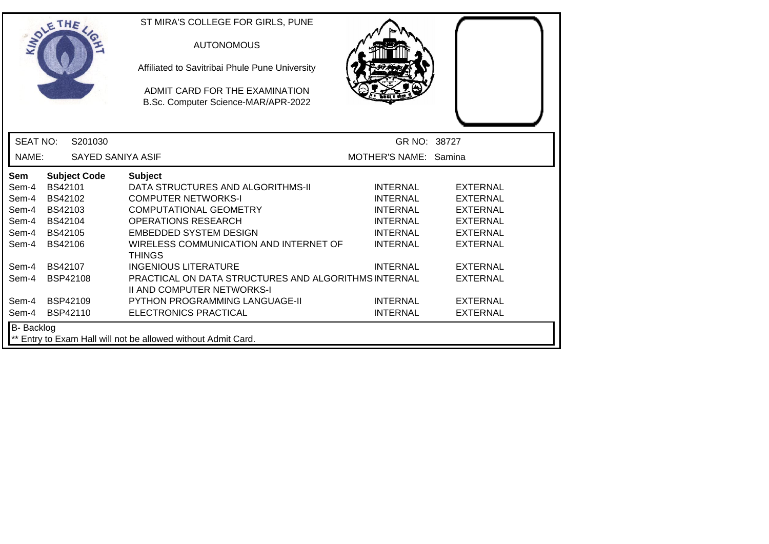|                 | SOLETHE .                                                                   | ST MIRA'S COLLEGE FOR GIRLS, PUNE<br><b>AUTONOMOUS</b><br>Affiliated to Savitribai Phule Pune University<br>ADMIT CARD FOR THE EXAMINATION<br>B.Sc. Computer Science-MAR/APR-2022 |                       |                 |  |  |
|-----------------|-----------------------------------------------------------------------------|-----------------------------------------------------------------------------------------------------------------------------------------------------------------------------------|-----------------------|-----------------|--|--|
| <b>SEAT NO:</b> | S201030                                                                     |                                                                                                                                                                                   | GR NO: 38727          |                 |  |  |
| NAME:           | SAYED SANIYA ASIF                                                           |                                                                                                                                                                                   | MOTHER'S NAME: Samina |                 |  |  |
| Sem             | <b>Subject Code</b>                                                         | <b>Subject</b>                                                                                                                                                                    |                       |                 |  |  |
| Sem-4           | BS42101                                                                     | DATA STRUCTURES AND ALGORITHMS-II                                                                                                                                                 | <b>INTERNAL</b>       | <b>EXTERNAL</b> |  |  |
| Sem-4           | BS42102                                                                     | <b>COMPUTER NETWORKS-I</b>                                                                                                                                                        | <b>INTERNAL</b>       | <b>EXTERNAL</b> |  |  |
| Sem-4           | BS42103                                                                     | <b>COMPUTATIONAL GEOMETRY</b>                                                                                                                                                     | <b>INTERNAL</b>       | <b>EXTERNAL</b> |  |  |
| Sem-4           | BS42104                                                                     | <b>OPERATIONS RESEARCH</b>                                                                                                                                                        | <b>INTERNAL</b>       | <b>EXTERNAL</b> |  |  |
| Sem-4           | <b>BS42105</b>                                                              | <b>EMBEDDED SYSTEM DESIGN</b>                                                                                                                                                     | <b>INTERNAL</b>       | <b>EXTERNAL</b> |  |  |
| Sem-4           | <b>BS42106</b>                                                              | WIRELESS COMMUNICATION AND INTERNET OF<br><b>THINGS</b>                                                                                                                           | <b>INTERNAL</b>       | <b>EXTERNAL</b> |  |  |
| Sem-4           | <b>BS42107</b>                                                              | <b>INGENIOUS LITERATURE</b>                                                                                                                                                       | <b>INTERNAL</b>       | <b>EXTERNAL</b> |  |  |
| Sem-4           | <b>BSP42108</b>                                                             | PRACTICAL ON DATA STRUCTURES AND ALGORITHMS INTERNAL<br><b>II AND COMPUTER NETWORKS-I</b>                                                                                         |                       | <b>EXTERNAL</b> |  |  |
| Sem-4           | <b>BSP42109</b>                                                             | <b>PYTHON PROGRAMMING LANGUAGE-II</b>                                                                                                                                             | <b>INTERNAL</b>       | <b>EXTERNAL</b> |  |  |
| Sem-4           | BSP42110                                                                    | ELECTRONICS PRACTICAL                                                                                                                                                             | <b>INTERNAL</b>       | <b>EXTERNAL</b> |  |  |
|                 | B- Backlog<br>** Entry to Exam Hall will not be allowed without Admit Card. |                                                                                                                                                                                   |                       |                 |  |  |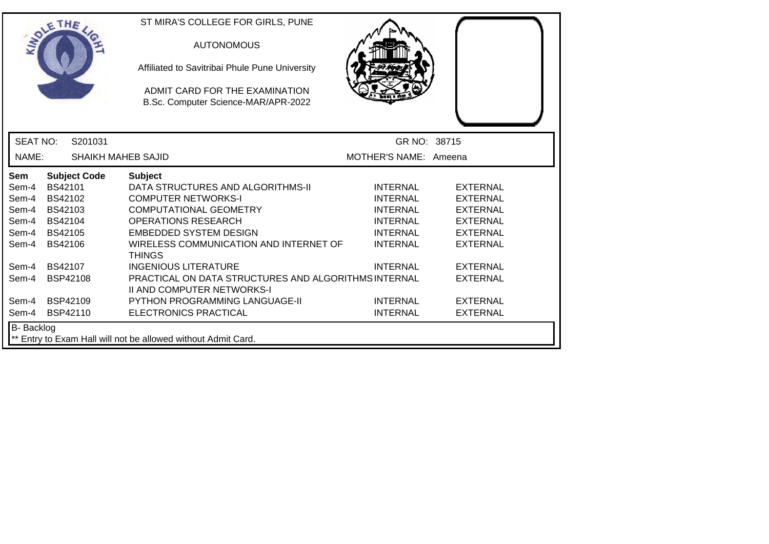| SOLETHE .       |                                                                                    |                           | ST MIRA'S COLLEGE FOR GIRLS, PUNE<br><b>AUTONOMOUS</b><br>Affiliated to Savitribai Phule Pune University<br>ADMIT CARD FOR THE EXAMINATION<br>B.Sc. Computer Science-MAR/APR-2022 |                       |                 |  |
|-----------------|------------------------------------------------------------------------------------|---------------------------|-----------------------------------------------------------------------------------------------------------------------------------------------------------------------------------|-----------------------|-----------------|--|
| <b>SEAT NO:</b> |                                                                                    | S201031                   |                                                                                                                                                                                   | GR NO: 38715          |                 |  |
| NAME:           |                                                                                    | <b>SHAIKH MAHEB SAJID</b> |                                                                                                                                                                                   | MOTHER'S NAME: Ameena |                 |  |
| Sem             |                                                                                    | <b>Subject Code</b>       | <b>Subject</b>                                                                                                                                                                    |                       |                 |  |
| Sem-4           | <b>BS42101</b>                                                                     |                           | DATA STRUCTURES AND ALGORITHMS-II                                                                                                                                                 | <b>INTERNAL</b>       | <b>EXTERNAL</b> |  |
| Sem-4           | BS42102                                                                            |                           | <b>COMPUTER NETWORKS-I</b>                                                                                                                                                        | <b>INTERNAL</b>       | <b>EXTERNAL</b> |  |
| Sem-4           | BS42103                                                                            |                           | <b>COMPUTATIONAL GEOMETRY</b>                                                                                                                                                     | <b>INTERNAL</b>       | <b>EXTERNAL</b> |  |
| Sem-4           | BS42104                                                                            |                           | <b>OPERATIONS RESEARCH</b>                                                                                                                                                        | <b>INTERNAL</b>       | <b>EXTERNAL</b> |  |
| Sem-4           | <b>BS42105</b>                                                                     |                           | <b>EMBEDDED SYSTEM DESIGN</b>                                                                                                                                                     | <b>INTERNAL</b>       | <b>EXTERNAL</b> |  |
| Sem-4           | <b>BS42106</b>                                                                     |                           | WIRELESS COMMUNICATION AND INTERNET OF<br><b>THINGS</b>                                                                                                                           | <b>INTERNAL</b>       | <b>EXTERNAL</b> |  |
| Sem-4           | <b>BS42107</b>                                                                     |                           | <b>INGENIOUS LITERATURE</b>                                                                                                                                                       | <b>INTERNAL</b>       | <b>EXTERNAL</b> |  |
| Sem-4           | <b>BSP42108</b>                                                                    |                           | PRACTICAL ON DATA STRUCTURES AND ALGORITHMS INTERNAL<br><b>II AND COMPUTER NETWORKS-I</b>                                                                                         |                       | <b>EXTERNAL</b> |  |
| Sem-4           | <b>BSP42109</b>                                                                    |                           | <b>PYTHON PROGRAMMING LANGUAGE-II</b>                                                                                                                                             | <b>INTERNAL</b>       | <b>EXTERNAL</b> |  |
| Sem-4           | BSP42110                                                                           |                           | ELECTRONICS PRACTICAL                                                                                                                                                             | <b>INTERNAL</b>       | <b>EXTERNAL</b> |  |
|                 | <b>B-</b> Backlog<br>** Entry to Exam Hall will not be allowed without Admit Card. |                           |                                                                                                                                                                                   |                       |                 |  |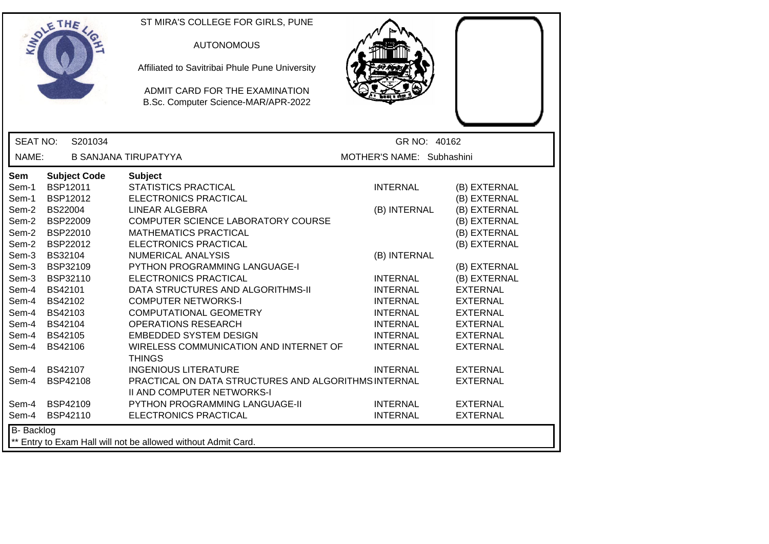|                                                                                                      | ETHE                                                                                                                                                   | ST MIRA'S COLLEGE FOR GIRLS, PUNE<br><b>AUTONOMOUS</b><br>Affiliated to Savitribai Phule Pune University<br>ADMIT CARD FOR THE EXAMINATION<br>B.Sc. Computer Science-MAR/APR-2022                                                                                                                                          |                                                                                             |                                                                                                                                                 |
|------------------------------------------------------------------------------------------------------|--------------------------------------------------------------------------------------------------------------------------------------------------------|----------------------------------------------------------------------------------------------------------------------------------------------------------------------------------------------------------------------------------------------------------------------------------------------------------------------------|---------------------------------------------------------------------------------------------|-------------------------------------------------------------------------------------------------------------------------------------------------|
| <b>SEAT NO:</b>                                                                                      | S201034                                                                                                                                                |                                                                                                                                                                                                                                                                                                                            | GR NO: 40162                                                                                |                                                                                                                                                 |
| NAME:                                                                                                |                                                                                                                                                        | <b>B SANJANA TIRUPATYYA</b>                                                                                                                                                                                                                                                                                                | MOTHER'S NAME: Subhashini                                                                   |                                                                                                                                                 |
| <b>Sem</b><br>Sem-1<br>Sem-1<br>Sem-2<br>Sem-2<br>Sem-2<br>Sem-2<br>Sem-3<br>Sem-3<br>Sem-3<br>Sem-4 | <b>Subject Code</b><br><b>BSP12011</b><br>BSP12012<br><b>BS22004</b><br>BSP22009<br>BSP22010<br>BSP22012<br>BS32104<br>BSP32109<br>BSP32110<br>BS42101 | <b>Subject</b><br><b>STATISTICS PRACTICAL</b><br>ELECTRONICS PRACTICAL<br><b>LINEAR ALGEBRA</b><br>COMPUTER SCIENCE LABORATORY COURSE<br><b>MATHEMATICS PRACTICAL</b><br>ELECTRONICS PRACTICAL<br><b>NUMERICAL ANALYSIS</b><br>PYTHON PROGRAMMING LANGUAGE-I<br>ELECTRONICS PRACTICAL<br>DATA STRUCTURES AND ALGORITHMS-II | <b>INTERNAL</b><br>(B) INTERNAL<br>(B) INTERNAL<br><b>INTERNAL</b><br><b>INTERNAL</b>       | (B) EXTERNAL<br>(B) EXTERNAL<br>(B) EXTERNAL<br>(B) EXTERNAL<br>(B) EXTERNAL<br>(B) EXTERNAL<br>(B) EXTERNAL<br>(B) EXTERNAL<br><b>EXTERNAL</b> |
| Sem-4<br>Sem-4<br>Sem-4<br>Sem-4<br>Sem-4                                                            | BS42102<br>BS42103<br>BS42104<br>BS42105<br>BS42106                                                                                                    | <b>COMPUTER NETWORKS-I</b><br>COMPUTATIONAL GEOMETRY<br><b>OPERATIONS RESEARCH</b><br><b>EMBEDDED SYSTEM DESIGN</b><br>WIRELESS COMMUNICATION AND INTERNET OF<br><b>THINGS</b>                                                                                                                                             | <b>INTERNAL</b><br><b>INTERNAL</b><br><b>INTERNAL</b><br><b>INTERNAL</b><br><b>INTERNAL</b> | <b>EXTERNAL</b><br><b>EXTERNAL</b><br><b>EXTERNAL</b><br><b>EXTERNAL</b><br><b>EXTERNAL</b>                                                     |
| Sem-4<br>Sem-4<br>Sem-4<br>Sem-4                                                                     | BS42107<br>BSP42108<br>BSP42109<br>BSP42110                                                                                                            | <b>INGENIOUS LITERATURE</b><br>PRACTICAL ON DATA STRUCTURES AND ALGORITHMS INTERNAL<br>II AND COMPUTER NETWORKS-I<br>PYTHON PROGRAMMING LANGUAGE-II<br>ELECTRONICS PRACTICAL                                                                                                                                               | <b>INTERNAL</b><br><b>INTERNAL</b><br><b>INTERNAL</b>                                       | <b>EXTERNAL</b><br><b>EXTERNAL</b><br><b>EXTERNAL</b><br><b>EXTERNAL</b>                                                                        |
| B-Backlog                                                                                            |                                                                                                                                                        | ** Entry to Exam Hall will not be allowed without Admit Card.                                                                                                                                                                                                                                                              |                                                                                             |                                                                                                                                                 |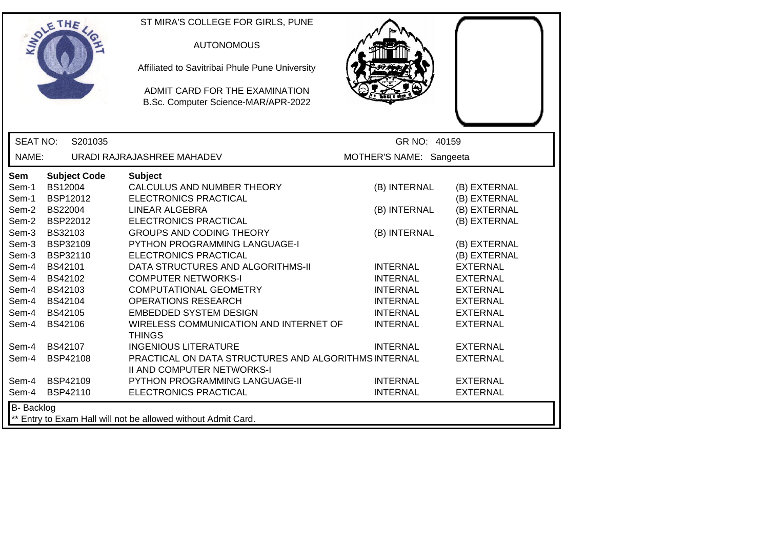| ETHE                                                                                                                                                                                                                                                                                                                                  | ST MIRA'S COLLEGE FOR GIRLS, PUNE<br><b>AUTONOMOUS</b><br>Affiliated to Savitribai Phule Pune University<br>ADMIT CARD FOR THE EXAMINATION<br>B.Sc. Computer Science-MAR/APR-2022                                                                                                                                                                                                                                                                                                 |                                                                                                                                                                                   |                                                                                                                                                                                                                                   |  |
|---------------------------------------------------------------------------------------------------------------------------------------------------------------------------------------------------------------------------------------------------------------------------------------------------------------------------------------|-----------------------------------------------------------------------------------------------------------------------------------------------------------------------------------------------------------------------------------------------------------------------------------------------------------------------------------------------------------------------------------------------------------------------------------------------------------------------------------|-----------------------------------------------------------------------------------------------------------------------------------------------------------------------------------|-----------------------------------------------------------------------------------------------------------------------------------------------------------------------------------------------------------------------------------|--|
| <b>SEAT NO:</b><br>S201035                                                                                                                                                                                                                                                                                                            |                                                                                                                                                                                                                                                                                                                                                                                                                                                                                   | GR NO: 40159                                                                                                                                                                      |                                                                                                                                                                                                                                   |  |
| NAME:                                                                                                                                                                                                                                                                                                                                 | URADI RAJRAJASHREE MAHADEV                                                                                                                                                                                                                                                                                                                                                                                                                                                        | MOTHER'S NAME: Sangeeta                                                                                                                                                           |                                                                                                                                                                                                                                   |  |
| <b>Subject Code</b><br><b>Sem</b><br><b>BS12004</b><br>Sem-1<br>BSP12012<br>Sem-1<br>Sem-2<br>BS22004<br>BSP22012<br>Sem-2<br>BS32103<br>Sem-3<br>BSP32109<br>Sem-3<br>Sem-3<br>BSP32110<br>BS42101<br>Sem-4<br>Sem-4<br>BS42102<br>Sem-4<br>BS42103<br>Sem-4 BS42104<br>Sem-4 BS42105<br>Sem-4<br><b>BS42106</b><br>Sem-4<br>BS42107 | <b>Subject</b><br>CALCULUS AND NUMBER THEORY<br>ELECTRONICS PRACTICAL<br><b>LINEAR ALGEBRA</b><br>ELECTRONICS PRACTICAL<br><b>GROUPS AND CODING THEORY</b><br>PYTHON PROGRAMMING LANGUAGE-I<br>ELECTRONICS PRACTICAL<br>DATA STRUCTURES AND ALGORITHMS-II<br><b>COMPUTER NETWORKS-I</b><br><b>COMPUTATIONAL GEOMETRY</b><br><b>OPERATIONS RESEARCH</b><br><b>EMBEDDED SYSTEM DESIGN</b><br>WIRELESS COMMUNICATION AND INTERNET OF<br><b>THINGS</b><br><b>INGENIOUS LITERATURE</b> | (B) INTERNAL<br>(B) INTERNAL<br>(B) INTERNAL<br><b>INTERNAL</b><br><b>INTERNAL</b><br><b>INTERNAL</b><br><b>INTERNAL</b><br><b>INTERNAL</b><br><b>INTERNAL</b><br><b>INTERNAL</b> | (B) EXTERNAL<br>(B) EXTERNAL<br>(B) EXTERNAL<br>(B) EXTERNAL<br>(B) EXTERNAL<br>(B) EXTERNAL<br><b>EXTERNAL</b><br><b>EXTERNAL</b><br><b>EXTERNAL</b><br><b>EXTERNAL</b><br><b>EXTERNAL</b><br><b>EXTERNAL</b><br><b>EXTERNAL</b> |  |
| BSP42108<br>Sem-4                                                                                                                                                                                                                                                                                                                     | PRACTICAL ON DATA STRUCTURES AND ALGORITHMS INTERNAL                                                                                                                                                                                                                                                                                                                                                                                                                              |                                                                                                                                                                                   | <b>EXTERNAL</b>                                                                                                                                                                                                                   |  |
| BSP42109<br>Sem-4<br>Sem-4<br>BSP42110<br>B-Backlog                                                                                                                                                                                                                                                                                   | <b>II AND COMPUTER NETWORKS-I</b><br>PYTHON PROGRAMMING LANGUAGE-II<br>ELECTRONICS PRACTICAL                                                                                                                                                                                                                                                                                                                                                                                      | <b>INTERNAL</b><br><b>INTERNAL</b>                                                                                                                                                | <b>EXTERNAL</b><br><b>EXTERNAL</b>                                                                                                                                                                                                |  |
| ** Entry to Exam Hall will not be allowed without Admit Card.                                                                                                                                                                                                                                                                         |                                                                                                                                                                                                                                                                                                                                                                                                                                                                                   |                                                                                                                                                                                   |                                                                                                                                                                                                                                   |  |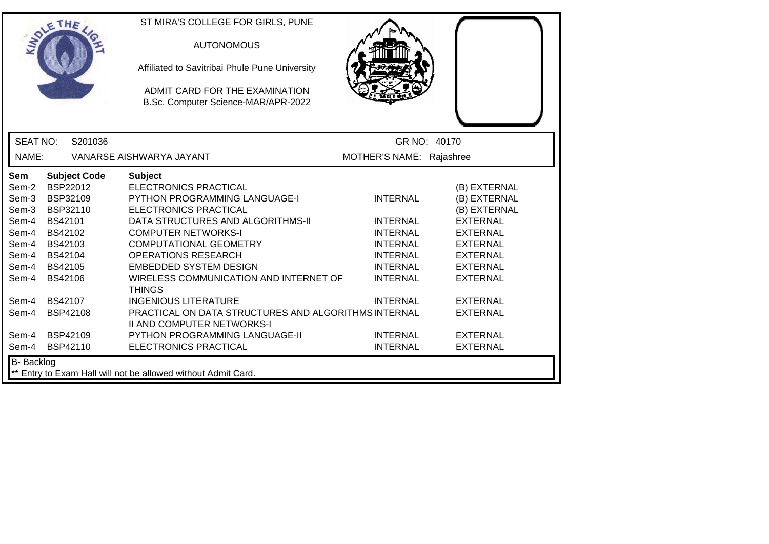|                                                                                      | ETHE                                                                                                                                                  | ST MIRA'S COLLEGE FOR GIRLS, PUNE<br><b>AUTONOMOUS</b><br>Affiliated to Savitribai Phule Pune University<br>ADMIT CARD FOR THE EXAMINATION<br>B.Sc. Computer Science-MAR/APR-2022                                                                                                                                                                    |                                                                                                                                   |                                                                                                                                                                |
|--------------------------------------------------------------------------------------|-------------------------------------------------------------------------------------------------------------------------------------------------------|------------------------------------------------------------------------------------------------------------------------------------------------------------------------------------------------------------------------------------------------------------------------------------------------------------------------------------------------------|-----------------------------------------------------------------------------------------------------------------------------------|----------------------------------------------------------------------------------------------------------------------------------------------------------------|
| <b>SEAT NO:</b>                                                                      | S201036                                                                                                                                               |                                                                                                                                                                                                                                                                                                                                                      |                                                                                                                                   | GR NO: 40170                                                                                                                                                   |
| NAME:                                                                                |                                                                                                                                                       | VANARSE AISHWARYA JAYANT                                                                                                                                                                                                                                                                                                                             | MOTHER'S NAME: Rajashree                                                                                                          |                                                                                                                                                                |
| Sem<br>Sem-2<br>Sem-3<br>Sem-3<br>Sem-4<br>Sem-4<br>Sem-4<br>Sem-4<br>Sem-4<br>Sem-4 | <b>Subject Code</b><br><b>BSP22012</b><br>BSP32109<br>BSP32110<br><b>BS42101</b><br>BS42102<br>BS42103<br>BS42104<br><b>BS42105</b><br><b>BS42106</b> | <b>Subject</b><br><b>ELECTRONICS PRACTICAL</b><br><b>PYTHON PROGRAMMING LANGUAGE-I</b><br><b>ELECTRONICS PRACTICAL</b><br>DATA STRUCTURES AND ALGORITHMS-II<br><b>COMPUTER NETWORKS-I</b><br><b>COMPUTATIONAL GEOMETRY</b><br><b>OPERATIONS RESEARCH</b><br><b>EMBEDDED SYSTEM DESIGN</b><br>WIRELESS COMMUNICATION AND INTERNET OF<br><b>THINGS</b> | <b>INTERNAL</b><br><b>INTERNAL</b><br><b>INTERNAL</b><br><b>INTERNAL</b><br><b>INTERNAL</b><br><b>INTERNAL</b><br><b>INTERNAL</b> | (B) EXTERNAL<br>(B) EXTERNAL<br>(B) EXTERNAL<br><b>EXTERNAL</b><br><b>EXTERNAL</b><br><b>EXTERNAL</b><br><b>EXTERNAL</b><br><b>EXTERNAL</b><br><b>EXTERNAL</b> |
| Sem-4<br>Sem-4<br>Sem-4<br>Sem-4                                                     | <b>BS42107</b><br>BSP42108<br><b>BSP42109</b><br>BSP42110                                                                                             | <b>INGENIOUS LITERATURE</b><br>PRACTICAL ON DATA STRUCTURES AND ALGORITHMS INTERNAL<br><b>II AND COMPUTER NETWORKS-I</b><br>PYTHON PROGRAMMING LANGUAGE-II<br>ELECTRONICS PRACTICAL                                                                                                                                                                  | <b>INTERNAL</b><br><b>INTERNAL</b><br><b>INTERNAL</b>                                                                             | <b>EXTERNAL</b><br><b>EXTERNAL</b><br><b>EXTERNAL</b><br><b>EXTERNAL</b>                                                                                       |
| <b>B-</b> Backlog                                                                    |                                                                                                                                                       | ** Entry to Exam Hall will not be allowed without Admit Card.                                                                                                                                                                                                                                                                                        |                                                                                                                                   |                                                                                                                                                                |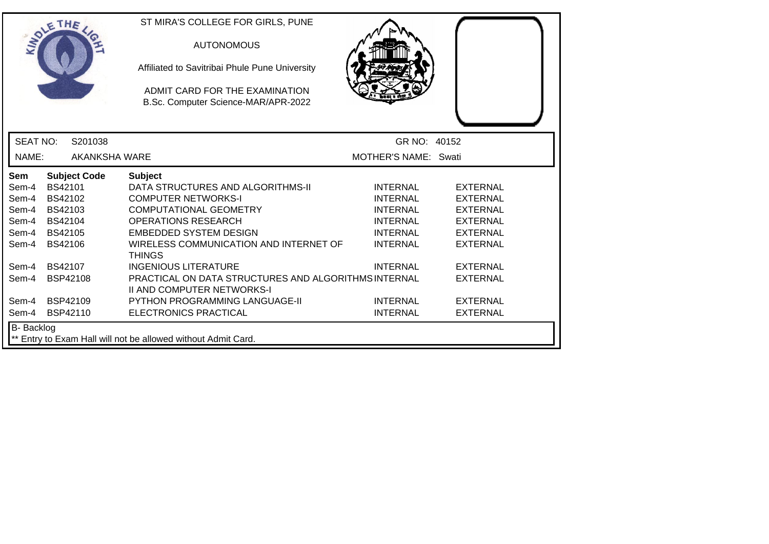|                                                                             | SOLETHE .            | ST MIRA'S COLLEGE FOR GIRLS, PUNE<br><b>AUTONOMOUS</b><br>Affiliated to Savitribai Phule Pune University |                      |                 |
|-----------------------------------------------------------------------------|----------------------|----------------------------------------------------------------------------------------------------------|----------------------|-----------------|
|                                                                             |                      | ADMIT CARD FOR THE EXAMINATION<br>B.Sc. Computer Science-MAR/APR-2022                                    |                      |                 |
| <b>SEAT NO:</b>                                                             | S201038              |                                                                                                          | GR NO: 40152         |                 |
| NAME:                                                                       | <b>AKANKSHA WARE</b> |                                                                                                          | MOTHER'S NAME: Swati |                 |
| Sem                                                                         | <b>Subject Code</b>  | <b>Subject</b>                                                                                           |                      |                 |
| Sem-4                                                                       | <b>BS42101</b>       | DATA STRUCTURES AND ALGORITHMS-II                                                                        | <b>INTERNAL</b>      | <b>EXTERNAL</b> |
| Sem-4                                                                       | BS42102              | <b>COMPUTER NETWORKS-I</b>                                                                               | <b>INTERNAL</b>      | <b>EXTERNAL</b> |
| Sem-4                                                                       | BS42103              | <b>COMPUTATIONAL GEOMETRY</b>                                                                            | <b>INTERNAL</b>      | <b>EXTERNAL</b> |
| Sem-4                                                                       | BS42104              | <b>OPERATIONS RESEARCH</b>                                                                               | <b>INTERNAL</b>      | <b>EXTERNAL</b> |
| Sem-4                                                                       | <b>BS42105</b>       | <b>EMBEDDED SYSTEM DESIGN</b>                                                                            | <b>INTERNAL</b>      | <b>EXTERNAL</b> |
| Sem-4                                                                       | <b>BS42106</b>       | WIRELESS COMMUNICATION AND INTERNET OF<br><b>THINGS</b>                                                  | <b>INTERNAL</b>      | <b>EXTERNAL</b> |
| Sem-4                                                                       | BS42107              | <b>INGENIOUS LITERATURE</b>                                                                              | <b>INTERNAL</b>      | <b>EXTERNAL</b> |
| Sem-4                                                                       | <b>BSP42108</b>      | PRACTICAL ON DATA STRUCTURES AND ALGORITHMS INTERNAL<br><b>II AND COMPUTER NETWORKS-I</b>                |                      | <b>EXTERNAL</b> |
| Sem-4                                                                       | <b>BSP42109</b>      | <b>PYTHON PROGRAMMING LANGUAGE-II</b>                                                                    | <b>INTERNAL</b>      | <b>EXTERNAL</b> |
| Sem-4                                                                       | <b>BSP42110</b>      | ELECTRONICS PRACTICAL                                                                                    | <b>INTERNAL</b>      | <b>EXTERNAL</b> |
| B- Backlog<br>** Entry to Exam Hall will not be allowed without Admit Card. |                      |                                                                                                          |                      |                 |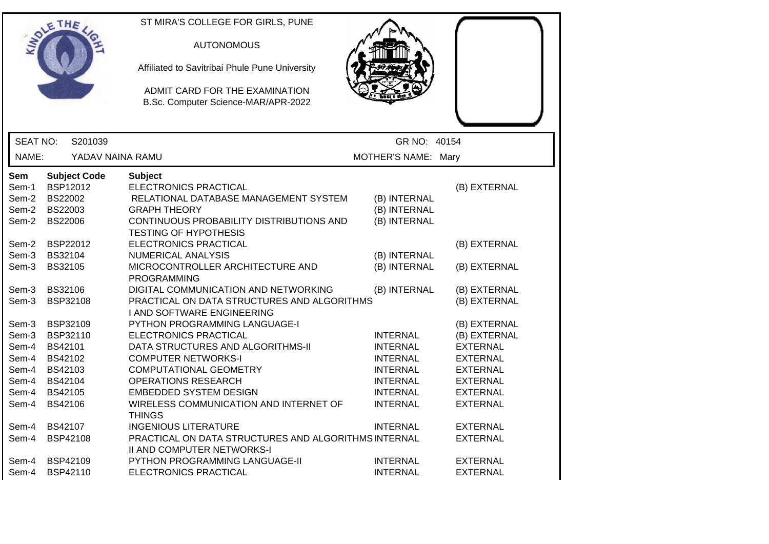|                 | ETHE                | ST MIRA'S COLLEGE FOR GIRLS, PUNE                                     |                              |                 |
|-----------------|---------------------|-----------------------------------------------------------------------|------------------------------|-----------------|
|                 |                     |                                                                       |                              |                 |
|                 |                     | <b>AUTONOMOUS</b>                                                     |                              |                 |
|                 |                     | Affiliated to Savitribai Phule Pune University                        |                              |                 |
|                 |                     | ADMIT CARD FOR THE EXAMINATION<br>B.Sc. Computer Science-MAR/APR-2022 |                              |                 |
| <b>SEAT NO:</b> | S201039             |                                                                       | GR NO: 40154                 |                 |
|                 |                     |                                                                       |                              |                 |
| NAME:           | YADAV NAINA RAMU    |                                                                       | MOTHER'S NAME: Mary          |                 |
| <b>Sem</b>      | <b>Subject Code</b> | <b>Subject</b>                                                        |                              |                 |
| Sem-1           | <b>BSP12012</b>     | ELECTRONICS PRACTICAL                                                 |                              | (B) EXTERNAL    |
| Sem-2           | BS22002             | RELATIONAL DATABASE MANAGEMENT SYSTEM                                 | (B) INTERNAL                 |                 |
| Sem-2           | BS22003             | <b>GRAPH THEORY</b>                                                   | (B) INTERNAL                 |                 |
| Sem-2           | BS22006             | CONTINUOUS PROBABILITY DISTRIBUTIONS AND                              | (B) INTERNAL                 |                 |
|                 |                     | <b>TESTING OF HYPOTHESIS</b>                                          |                              |                 |
| Sem-2           | BSP22012<br>BS32104 | ELECTRONICS PRACTICAL<br><b>NUMERICAL ANALYSIS</b>                    |                              | (B) EXTERNAL    |
| Sem-3<br>Sem-3  | BS32105             | MICROCONTROLLER ARCHITECTURE AND                                      | (B) INTERNAL<br>(B) INTERNAL | (B) EXTERNAL    |
|                 |                     | <b>PROGRAMMING</b>                                                    |                              |                 |
| Sem-3           | <b>BS32106</b>      | DIGITAL COMMUNICATION AND NETWORKING                                  | (B) INTERNAL                 | (B) EXTERNAL    |
| Sem-3           | BSP32108            | PRACTICAL ON DATA STRUCTURES AND ALGORITHMS                           |                              | (B) EXTERNAL    |
|                 |                     | I AND SOFTWARE ENGINEERING                                            |                              |                 |
| Sem-3           | BSP32109            | PYTHON PROGRAMMING LANGUAGE-I                                         |                              | (B) EXTERNAL    |
| Sem-3           | BSP32110            | ELECTRONICS PRACTICAL                                                 | <b>INTERNAL</b>              | (B) EXTERNAL    |
| Sem-4           | BS42101             | DATA STRUCTURES AND ALGORITHMS-II                                     | <b>INTERNAL</b>              | <b>EXTERNAL</b> |
| Sem-4           | BS42102             | <b>COMPUTER NETWORKS-I</b>                                            | <b>INTERNAL</b>              | <b>EXTERNAL</b> |
| Sem-4           | BS42103             | <b>COMPUTATIONAL GEOMETRY</b>                                         | <b>INTERNAL</b>              | <b>EXTERNAL</b> |
| Sem-4           | BS42104             | <b>OPERATIONS RESEARCH</b>                                            | <b>INTERNAL</b>              | <b>EXTERNAL</b> |
| Sem-4           | <b>BS42105</b>      | <b>EMBEDDED SYSTEM DESIGN</b>                                         | <b>INTERNAL</b>              | <b>EXTERNAL</b> |
| Sem-4           | BS42106             | WIRELESS COMMUNICATION AND INTERNET OF<br><b>THINGS</b>               | <b>INTERNAL</b>              | <b>EXTERNAL</b> |
| Sem-4           | BS42107             | <b>INGENIOUS LITERATURE</b>                                           | <b>INTERNAL</b>              | <b>EXTERNAL</b> |
| Sem-4           | <b>BSP42108</b>     | PRACTICAL ON DATA STRUCTURES AND ALGORITHMS INTERNAL                  |                              | <b>EXTERNAL</b> |
|                 |                     | II AND COMPUTER NETWORKS-I                                            |                              |                 |
| Sem-4           | <b>BSP42109</b>     | PYTHON PROGRAMMING LANGUAGE-II                                        | <b>INTERNAL</b>              | <b>EXTERNAL</b> |
| Sem-4           | BSP42110            | ELECTRONICS PRACTICAL                                                 | <b>INTERNAL</b>              | <b>EXTERNAL</b> |